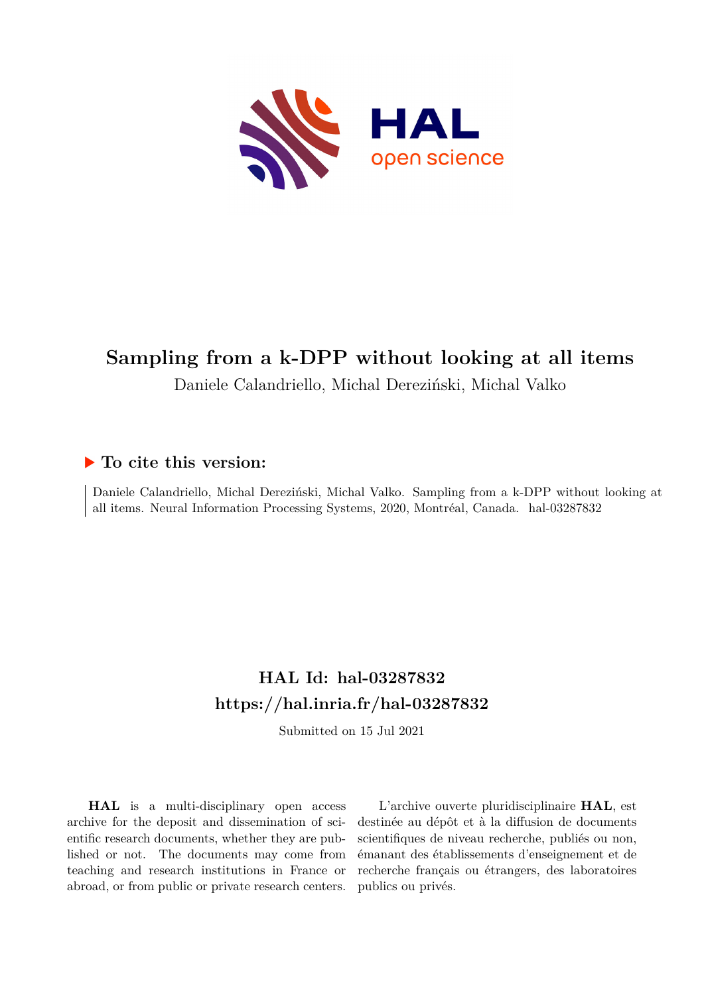

# **Sampling from a k-DPP without looking at all items**

## Daniele Calandriello, Michal Dereziński, Michal Valko

## **To cite this version:**

Daniele Calandriello, Michal Dereziński, Michal Valko. Sampling from a k-DPP without looking at all items. Neural Information Processing Systems, 2020, Montréal, Canada. hal-03287832

# **HAL Id: hal-03287832 <https://hal.inria.fr/hal-03287832>**

Submitted on 15 Jul 2021

**HAL** is a multi-disciplinary open access archive for the deposit and dissemination of scientific research documents, whether they are published or not. The documents may come from teaching and research institutions in France or abroad, or from public or private research centers.

L'archive ouverte pluridisciplinaire **HAL**, est destinée au dépôt et à la diffusion de documents scientifiques de niveau recherche, publiés ou non, émanant des établissements d'enseignement et de recherche français ou étrangers, des laboratoires publics ou privés.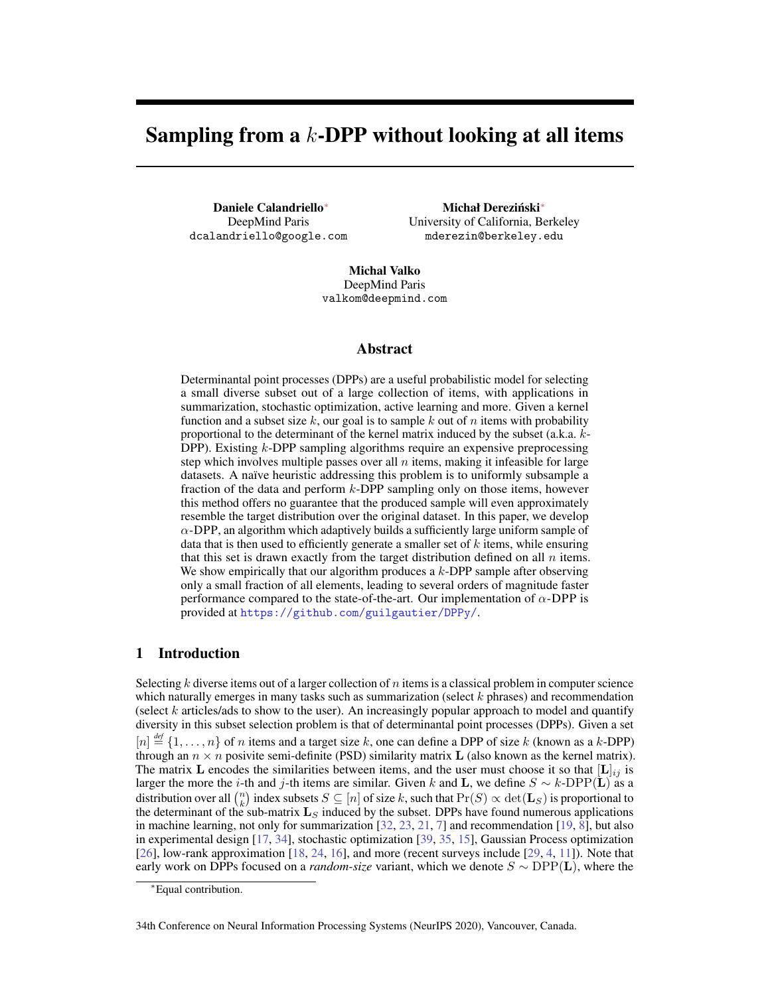# Sampling from a  $k$ -DPP without looking at all items

Daniele Calandriello<sup>∗</sup> DeepMind Paris dcalandriello@google.com

Michał Dereziński<sup>\*</sup> University of California, Berkeley mderezin@berkeley.edu

Michal Valko DeepMind Paris valkom@deepmind.com

#### Abstract

Determinantal point processes (DPPs) are a useful probabilistic model for selecting a small diverse subset out of a large collection of items, with applications in summarization, stochastic optimization, active learning and more. Given a kernel function and a subset size k, our goal is to sample k out of n items with probability proportional to the determinant of the kernel matrix induced by the subset (a.k.a. k-DPP). Existing k-DPP sampling algorithms require an expensive preprocessing step which involves multiple passes over all  $n$  items, making it infeasible for large datasets. A naïve heuristic addressing this problem is to uniformly subsample a fraction of the data and perform  $k$ -DPP sampling only on those items, however this method offers no guarantee that the produced sample will even approximately resemble the target distribution over the original dataset. In this paper, we develop  $\alpha$ -DPP, an algorithm which adaptively builds a sufficiently large uniform sample of data that is then used to efficiently generate a smaller set of  $k$  items, while ensuring that this set is drawn exactly from the target distribution defined on all  $n$  items. We show empirically that our algorithm produces a  $k$ -DPP sample after observing only a small fraction of all elements, leading to several orders of magnitude faster performance compared to the state-of-the-art. Our implementation of  $\alpha$ -DPP is provided at <https://github.com/guilgautier/DPPy/>.

#### 1 Introduction

Selecting k diverse items out of a larger collection of n items is a classical problem in computer science which naturally emerges in many tasks such as summarization (select  $k$  phrases) and recommendation (select  $k$  articles/ads to show to the user). An increasingly popular approach to model and quantify diversity in this subset selection problem is that of determinantal point processes (DPPs). Given a set  $[n] \stackrel{\text{def}}{=} \{1, \ldots, n\}$  of n items and a target size k, one can define a DPP of size k (known as a k-DPP) through an  $n \times n$  posivite semi-definite (PSD) similarity matrix **L** (also known as the kernel matrix). The matrix L encodes the similarities between items, and the user must choose it so that  $[L]_{ij}$  is larger the more the *i*-th and *j*-th items are similar. Given k and **L**, we define  $S \sim k$ -DPP(**L**) as a distribution over all  $\binom{n}{k}$  index subsets  $S \subseteq [n]$  of size k, such that  $\Pr(S) \propto \det(\mathbf{L}_S)$  is proportional to the determinant of the sub-matrix  $\mathbf{L}_S$  induced by the subset. DPPs have found numerous applications in machine learning, not only for summarization [32, 23, 21, 7] and recommendation [19, 8], but also in experimental design [17, 34], stochastic optimization [39, 35, 15], Gaussian Process optimization [26], low-rank approximation [18, 24, 16], and more (recent surveys include [29, 4, 11]). Note that early work on DPPs focused on a *random-size* variant, which we denote S ∼ DPP(L), where the

34th Conference on Neural Information Processing Systems (NeurIPS 2020), Vancouver, Canada.

<sup>∗</sup>Equal contribution.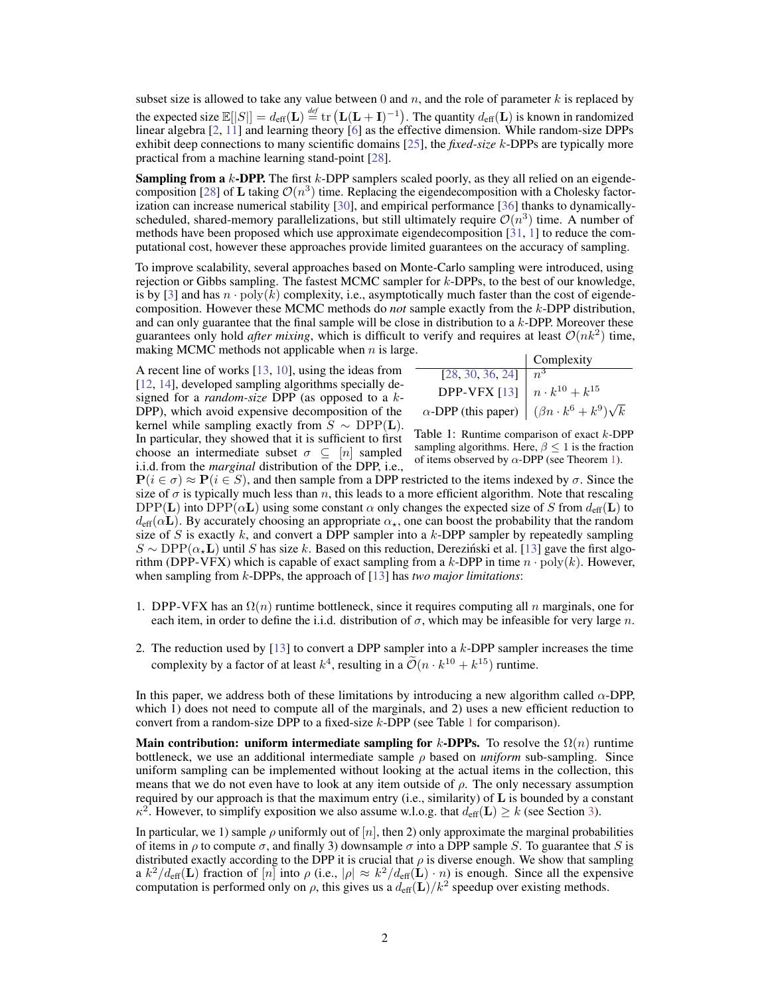subset size is allowed to take any value between 0 and  $n$ , and the role of parameter k is replaced by the expected size  $\mathbb{E}[|S|] = d_{\text{eff}}(\mathbf{L}) \stackrel{\text{def}}{=} \text{tr}(\mathbf{L}(\mathbf{L}+\mathbf{I})^{-1})$ . The quantity  $d_{\text{eff}}(\mathbf{L})$  is known in randomized linear algebra [2, 11] and learning theory [6] as the effective dimension. While random-size DPPs exhibit deep connections to many scientific domains [25], the *fixed-size* k-DPPs are typically more practical from a machine learning stand-point [28].

**Sampling from a**  $k$ **-DPP.** The first  $k$ -DPP samplers scaled poorly, as they all relied on an eigendecomposition [28] of **L** taking  $\mathcal{O}(n^3)$  time. Replacing the eigendecomposition with a Cholesky factorization can increase numerical stability [30], and empirical performance [36] thanks to dynamicallyscheduled, shared-memory parallelizations, but still ultimately require  $\mathcal{O}(n^3)$  time. A number of methods have been proposed which use approximate eigendecomposition [31, 1] to reduce the computational cost, however these approaches provide limited guarantees on the accuracy of sampling.

To improve scalability, several approaches based on Monte-Carlo sampling were introduced, using rejection or Gibbs sampling. The fastest MCMC sampler for  $k$ -DPPs, to the best of our knowledge, is by [3] and has  $n \cdot \text{poly}(k)$  complexity, i.e., asymptotically much faster than the cost of eigendecomposition. However these MCMC methods do *not* sample exactly from the k-DPP distribution, and can only guarantee that the final sample will be close in distribution to a  $k$ -DPP. Moreover these guarantees only hold *after mixing*, which is difficult to verify and requires at least  $\mathcal{O}(nk^2)$  time, making MCMC methods not applicable when  $n$  is large.

A recent line of works [13, 10], using the ideas from [12, 14], developed sampling algorithms specially designed for a *random-size* DPP (as opposed to a k-DPP), which avoid expensive decomposition of the kernel while sampling exactly from  $S \sim \text{DPP}(\mathbf{L})$ . In particular, they showed that it is sufficient to first choose an intermediate subset  $\sigma \subseteq [n]$  sampled i.i.d. from the *marginal* distribution of the DPP, i.e.,

|                                                                | Complexity |
|----------------------------------------------------------------|------------|
| [28, 30, 36, 24]                                               |            |
| <b>DPP-VFX</b> [13] $\left  n \cdot k^{10} + k^{15} \right $   |            |
| $\alpha$ -DPP (this paper) $(\beta n \cdot k^6 + k^9)\sqrt{k}$ |            |

Table 1: Runtime comparison of exact k-DPP sampling algorithms. Here,  $\beta \leq 1$  is the fraction of items observed by  $\alpha$ -DPP (see Theorem 1).

 $P(i \in \sigma) \approx P(i \in S)$ , and then sample from a DPP restricted to the items indexed by  $\sigma$ . Since the size of  $\sigma$  is typically much less than n, this leads to a more efficient algorithm. Note that rescaling DPP(L) into DPP( $\alpha$ L) using some constant  $\alpha$  only changes the expected size of S from  $d_{\text{eff}}(L)$  to  $d_{\text{eff}}(\alpha L)$ . By accurately choosing an appropriate  $\alpha_{\star}$ , one can boost the probability that the random size of S is exactly  $k$ , and convert a DPP sampler into a  $k$ -DPP sampler by repeatedly sampling  $S \sim \text{DPP}(\alpha_{\star}L)$  until S has size k. Based on this reduction, Derezinski et al. [13] gave the first algorithm (DPP-VFX) which is capable of exact sampling from a k-DPP in time  $n \cdot \text{poly}(k)$ . However, when sampling from k-DPPs, the approach of [13] has *two major limitations*:

- 1. DPP-VFX has an  $\Omega(n)$  runtime bottleneck, since it requires computing all n marginals, one for each item, in order to define the i.i.d. distribution of  $\sigma$ , which may be infeasible for very large n.
- 2. The reduction used by  $[13]$  to convert a DPP sampler into a k-DPP sampler increases the time complexity by a factor of at least  $k^4$ , resulting in a  $\tilde{\mathcal{O}}(n \cdot k^{10} + k^{15})$  runtime.

In this paper, we address both of these limitations by introducing a new algorithm called  $\alpha$ -DPP, which 1) does not need to compute all of the marginals, and 2) uses a new efficient reduction to convert from a random-size DPP to a fixed-size  $k$ -DPP (see Table 1 for comparison).

Main contribution: uniform intermediate sampling for k-DPPs. To resolve the  $\Omega(n)$  runtime bottleneck, we use an additional intermediate sample ρ based on *uniform* sub-sampling. Since uniform sampling can be implemented without looking at the actual items in the collection, this means that we do not even have to look at any item outside of  $\rho$ . The only necessary assumption required by our approach is that the maximum entry (i.e., similarity) of  $\bf{L}$  is bounded by a constant  $\kappa^2$ . However, to simplify exposition we also assume w.l.o.g. that  $d_{\text{eff}}(\mathbf{L}) \geq k$  (see Section 3).

In particular, we 1) sample  $\rho$  uniformly out of  $[n]$ , then 2) only approximate the marginal probabilities of items in  $\rho$  to compute  $\sigma$ , and finally 3) downsample  $\sigma$  into a DPP sample S. To guarantee that S is distributed exactly according to the DPP it is crucial that  $\rho$  is diverse enough. We show that sampling a  $k^2/d_{\text{eff}}(\mathbf{L})$  fraction of  $[n]$  into  $\rho$  (i.e.,  $|\rho| \approx k^2/d_{\text{eff}}(\mathbf{L}) \cdot n)$  is enough. Since all the expensive computation is performed only on  $\rho$ , this gives us a  $d_{\text{eff}}(\mathbf{L})/k^2$  speedup over existing methods.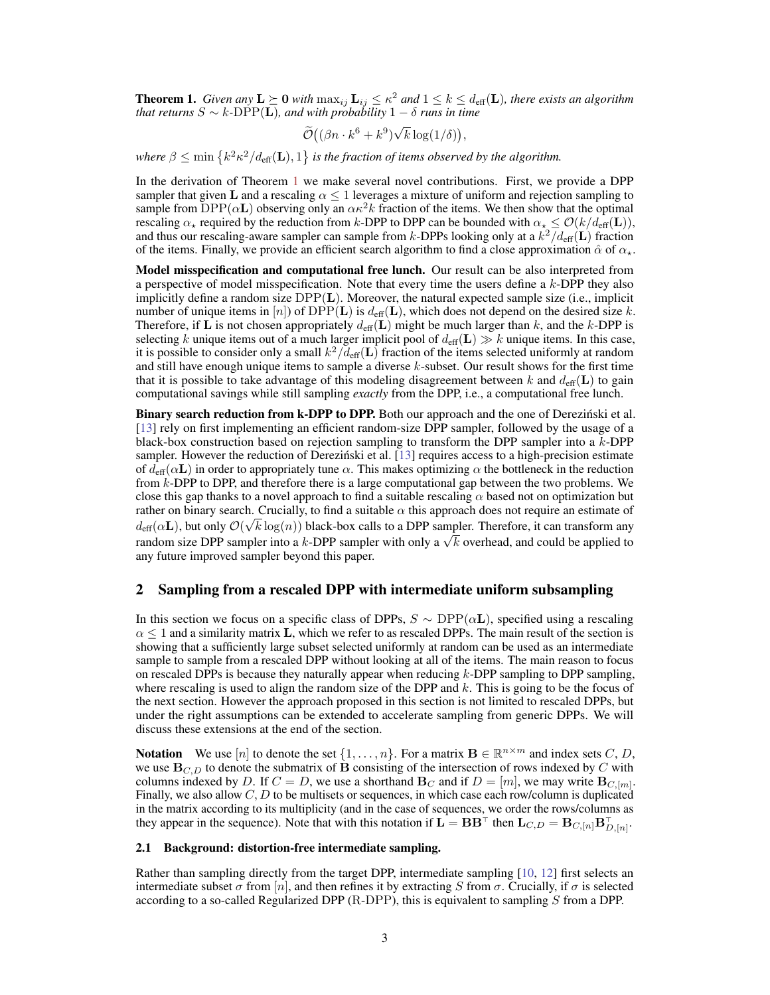**Theorem 1.** *Given any*  $L \succeq 0$  *with*  $\max_{ij} L_{ij} \leq \kappa^2$  and  $1 \leq k \leq d_{\text{eff}}(L)$ , there exists an algorithm *that returns* S ∼ k*-*DPP(L)*, and with probability* 1 − δ *runs in time*

$$
\widetilde{\mathcal{O}}\left((\beta n \cdot k^6 + k^9)\sqrt{k} \log(1/\delta)\right),\
$$

where  $\beta \leq \min\left\{k^2 \kappa^2/ d_{\text{eff}}(\mathbf{L}),1\right\}$  is the fraction of items observed by the algorithm.

In the derivation of Theorem 1 we make several novel contributions. First, we provide a DPP sampler that given L and a rescaling  $\alpha \leq 1$  leverages a mixture of uniform and rejection sampling to sample from  $DPP(\alpha L)$  observing only an  $\alpha \kappa^2 k$  fraction of the items. We then show that the optimal rescaling  $\alpha_{\star}$  required by the reduction from k-DPP to DPP can be bounded with  $\alpha_{\star} \leq \mathcal{O}(k/d_{\text{eff}}(\mathbf{L}))$ , and thus our rescaling-aware sampler can sample from k-DPPs looking only at a  $k^2/d_{\text{eff}}(\mathbf{L})$  fraction of the items. Finally, we provide an efficient search algorithm to find a close approximation  $\hat{\alpha}$  of  $\alpha_{\star}$ .

Model misspecification and computational free lunch. Our result can be also interpreted from a perspective of model misspecification. Note that every time the users define a k-DPP they also implicitly define a random size  $DPP(L)$ . Moreover, the natural expected sample size (i.e., implicit number of unique items in [n]) of DPP(L) is  $d_{\text{eff}}(L)$ , which does not depend on the desired size k. Therefore, if L is not chosen appropriately  $d_{\text{eff}}(L)$  might be much larger than k, and the k-DPP is selecting k unique items out of a much larger implicit pool of  $d_{\text{eff}}(\mathbf{L}) \gg k$  unique items. In this case, it is possible to consider only a small  $k^2/\bar{d}_{\text{eff}}(\mathbf{L})$  fraction of the items selected uniformly at random and still have enough unique items to sample a diverse  $k$ -subset. Our result shows for the first time that it is possible to take advantage of this modeling disagreement between k and  $d_{\text{eff}}(L)$  to gain computational savings while still sampling *exactly* from the DPP, i.e., a computational free lunch.

Binary search reduction from k-DPP to DPP. Both our approach and the one of Derezinski et al. [13] rely on first implementing an efficient random-size DPP sampler, followed by the usage of a black-box construction based on rejection sampling to transform the DPP sampler into a  $k$ -DPP sampler. However the reduction of Dereziński et al. [13] requires access to a high-precision estimate of  $d_{\text{eff}}(\alpha L)$  in order to appropriately tune  $\alpha$ . This makes optimizing  $\alpha$  the bottleneck in the reduction from k-DPP to DPP, and therefore there is a large computational gap between the two problems. We close this gap thanks to a novel approach to find a suitable rescaling  $\alpha$  based not on optimization but rather on binary search. Crucially, to find a suitable  $\alpha$  this approach does not require an estimate of  $d_{\text{eff}}(\alpha \mathbf{L})$ , but only  $\mathcal{O}(\sqrt{k \log(n)})$  black-box calls to a DPP sampler. Therefore, it can transform any  $a_{\text{eff}}(\alpha L)$ , out only  $C(\sqrt{\kappa} \log(n))$  black-box calls to a DPP sampler. Therefore, it can transform any random size DPP sampler into a k-DPP sampler with only a  $\sqrt{k}$  overhead, and could be applied to any future improved sampler beyond this paper.

#### 2 Sampling from a rescaled DPP with intermediate uniform subsampling

In this section we focus on a specific class of DPPs,  $S \sim \text{DPP}(\alpha L)$ , specified using a rescaling  $\alpha$  < 1 and a similarity matrix L, which we refer to as rescaled DPPs. The main result of the section is showing that a sufficiently large subset selected uniformly at random can be used as an intermediate sample to sample from a rescaled DPP without looking at all of the items. The main reason to focus on rescaled DPPs is because they naturally appear when reducing  $k$ -DPP sampling to DPP sampling, where rescaling is used to align the random size of the DPP and  $k$ . This is going to be the focus of the next section. However the approach proposed in this section is not limited to rescaled DPPs, but under the right assumptions can be extended to accelerate sampling from generic DPPs. We will discuss these extensions at the end of the section.

**Notation** We use [n] to denote the set  $\{1, \ldots, n\}$ . For a matrix  $\mathbf{B} \in \mathbb{R}^{n \times m}$  and index sets C, D, we use  $\mathbf{B}_{C,D}$  to denote the submatrix of **B** consisting of the intersection of rows indexed by C with columns indexed by D. If  $C = D$ , we use a shorthand  $\mathbf{B}_C$  and if  $D = [m]$ , we may write  $\mathbf{B}_{C,[m]}$ . Finally, we also allow  $C, D$  to be multisets or sequences, in which case each row/column is duplicated in the matrix according to its multiplicity (and in the case of sequences, we order the rows/columns as they appear in the sequence). Note that with this notation if  $\mathbf{L} = \mathbf{B} \mathbf{B}^{\top}$  then  $\mathbf{L}_{C,D} = \mathbf{B}_{C,[n]} \mathbf{B}_{D,[n]}^{\top}$ .

#### 2.1 Background: distortion-free intermediate sampling.

Rather than sampling directly from the target DPP, intermediate sampling [10, 12] first selects an intermediate subset  $\sigma$  from [n], and then refines it by extracting S from  $\sigma$ . Crucially, if  $\sigma$  is selected according to a so-called Regularized DPP  $(R\text{-DPP})$ , this is equivalent to sampling S from a DPP.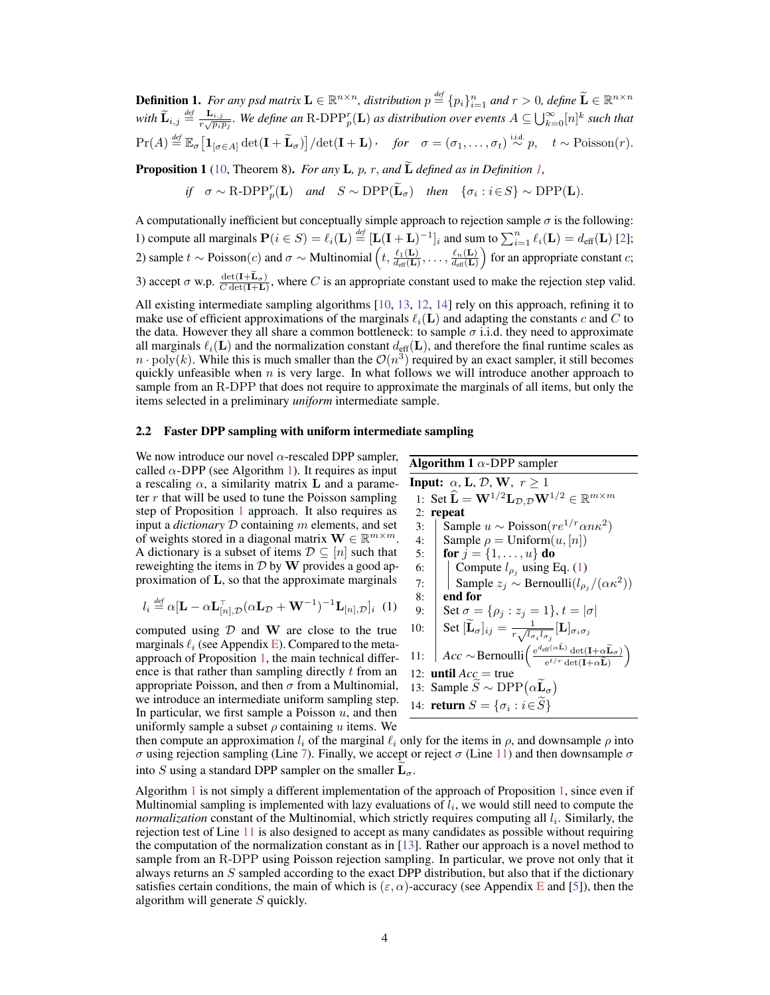**Definition 1.** For any psd matrix  $\mathbf{L} \in \mathbb{R}^{n \times n}$ , distribution  $p \stackrel{\text{def}}{=} \{p_i\}_{i=1}^n$  and  $r > 0$ , define  $\widetilde{\mathbf{L}} \in \mathbb{R}^{n \times n}$ with  $\widetilde{\bf L}_{i,j} \stackrel{def}{=} \frac{{\bf L}_{i,j}}{r\sqrt{p_ip_j}}$ . We define an R-DPP $_p^r({\bf L})$  as distribution over events  $A\subseteq \bigcup_{k=0}^\infty [n]^k$  such that  $\Pr(A) \stackrel{\text{def}}{=} \mathbb{E}_{\sigma} \left[ \mathbf{1}_{[\sigma \in A]} \det(\mathbf{I} + \widetilde{\mathbf{L}}_{\sigma}) \right] / \det(\mathbf{I} + \mathbf{L})$ , for  $\sigma = (\sigma_1, \dots, \sigma_t) \stackrel{\text{i.i.d.}}{\sim} p$ ,  $t \sim \text{Poisson}(r)$ .

**Proposition 1** (10, Theorem 8). *For any* **L**, p, r, and  $\widetilde{\bf{L}}$  defined as in Definition 1,

*if*  $\sigma \sim \text{R-DPP}_{p}^{r}(\mathbf{L})$  *and*  $S \sim \text{DPP}(\widetilde{\mathbf{L}}_{\sigma})$  *then*  $\{\sigma_{i} : i \in S\} \sim \text{DPP}(\mathbf{L})$ .

A computationally inefficient but conceptually simple approach to rejection sample  $\sigma$  is the following: 1) compute all marginals  $P(i \in S) = \ell_i(L) \stackrel{\text{def}}{=} [L(I + L)^{-1}]_i$  and sum to  $\sum_{i=1}^n \ell_i(L) = d_{\text{eff}}(L)$  [2]; 2) sample  $t \sim \text{Poisson}(c)$  and  $\sigma \sim \text{Multinomial}\left(t, \frac{\ell_1(\mathbf{L})}{d_{\text{eff}}(\mathbf{L})}, \ldots, \frac{\ell_n(\mathbf{L})}{d_{\text{eff}}(\mathbf{L})}\right)$  $\frac{\ell_n(\mathbf{L})}{d_{\text{eff}}(\mathbf{L})}$  for an appropriate constant *c*; 3) accept  $\sigma$  w.p.  $\frac{\det(\mathbf{I} + \mathbf{L}_{\sigma})}{C \det(\mathbf{I} + \mathbf{L})}$ , where C is an appropriate constant used to make the rejection step valid.

All existing intermediate sampling algorithms [10, 13, 12, 14] rely on this approach, refining it to make use of efficient approximations of the marginals  $\ell_i(\mathbf{L})$  and adapting the constants c and C to the data. However they all share a common bottleneck: to sample  $\sigma$  i.i.d. they need to approximate all marginals  $\ell_i(\mathbf{L})$  and the normalization constant  $d_{\text{eff}}(\mathbf{L})$ , and therefore the final runtime scales as  $n \cdot \text{poly}(k)$ . While this is much smaller than the  $\mathcal{O}(n^3)$  required by an exact sampler, it still becomes quickly unfeasible when  $n$  is very large. In what follows we will introduce another approach to sample from an R-DPP that does not require to approximate the marginals of all items, but only the items selected in a preliminary *uniform* intermediate sample.

#### 2.2 Faster DPP sampling with uniform intermediate sampling

We now introduce our novel  $\alpha$ -rescaled DPP sampler, called  $\alpha$ -DPP (see Algorithm 1). It requires as input a rescaling  $\alpha$ , a similarity matrix **L** and a parameter  $r$  that will be used to tune the Poisson sampling step of Proposition 1 approach. It also requires as input a *dictionary* D containing m elements, and set of weights stored in a diagonal matrix  $\mathbf{W} \in \mathbb{R}^{m \times m}$ . A dictionary is a subset of items  $\mathcal{D} \subseteq [n]$  such that reweighting the items in  $\mathcal D$  by W provides a good approximation of L, so that the approximate marginals

$$
l_i \stackrel{\text{def}}{=} \alpha [\mathbf{L} - \alpha \mathbf{L}_{[n], \mathcal{D}}^{-1} (\alpha \mathbf{L}_{\mathcal{D}} + \mathbf{W}^{-1})^{-1} \mathbf{L}_{[n], \mathcal{D}}]_i \tag{1}
$$

computed using  $D$  and W are close to the true marginals  $\ell_i$  (see Appendix E). Compared to the metaapproach of Proposition 1, the main technical difference is that rather than sampling directly t from an appropriate Poisson, and then  $\sigma$  from a Multinomial, we introduce an intermediate uniform sampling step. In particular, we first sample a Poisson  $u$ , and then uniformly sample a subset  $\rho$  containing u items. We

**Algorithm 1**  $\alpha$ -DPP sampler **Input:**  $\alpha$ , **L**, **D**, **W**,  $r \geq 1$ 1: Set  $\widehat{\mathbf{L}} = \mathbf{W}^{1/2} \mathbf{L}_{\mathcal{D}, \mathcal{D}} \mathbf{W}^{1/2} \in \mathbb{R}^{m \times m}$ 2: repeat 3: Sample  $u \sim \text{Poisson}(re^{1/r} \alpha n \kappa^2)$ 4: Sample  $\rho = \text{Uniform}(u, [n])$ 5: **for**  $j = \{1, ..., u\}$  do 6:  $\int$  Compute  $l_{\rho_j}$  using Eq. (1) 7: | Sample  $z_j$  ∼ Bernoulli $(l_{\rho_j}/(\alpha \kappa^2))$  $8:$  end for 9:  $\int \operatorname{Set} \sigma = {\rho_j : z_j = 1}, t = |\sigma|$ 10:  $\Big|\operatorname{Set}[\widetilde{\mathbf{L}}_{\sigma}]_{ij}=\frac{1}{r\sqrt{l_{\sigma}}}$  $\frac{1}{r\sqrt{l_{\sigma_i}l_{\sigma_j}}}[\mathbf{L}]_{\sigma_i\sigma_j}$ 11: *Acc* ∼ Bernoulli $\left( \frac{e^{d_{\text{eff}}(\alpha L)} \det(\mathbf{I} + \alpha \widehat{\mathbf{L}}_{\sigma})}{e^{t/r} \det(\mathbf{I} + \alpha \widehat{\mathbf{L}})} \right)$  $\setminus$ 12: **until**  $Acc = true$ 13: Sample  $\overline{S} \sim \text{DPP}(\alpha \overline{\mathbf{L}}_{\sigma})$ 14: **return**  $S = \{\sigma_i : i \in S\}$ 

then compute an approximation  $l_i$  of the marginal  $\ell_i$  only for the items in  $\rho$ , and downsample  $\rho$  into σ using rejection sampling (Line 7). Finally, we accept or reject σ (Line 11) and then downsample σ into S using a standard DPP sampler on the smaller  $L_{\sigma}$ .

Algorithm 1 is not simply a different implementation of the approach of Proposition 1, since even if Multinomial sampling is implemented with lazy evaluations of  $l_i$ , we would still need to compute the *normalization* constant of the Multinomial, which strictly requires computing all  $l_i$ . Similarly, the rejection test of Line 11 is also designed to accept as many candidates as possible without requiring the computation of the normalization constant as in [13]. Rather our approach is a novel method to sample from an R-DPP using Poisson rejection sampling. In particular, we prove not only that it always returns an  $S$  sampled according to the exact DPP distribution, but also that if the dictionary satisfies certain conditions, the main of which is ( $\varepsilon$ ,  $\alpha$ )-accuracy (see Appendix E and [5]), then the algorithm will generate S quickly.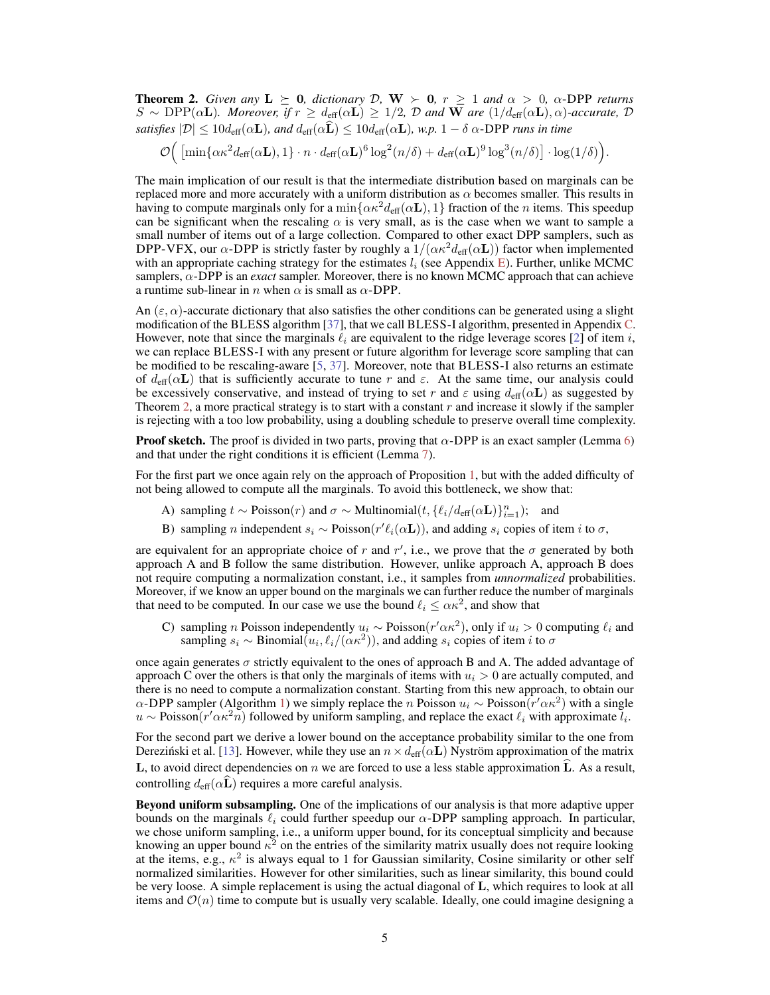**Theorem 2.** Given any  $L \geq 0$ , dictionary D,  $W > 0$ ,  $r \geq 1$  and  $\alpha > 0$ ,  $\alpha$ -DPP returns  $S \sim \text{DPP}(\alpha L)$ *. Moreover, if*  $r \geq d_{\text{eff}}(\alpha L) \geq 1/2$ ,  $D$  and **W** are  $(1/d_{\text{eff}}(\alpha L), \alpha)$ -accurate,  $D$ *satisfies*  $|\mathcal{D}| \leq 10d_{\text{eff}}(\alpha \mathbf{L})$ *, and*  $d_{\text{eff}}(\alpha \widehat{\mathbf{L}}) \leq 10d_{\text{eff}}(\alpha \mathbf{L})$ *, w.p.*  $1 - \delta \alpha$ -DPP *runs in time* 

 $\mathcal{O}\Big(\left[\min\{\alpha\kappa^2d_{\text{eff}}(\alpha\mathbf{L}),1\}\cdot n\cdot d_{\text{eff}}(\alpha\mathbf{L})^6\log^2(n/\delta)+d_{\text{eff}}(\alpha\mathbf{L})^9\log^3(n/\delta)\right]\cdot\log(1/\delta)\Big).$ 

The main implication of our result is that the intermediate distribution based on marginals can be replaced more and more accurately with a uniform distribution as  $\alpha$  becomes smaller. This results in having to compute marginals only for a  $\min{\{\alpha \kappa^2 d_{\text{eff}}(\alpha L), 1\}}$  fraction of the *n* items. This speedup can be significant when the rescaling  $\alpha$  is very small, as is the case when we want to sample a small number of items out of a large collection. Compared to other exact DPP samplers, such as DPP-VFX, our  $\alpha$ -DPP is strictly faster by roughly a  $1/(\alpha \kappa^2 d_{\text{eff}}(\alpha L))$  factor when implemented with an appropriate caching strategy for the estimates  $l_i$  (see Appendix E). Further, unlike MCMC samplers,  $\alpha$ -DPP is an *exact* sampler. Moreover, there is no known MCMC approach that can achieve a runtime sub-linear in n when  $\alpha$  is small as  $\alpha$ -DPP.

An  $(\varepsilon, \alpha)$ -accurate dictionary that also satisfies the other conditions can be generated using a slight modification of the BLESS algorithm [37], that we call BLESS-I algorithm, presented in Appendix C. However, note that since the marginals  $\ell_i$  are equivalent to the ridge leverage scores [2] of item i, we can replace BLESS-I with any present or future algorithm for leverage score sampling that can be modified to be rescaling-aware [5, 37]. Moreover, note that BLESS-I also returns an estimate of  $d_{\text{eff}}(\alpha L)$  that is sufficiently accurate to tune r and  $\varepsilon$ . At the same time, our analysis could be excessively conservative, and instead of trying to set r and  $\varepsilon$  using  $d_{\text{eff}}(\alpha L)$  as suggested by Theorem 2, a more practical strategy is to start with a constant  $r$  and increase it slowly if the sampler is rejecting with a too low probability, using a doubling schedule to preserve overall time complexity.

**Proof sketch.** The proof is divided in two parts, proving that  $\alpha$ -DPP is an exact sampler (Lemma 6) and that under the right conditions it is efficient (Lemma 7).

For the first part we once again rely on the approach of Proposition 1, but with the added difficulty of not being allowed to compute all the marginals. To avoid this bottleneck, we show that:

- A) sampling  $t \sim \text{Poisson}(r)$  and  $\sigma \sim \text{Multinomial}(t, \{\ell_i/d_{\text{eff}}(\alpha \mathbf{L})\}_{i=1}^n);$  and
- B) sampling *n* independent  $s_i \sim \text{Poisson}(r' \ell_i(\alpha \mathbf{L}))$ , and adding  $s_i$  copies of item *i* to  $\sigma$ ,

are equivalent for an appropriate choice of r and r', i.e., we prove that the  $\sigma$  generated by both approach A and B follow the same distribution. However, unlike approach A, approach B does not require computing a normalization constant, i.e., it samples from *unnormalized* probabilities. Moreover, if we know an upper bound on the marginals we can further reduce the number of marginals that need to be computed. In our case we use the bound  $\ell_i \leq \alpha \kappa^2$ , and show that

C) sampling *n* Poisson independently  $u_i \sim \text{Poisson}(r' \alpha \kappa^2)$ , only if  $u_i > 0$  computing  $\ell_i$  and sampling  $s_i \sim \text{Binomial}(u_i, \ell_i/(\alpha \kappa^2))$ , and adding  $s_i$  copies of item i to  $\sigma$ 

once again generates  $\sigma$  strictly equivalent to the ones of approach B and A. The added advantage of approach C over the others is that only the marginals of items with  $u_i > 0$  are actually computed, and there is no need to compute a normalization constant. Starting from this new approach, to obtain our  $\alpha$ -DPP sampler (Algorithm 1) we simply replace the n Poisson  $u_i \sim \text{Poisson}(r' \alpha \kappa^2)$  with a single  $u \sim \text{Poisson}(r' \alpha \kappa^2 n)$  followed by uniform sampling, and replace the exact  $\ell_i$  with approximate  $\overline{l_i}$ .

For the second part we derive a lower bound on the acceptance probability similar to the one from Derezinski et al. [13]. However, while they use an  $n \times d_{\text{eff}}(\alpha L)$  Nyström approximation of the matrix L, to avoid direct dependencies on n we are forced to use a less stable approximation  $\hat{L}$ . As a result, controlling  $d_{\text{eff}}(\alpha \mathbf{L})$  requires a more careful analysis.

Beyond uniform subsampling. One of the implications of our analysis is that more adaptive upper bounds on the marginals  $\ell_i$  could further speedup our  $\alpha$ -DPP sampling approach. In particular, we chose uniform sampling, i.e., a uniform upper bound, for its conceptual simplicity and because knowing an upper bound  $\kappa^2$  on the entries of the similarity matrix usually does not require looking at the items, e.g.,  $\kappa^2$  is always equal to 1 for Gaussian similarity, Cosine similarity or other self normalized similarities. However for other similarities, such as linear similarity, this bound could be very loose. A simple replacement is using the actual diagonal of L, which requires to look at all items and  $\mathcal{O}(n)$  time to compute but is usually very scalable. Ideally, one could imagine designing a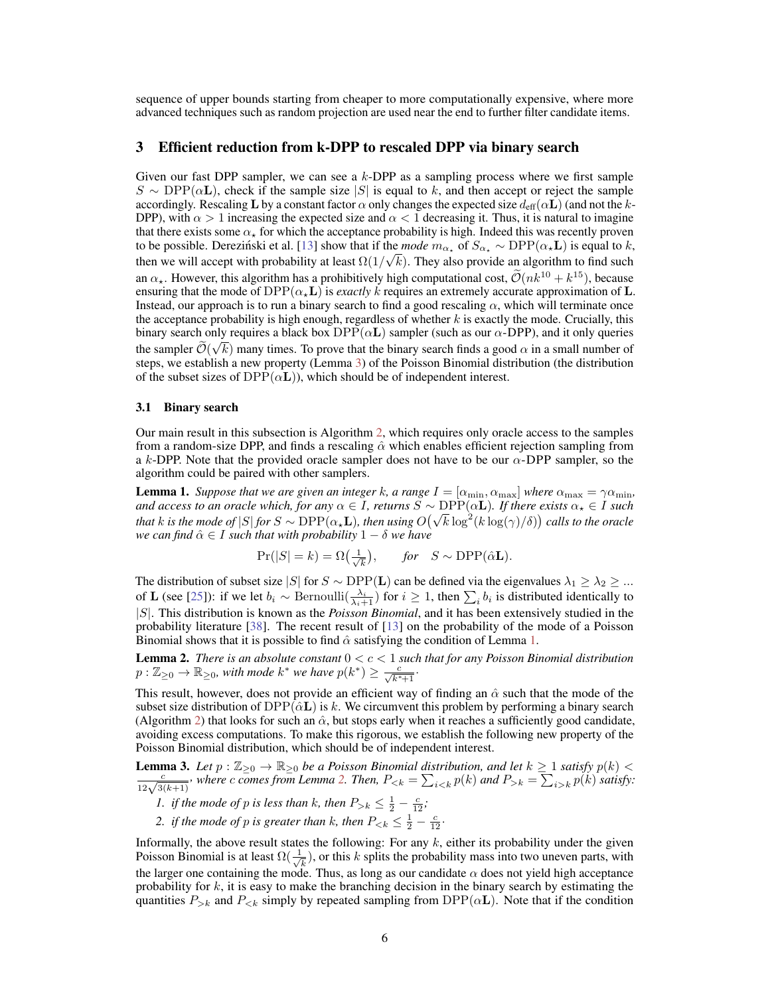sequence of upper bounds starting from cheaper to more computationally expensive, where more advanced techniques such as random projection are used near the end to further filter candidate items.

#### 3 Efficient reduction from k-DPP to rescaled DPP via binary search

Given our fast DPP sampler, we can see a k-DPP as a sampling process where we first sample  $S \sim \text{DPP}(\alpha L)$ , check if the sample size |S| is equal to k, and then accept or reject the sample accordingly. Rescaling L by a constant factor  $\alpha$  only changes the expected size  $d_{\text{eff}}(\alpha L)$  (and not the k-DPP), with  $\alpha > 1$  increasing the expected size and  $\alpha < 1$  decreasing it. Thus, it is natural to imagine that there exists some  $\alpha_{\star}$  for which the acceptance probability is high. Indeed this was recently proven to be possible. Dereziński et al. [13] show that if the *mode*  $m_{\alpha_{\star}}$  of  $S_{\alpha_{\star}} \sim \text{DPP}(\alpha_{\star} \mathbf{L})$  is equal to k, then we will accept with probability at least  $\Omega(1/\sqrt{k})$ . They also provide an algorithm to find such an  $\alpha_{\star}$ . However, this algorithm has a prohibitively high computational cost,  $\mathcal{O}(nk^{10} + k^{15})$ , because ensuring that the mode of  $DPP(\alpha,L)$  is *exactly k* requires an extremely accurate approximation of L. Instead, our approach is to run a binary search to find a good rescaling  $\alpha$ , which will terminate once the acceptance probability is high enough, regardless of whether  $k$  is exactly the mode. Crucially, this binary search only requires a black box  $DPP(\alpha L)$  sampler (such as our  $\alpha$ -DPP), and it only queries the sampler  $\mathcal{O}(\sqrt{k})$  many times. To prove that the binary search finds a good  $\alpha$  in a small number of steps, we establish a new property (Lemma 3) of the Poisson Binomial distribution (the distribution of the subset sizes of  $DPP(\alpha L)$ , which should be of independent interest.

#### 3.1 Binary search

Our main result in this subsection is Algorithm 2, which requires only oracle access to the samples from a random-size DPP, and finds a rescaling  $\hat{\alpha}$  which enables efficient rejection sampling from a k-DPP. Note that the provided oracle sampler does not have to be our  $\alpha$ -DPP sampler, so the algorithm could be paired with other samplers.

**Lemma 1.** *Suppose that we are given an integer k, a range*  $I = [\alpha_{\min}, \alpha_{\max}]$  *where*  $\alpha_{\max} = \gamma \alpha_{\min}$ *, and access to an oracle which, for any*  $\alpha \in I$ , *returns*  $\widetilde{S} \sim \text{DPP}(\alpha L)$ *. If there exists*  $\alpha_{\star} \in I$  *such that* k is the mode of |S| *for* S ∼ DPP( $\alpha_{\star}$ **L**), then using  $O(\sqrt{k} \log^2(k \log(\gamma)/\delta))$  calls to the oracle *we can find*  $\hat{\alpha} \in I$  *such that with probability*  $1 - \delta$  *we have* 

$$
Pr(|S| = k) = \Omega\left(\frac{1}{\sqrt{k}}\right), \quad \text{for} \quad S \sim \text{DPP}(\hat{\alpha} \mathbf{L}).
$$

The distribution of subset size |S| for  $S \sim \text{DPP}(\mathbf{L})$  can be defined via the eigenvalues  $\lambda_1 \geq \lambda_2 \geq ...$ of **L** (see [25]): if we let  $b_i \sim \text{Bernoulli}(\frac{\lambda_i}{\lambda_i+1})$  for  $i \geq 1$ , then  $\sum_i b_i$  is distributed identically to |S|. This distribution is known as the *Poisson Binomial*, and it has been extensively studied in the probability literature [38]. The recent result of [13] on the probability of the mode of a Poisson Binomial shows that it is possible to find  $\hat{\alpha}$  satisfying the condition of Lemma 1.

Lemma 2. *There is an absolute constant* 0 < c < 1 *such that for any Poisson Binomial distribution*  $p: \mathbb{Z}_{\geq 0} \to \mathbb{R}_{\geq 0}$ , with mode  $k^*$  we have  $p(k^*) \geq \frac{c}{\sqrt{k^*+1}}$ .

This result, however, does not provide an efficient way of finding an  $\hat{\alpha}$  such that the mode of the subset size distribution of  $DPP(\hat{\alpha} \mathbf{L})$  is k. We circumvent this problem by performing a binary search (Algorithm 2) that looks for such an  $\hat{\alpha}$ , but stops early when it reaches a sufficiently good candidate, avoiding excess computations. To make this rigorous, we establish the following new property of the Poisson Binomial distribution, which should be of independent interest.

**Lemma 3.** Let  $p : \mathbb{Z}_{\geq 0} \to \mathbb{R}_{\geq 0}$  be a Poisson Binomial distribution, and let  $k \geq 1$  satisfy  $p(k) < \frac{c}{12\sqrt{3(k+1)}}$ , where c comes from Lemma 2. Then,  $P_{\leq k} = \sum_{i \leq k} p(k)$  and  $P_{> k} = \sum_{i > k} p(k)$  satisfy:

- *1. if the mode of p is less than k, then*  $P_{>k} \leq \frac{1}{2} \frac{c}{12}$ ;
- 2. *if the mode of p is greater than k, then*  $P_{\le k} \le \frac{1}{2} \frac{c}{12}$ .

Informally, the above result states the following: For any  $k$ , either its probability under the given Poisson Binomial is at least  $\Omega(\frac{1}{\sqrt{2}})$  $(\frac{1}{k})$ , or this k splits the probability mass into two uneven parts, with the larger one containing the mode. Thus, as long as our candidate  $\alpha$  does not yield high acceptance probability for  $k$ , it is easy to make the branching decision in the binary search by estimating the quantities  $P_{>k}$  and  $P_{< k}$  simply by repeated sampling from DPP( $\alpha$ **L**). Note that if the condition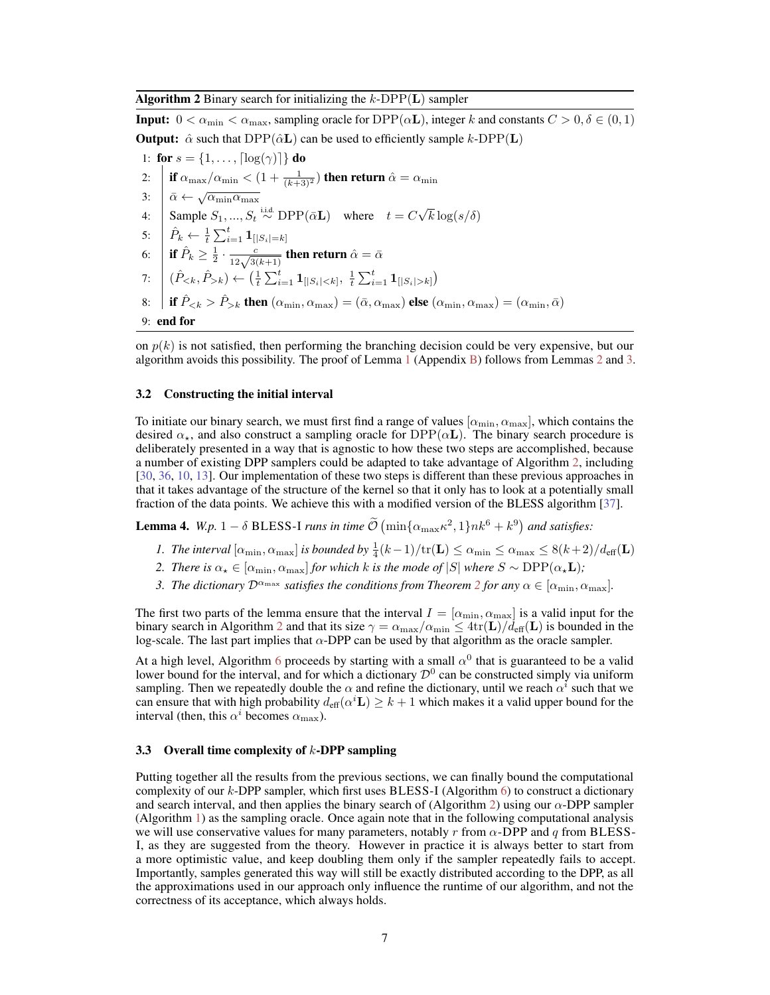Algorithm 2 Binary search for initializing the  $k$ -DPP(L) sampler

**Input:**  $0 < \alpha_{\min} < \alpha_{\max}$ , sampling oracle for  $DPP(\alpha L)$ , integer k and constants  $C > 0, \delta \in (0, 1)$ **Output:**  $\hat{\alpha}$  such that DPP( $\hat{\alpha}$ **L**) can be used to efficiently sample k-DPP(**L**) 1: for  $s = \{1, ..., \lceil \log(\gamma) \rceil\}$  do 2:  $\left\| \text{ if } \alpha_{\max}/\alpha_{\min} < (1 + \frac{1}{(k+3)^2}) \text{ then return } \hat{\alpha} = \alpha_{\min}$ 3:  $\vec{\alpha} \leftarrow \sqrt{\alpha_{\min} \alpha_{\max}}$ 4:  $\int_{0}^{\alpha} \frac{\sqrt{C_{\text{min}}}}{s} \cdot d\mu(x) d\mu(x) d\mu(x) d\mu(x)$  where  $t = C \sqrt{C_{\text{min}}^2}$  $k \log(s/\delta)$ 5:  $\left| \begin{array}{c} \hat{P}_k \leftarrow \frac{1}{t}\sum_{i=1}^t \mathbf{1}_{[|S_i|=k]} \end{array} \right.$ 6:  $\left\|\text{ if } \hat{P}_k \geq \frac{1}{2} \cdot \frac{c}{12\sqrt{3(k+1)}} \text{ then return } \hat{\alpha} = \bar{\alpha}$ 7:  $(\hat{P}_{\leq k}, \hat{P}_{> k}) \leftarrow (\frac{1}{t} \sum_{i=1}^t \mathbf{1}_{[|S_i| < k]}, \frac{1}{t} \sum_{i=1}^t \mathbf{1}_{[|S_i| > k]})$ 8: **if**  $\hat{P}_{\leq k} > \hat{P}_{>k}$  then  $(\alpha_{\min}, \alpha_{\max}) = (\bar{\alpha}, \alpha_{\max})$  else  $(\alpha_{\min}, \alpha_{\max}) = (\alpha_{\min}, \bar{\alpha})$ 

9: end for

on  $p(k)$  is not satisfied, then performing the branching decision could be very expensive, but our algorithm avoids this possibility. The proof of Lemma 1 (Appendix B) follows from Lemmas 2 and 3.

#### 3.2 Constructing the initial interval

To initiate our binary search, we must first find a range of values  $[\alpha_{\min}, \alpha_{\max}]$ , which contains the desired  $\alpha_{\star}$ , and also construct a sampling oracle for  $DPP(\alpha L)$ . The binary search procedure is deliberately presented in a way that is agnostic to how these two steps are accomplished, because a number of existing DPP samplers could be adapted to take advantage of Algorithm 2, including [30, 36, 10, 13]. Our implementation of these two steps is different than these previous approaches in that it takes advantage of the structure of the kernel so that it only has to look at a potentially small fraction of the data points. We achieve this with a modified version of the BLESS algorithm [37].

**Lemma 4.** *W.p.*  $1 - \delta$  **BLESS-I** *runs in time*  $\tilde{\mathcal{O}}\left(\min\{\alpha_{\max}\kappa^2, 1\}nk^6 + k^9\right)$  *and satisfies:* 

- *1. The interval*  $[\alpha_{\min}, \alpha_{\max}]$  *is bounded by*  $\frac{1}{4}(k-1)/\text{tr}(\mathbf{L}) \leq \alpha_{\min} \leq \alpha_{\max} \leq 8(k+2)/d_{\text{eff}}(\mathbf{L})$
- *2. There is*  $\alpha_{\star} \in [\alpha_{\min}, \alpha_{\max}]$  *for which k is the mode of*  $|S|$  *where*  $S \sim \text{DPP}(\alpha_{\star} \mathbf{L})$ *;*
- *3. The dictionary*  $\mathcal{D}^{\alpha_{\max}}$  *satisfies the conditions from Theorem 2 for any*  $\alpha \in [\alpha_{\min}, \alpha_{\max}]$ *.*

The first two parts of the lemma ensure that the interval  $I = [\alpha_{\min}, \alpha_{\max}]$  is a valid input for the binary search in Algorithm 2 and that its size  $\gamma = \alpha_{\max}/\alpha_{\min} \leq 4tr(L)/d_{eff}(L)$  is bounded in the log-scale. The last part implies that  $\alpha$ -DPP can be used by that algorithm as the oracle sampler.

At a high level, Algorithm 6 proceeds by starting with a small  $\alpha^0$  that is guaranteed to be a valid lower bound for the interval, and for which a dictionary  $\mathcal{D}^0$  can be constructed simply via uniform sampling. Then we repeatedly double the  $\alpha$  and refine the dictionary, until we reach  $\alpha^{i}$  such that we can ensure that with high probability  $d_{\text{eff}}(\alpha^i \mathbf{L}) \geq k+1$  which makes it a valid upper bound for the interval (then, this  $\alpha^i$  becomes  $\alpha_{\text{max}}$ ).

#### 3.3 Overall time complexity of  $k$ -DPP sampling

Putting together all the results from the previous sections, we can finally bound the computational complexity of our  $k$ -DPP sampler, which first uses BLESS-I (Algorithm  $6$ ) to construct a dictionary and search interval, and then applies the binary search of (Algorithm 2) using our  $\alpha$ -DPP sampler (Algorithm 1) as the sampling oracle. Once again note that in the following computational analysis we will use conservative values for many parameters, notably r from  $\alpha$ -DPP and q from BLESS-I, as they are suggested from the theory. However in practice it is always better to start from a more optimistic value, and keep doubling them only if the sampler repeatedly fails to accept. Importantly, samples generated this way will still be exactly distributed according to the DPP, as all the approximations used in our approach only influence the runtime of our algorithm, and not the correctness of its acceptance, which always holds.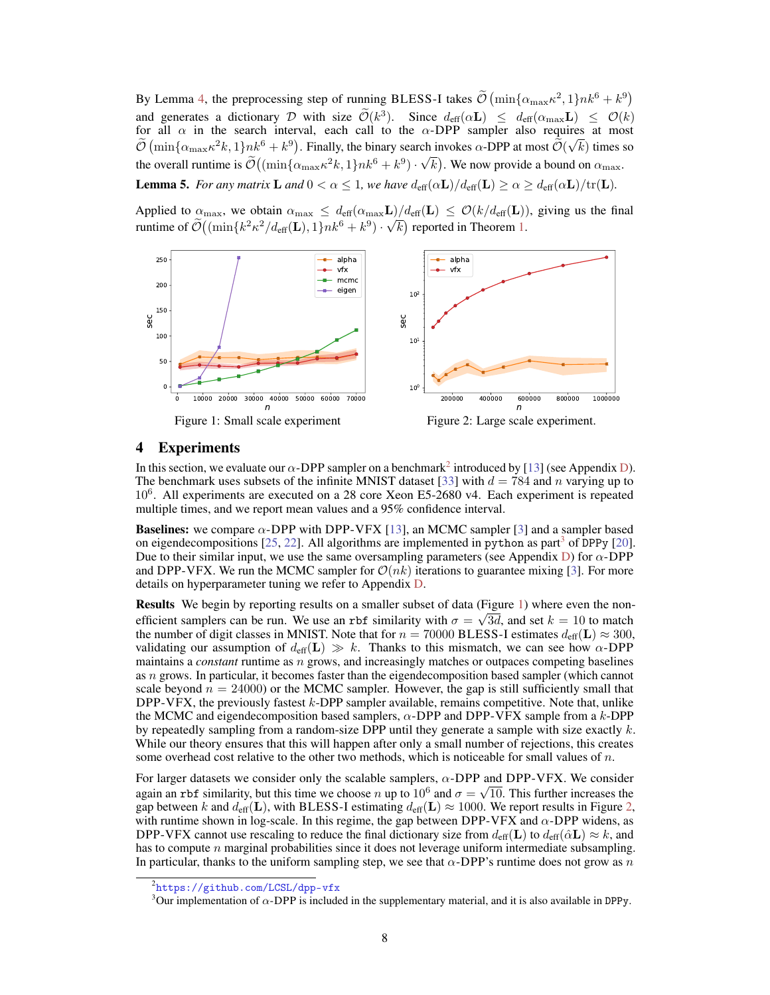By Lemma 4, the preprocessing step of running BLESS-I takes  $\tilde{\mathcal{O}}(\min{\{\alpha_{\max}\kappa^2,1\}}nk^6+k^9)$ and generates a dictionary D with size  $\widetilde{\mathcal{O}}(k^3)$ . Since  $d_{\text{eff}}(\alpha \mathbf{L}) \leq d_{\text{eff}}(\alpha_{\text{max}} \mathbf{L}) \leq \mathcal{O}(k)$ for all  $\alpha$  in the search interval, each call to the  $\alpha$ -DPP sampler also requires at most  $\tilde{\mathcal{O}}\left(\min\{\alpha_{\max}\kappa^2 k,1\}nk^6+k^9\right)$ . Finally, the binary search invokes  $\alpha$ -DPP at most  $\tilde{\mathcal{O}}(\sqrt{k})$  times so the overall runtime is  $\mathcal{O}((\min{\{\alpha_{\max}\kappa^2 k, 1\}} nk^6 + k^9) \cdot$ √  $\overline{k})$ . We now provide a bound on  $\alpha_{\max}$ . **Lemma 5.** *For any matrix* **L** *and*  $0 < \alpha \leq 1$ *, we have*  $d_{\text{eff}}(\alpha \mathbf{L})/d_{\text{eff}}(\mathbf{L}) \geq \alpha \geq d_{\text{eff}}(\alpha \mathbf{L})/\text{tr}(\mathbf{L})$ *.* 

Applied to  $\alpha_{\text{max}}$ , we obtain  $\alpha_{\text{max}} \leq d_{\text{eff}}(\alpha_{\text{max}}\mathbf{L})/d_{\text{eff}}(\mathbf{L}) \leq \mathcal{O}(k/d_{\text{eff}}(\mathbf{L}))$ , giving us the final runtime of  $\mathcal{O}((\min\{k^2\kappa^2/d_{\text{eff}}(\mathbf{L}), 1\}nk^6 + k^9) \cdot \sqrt{k})$  reported in Theorem 1.



Figure 1: Small scale experiment

Figure 2: Large scale experiment.

#### 4 Experiments

In this section, we evaluate our  $\alpha$ -DPP sampler on a benchmark<sup>2</sup> introduced by [13] (see Appendix D). The benchmark uses subsets of the infinite MNIST dataset [33] with  $d = 784$  and n varying up to 10<sup>6</sup> . All experiments are executed on a 28 core Xeon E5-2680 v4. Each experiment is repeated multiple times, and we report mean values and a 95% confidence interval.

**Baselines:** we compare  $\alpha$ -DPP with DPP-VFX [13], an MCMC sampler [3] and a sampler based on eigendecompositions  $[25, 22]$ . All algorithms are implemented in python as part<sup>3</sup> of DPPy  $[20]$ . Due to their similar input, we use the same oversampling parameters (see Appendix D) for  $\alpha$ -DPP and DPP-VFX. We run the MCMC sampler for  $\mathcal{O}(nk)$  iterations to guarantee mixing [3]. For more details on hyperparameter tuning we refer to Appendix D.

**Results** We begin by reporting results on a smaller subset of data (Figure 1) where even the nonefficient samplers can be run. We use an rbf similarity with  $\sigma = \sqrt{3}d$ , and set  $k = 10$  to match the number of digit classes in MNIST. Note that for  $n = 70000$  BLESS-I estimates  $d_{\text{eff}}(\mathbf{L}) \approx 300$ , validating our assumption of  $d_{\text{eff}}(\mathbf{L}) \gg k$ . Thanks to this mismatch, we can see how  $\alpha$ -DPP maintains a *constant* runtime as n grows, and increasingly matches or outpaces competing baselines as  $n$  grows. In particular, it becomes faster than the eigendecomposition based sampler (which cannot scale beyond  $n = 24000$  or the MCMC sampler. However, the gap is still sufficiently small that DPP-VFX, the previously fastest k-DPP sampler available, remains competitive. Note that, unlike the MCMC and eigendecomposition based samplers,  $\alpha$ -DPP and DPP-VFX sample from a k-DPP by repeatedly sampling from a random-size DPP until they generate a sample with size exactly  $k$ . While our theory ensures that this will happen after only a small number of rejections, this creates some overhead cost relative to the other two methods, which is noticeable for small values of  $n$ .

For larger datasets we consider only the scalable samplers,  $\alpha$ -DPP and DPP-VFX. We consider again an rbf similarity, but this time we choose n up to  $10^6$  and  $\sigma = \sqrt{10}$ . This further increases the gap between k and  $d_{\text{eff}}(\mathbf{L})$ , with BLESS-I estimating  $d_{\text{eff}}(\mathbf{L}) \approx 1000$ . We report results in Figure 2, with runtime shown in log-scale. In this regime, the gap between DPP-VFX and  $\alpha$ -DPP widens, as DPP-VFX cannot use rescaling to reduce the final dictionary size from  $d_{\text{eff}}(L)$  to  $d_{\text{eff}}(\hat{\alpha}L) \approx k$ , and has to compute  $n$  marginal probabilities since it does not leverage uniform intermediate subsampling. In particular, thanks to the uniform sampling step, we see that  $\alpha$ -DPP's runtime does not grow as n

<sup>2</sup> <https://github.com/LCSL/dpp-vfx>

<sup>&</sup>lt;sup>3</sup>Our implementation of  $\alpha$ -DPP is included in the supplementary material, and it is also available in DPPy.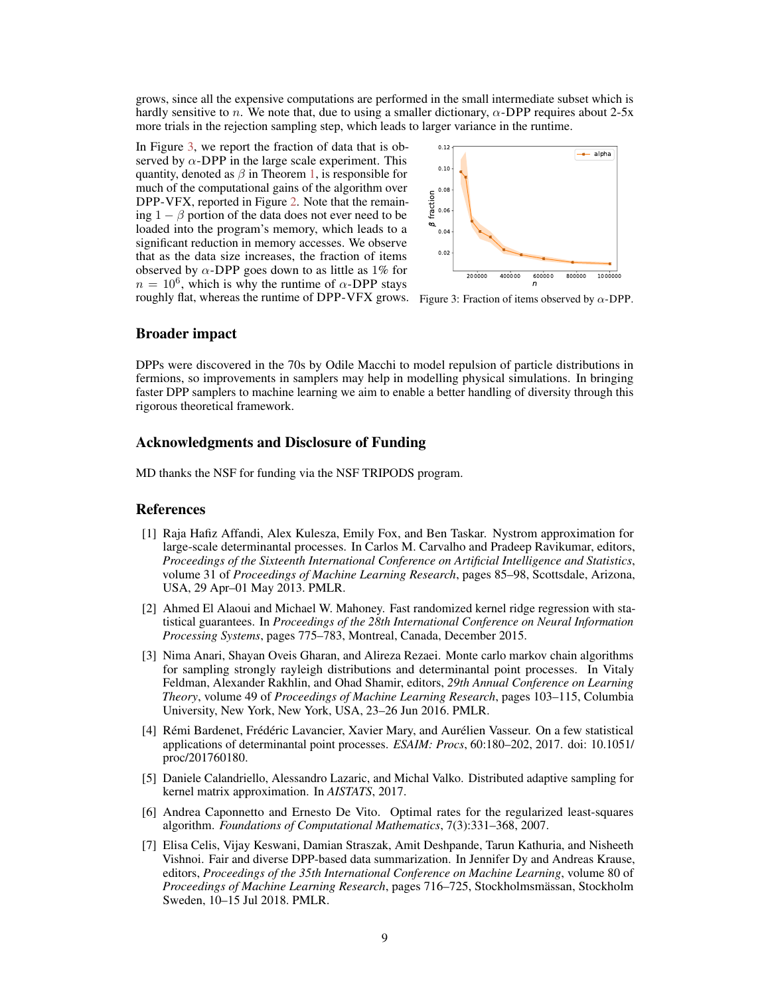grows, since all the expensive computations are performed in the small intermediate subset which is hardly sensitive to n. We note that, due to using a smaller dictionary,  $\alpha$ -DPP requires about 2-5x more trials in the rejection sampling step, which leads to larger variance in the runtime.

In Figure 3, we report the fraction of data that is observed by  $\alpha$ -DPP in the large scale experiment. This quantity, denoted as  $\beta$  in Theorem 1, is responsible for much of the computational gains of the algorithm over DPP-VFX, reported in Figure 2. Note that the remaining  $1 - \beta$  portion of the data does not ever need to be loaded into the program's memory, which leads to a significant reduction in memory accesses. We observe that as the data size increases, the fraction of items observed by  $\alpha$ -DPP goes down to as little as 1% for  $n = 10^6$ , which is why the runtime of  $\alpha$ -DPP stays



roughly flat, whereas the runtime of DPP-VFX grows. Figure 3: Fraction of items observed by  $\alpha$ -DPP.

#### Broader impact

DPPs were discovered in the 70s by Odile Macchi to model repulsion of particle distributions in fermions, so improvements in samplers may help in modelling physical simulations. In bringing faster DPP samplers to machine learning we aim to enable a better handling of diversity through this rigorous theoretical framework.

#### Acknowledgments and Disclosure of Funding

MD thanks the NSF for funding via the NSF TRIPODS program.

#### References

- [1] Raja Hafiz Affandi, Alex Kulesza, Emily Fox, and Ben Taskar. Nystrom approximation for large-scale determinantal processes. In Carlos M. Carvalho and Pradeep Ravikumar, editors, *Proceedings of the Sixteenth International Conference on Artificial Intelligence and Statistics*, volume 31 of *Proceedings of Machine Learning Research*, pages 85–98, Scottsdale, Arizona, USA, 29 Apr–01 May 2013. PMLR.
- [2] Ahmed El Alaoui and Michael W. Mahoney. Fast randomized kernel ridge regression with statistical guarantees. In *Proceedings of the 28th International Conference on Neural Information Processing Systems*, pages 775–783, Montreal, Canada, December 2015.
- [3] Nima Anari, Shayan Oveis Gharan, and Alireza Rezaei. Monte carlo markov chain algorithms for sampling strongly rayleigh distributions and determinantal point processes. In Vitaly Feldman, Alexander Rakhlin, and Ohad Shamir, editors, *29th Annual Conference on Learning Theory*, volume 49 of *Proceedings of Machine Learning Research*, pages 103–115, Columbia University, New York, New York, USA, 23–26 Jun 2016. PMLR.
- [4] Rémi Bardenet, Frédéric Lavancier, Xavier Mary, and Aurélien Vasseur. On a few statistical applications of determinantal point processes. *ESAIM: Procs*, 60:180–202, 2017. doi: 10.1051/ proc/201760180.
- [5] Daniele Calandriello, Alessandro Lazaric, and Michal Valko. Distributed adaptive sampling for kernel matrix approximation. In *AISTATS*, 2017.
- [6] Andrea Caponnetto and Ernesto De Vito. Optimal rates for the regularized least-squares algorithm. *Foundations of Computational Mathematics*, 7(3):331–368, 2007.
- [7] Elisa Celis, Vijay Keswani, Damian Straszak, Amit Deshpande, Tarun Kathuria, and Nisheeth Vishnoi. Fair and diverse DPP-based data summarization. In Jennifer Dy and Andreas Krause, editors, *Proceedings of the 35th International Conference on Machine Learning*, volume 80 of *Proceedings of Machine Learning Research*, pages 716–725, Stockholmsmässan, Stockholm Sweden, 10–15 Jul 2018. PMLR.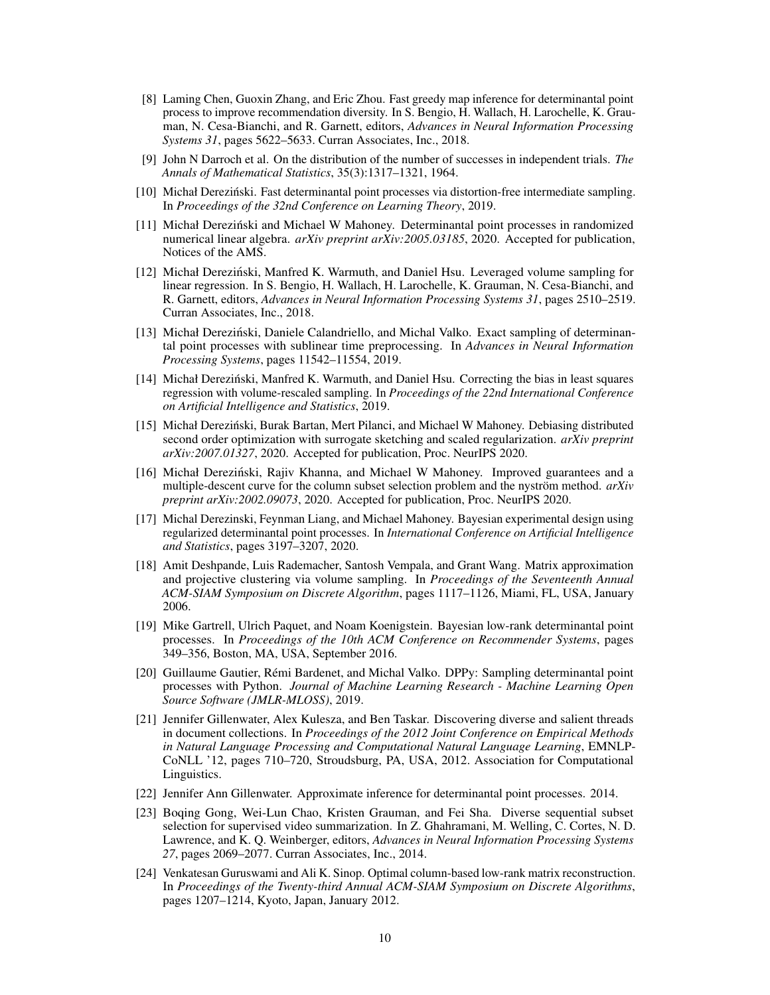- [8] Laming Chen, Guoxin Zhang, and Eric Zhou. Fast greedy map inference for determinantal point process to improve recommendation diversity. In S. Bengio, H. Wallach, H. Larochelle, K. Grauman, N. Cesa-Bianchi, and R. Garnett, editors, *Advances in Neural Information Processing Systems 31*, pages 5622–5633. Curran Associates, Inc., 2018.
- [9] John N Darroch et al. On the distribution of the number of successes in independent trials. *The Annals of Mathematical Statistics*, 35(3):1317–1321, 1964.
- [10] Michał Dereziński. Fast determinantal point processes via distortion-free intermediate sampling. In *Proceedings of the 32nd Conference on Learning Theory*, 2019.
- [11] Michał Dereziński and Michael W Mahoney. Determinantal point processes in randomized numerical linear algebra. *arXiv preprint arXiv:2005.03185*, 2020. Accepted for publication, Notices of the AMS.
- [12] Michał Dereziński, Manfred K. Warmuth, and Daniel Hsu. Leveraged volume sampling for linear regression. In S. Bengio, H. Wallach, H. Larochelle, K. Grauman, N. Cesa-Bianchi, and R. Garnett, editors, *Advances in Neural Information Processing Systems 31*, pages 2510–2519. Curran Associates, Inc., 2018.
- [13] Michał Dereziński, Daniele Calandriello, and Michal Valko. Exact sampling of determinantal point processes with sublinear time preprocessing. In *Advances in Neural Information Processing Systems*, pages 11542–11554, 2019.
- [14] Michał Dereziński, Manfred K. Warmuth, and Daniel Hsu. Correcting the bias in least squares regression with volume-rescaled sampling. In *Proceedings of the 22nd International Conference on Artificial Intelligence and Statistics*, 2019.
- [15] Michał Derezinski, Burak Bartan, Mert Pilanci, and Michael W Mahoney. Debiasing distributed ´ second order optimization with surrogate sketching and scaled regularization. *arXiv preprint arXiv:2007.01327*, 2020. Accepted for publication, Proc. NeurIPS 2020.
- [16] Michał Derezinski, Rajiv Khanna, and Michael W Mahoney. Improved guarantees and a ´ multiple-descent curve for the column subset selection problem and the nyström method. *arXiv preprint arXiv:2002.09073*, 2020. Accepted for publication, Proc. NeurIPS 2020.
- [17] Michal Derezinski, Feynman Liang, and Michael Mahoney. Bayesian experimental design using regularized determinantal point processes. In *International Conference on Artificial Intelligence and Statistics*, pages 3197–3207, 2020.
- [18] Amit Deshpande, Luis Rademacher, Santosh Vempala, and Grant Wang. Matrix approximation and projective clustering via volume sampling. In *Proceedings of the Seventeenth Annual ACM-SIAM Symposium on Discrete Algorithm*, pages 1117–1126, Miami, FL, USA, January 2006.
- [19] Mike Gartrell, Ulrich Paquet, and Noam Koenigstein. Bayesian low-rank determinantal point processes. In *Proceedings of the 10th ACM Conference on Recommender Systems*, pages 349–356, Boston, MA, USA, September 2016.
- [20] Guillaume Gautier, Rémi Bardenet, and Michal Valko. DPPy: Sampling determinantal point processes with Python. *Journal of Machine Learning Research - Machine Learning Open Source Software (JMLR-MLOSS)*, 2019.
- [21] Jennifer Gillenwater, Alex Kulesza, and Ben Taskar. Discovering diverse and salient threads in document collections. In *Proceedings of the 2012 Joint Conference on Empirical Methods in Natural Language Processing and Computational Natural Language Learning*, EMNLP-CoNLL '12, pages 710–720, Stroudsburg, PA, USA, 2012. Association for Computational Linguistics.
- [22] Jennifer Ann Gillenwater. Approximate inference for determinantal point processes. 2014.
- [23] Boqing Gong, Wei-Lun Chao, Kristen Grauman, and Fei Sha. Diverse sequential subset selection for supervised video summarization. In Z. Ghahramani, M. Welling, C. Cortes, N. D. Lawrence, and K. Q. Weinberger, editors, *Advances in Neural Information Processing Systems 27*, pages 2069–2077. Curran Associates, Inc., 2014.
- [24] Venkatesan Guruswami and Ali K. Sinop. Optimal column-based low-rank matrix reconstruction. In *Proceedings of the Twenty-third Annual ACM-SIAM Symposium on Discrete Algorithms*, pages 1207–1214, Kyoto, Japan, January 2012.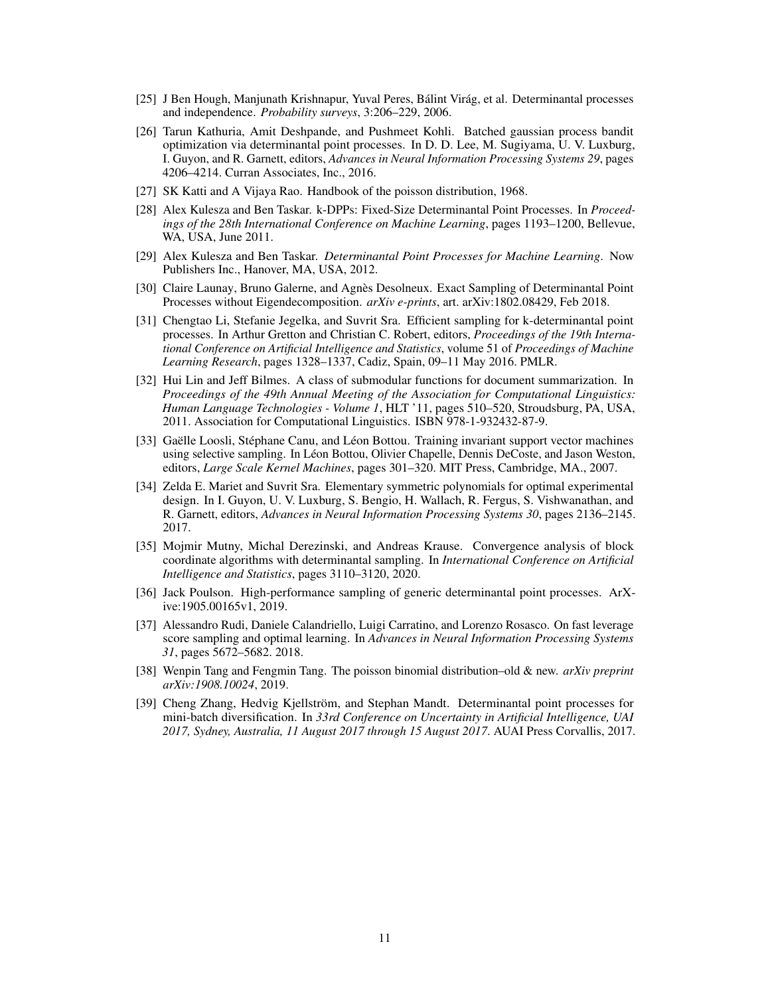- [25] J Ben Hough, Manjunath Krishnapur, Yuval Peres, Bálint Virág, et al. Determinantal processes and independence. *Probability surveys*, 3:206–229, 2006.
- [26] Tarun Kathuria, Amit Deshpande, and Pushmeet Kohli. Batched gaussian process bandit optimization via determinantal point processes. In D. D. Lee, M. Sugiyama, U. V. Luxburg, I. Guyon, and R. Garnett, editors, *Advances in Neural Information Processing Systems 29*, pages 4206–4214. Curran Associates, Inc., 2016.
- [27] SK Katti and A Vijaya Rao. Handbook of the poisson distribution, 1968.
- [28] Alex Kulesza and Ben Taskar. k-DPPs: Fixed-Size Determinantal Point Processes. In *Proceedings of the 28th International Conference on Machine Learning*, pages 1193–1200, Bellevue, WA, USA, June 2011.
- [29] Alex Kulesza and Ben Taskar. *Determinantal Point Processes for Machine Learning*. Now Publishers Inc., Hanover, MA, USA, 2012.
- [30] Claire Launay, Bruno Galerne, and Agnès Desolneux. Exact Sampling of Determinantal Point Processes without Eigendecomposition. *arXiv e-prints*, art. arXiv:1802.08429, Feb 2018.
- [31] Chengtao Li, Stefanie Jegelka, and Suvrit Sra. Efficient sampling for k-determinantal point processes. In Arthur Gretton and Christian C. Robert, editors, *Proceedings of the 19th International Conference on Artificial Intelligence and Statistics*, volume 51 of *Proceedings of Machine Learning Research*, pages 1328–1337, Cadiz, Spain, 09–11 May 2016. PMLR.
- [32] Hui Lin and Jeff Bilmes. A class of submodular functions for document summarization. In *Proceedings of the 49th Annual Meeting of the Association for Computational Linguistics: Human Language Technologies - Volume 1*, HLT '11, pages 510–520, Stroudsburg, PA, USA, 2011. Association for Computational Linguistics. ISBN 978-1-932432-87-9.
- [33] Gaëlle Loosli, Stéphane Canu, and Léon Bottou. Training invariant support vector machines using selective sampling. In Léon Bottou, Olivier Chapelle, Dennis DeCoste, and Jason Weston, editors, *Large Scale Kernel Machines*, pages 301–320. MIT Press, Cambridge, MA., 2007.
- [34] Zelda E. Mariet and Suvrit Sra. Elementary symmetric polynomials for optimal experimental design. In I. Guyon, U. V. Luxburg, S. Bengio, H. Wallach, R. Fergus, S. Vishwanathan, and R. Garnett, editors, *Advances in Neural Information Processing Systems 30*, pages 2136–2145. 2017.
- [35] Mojmir Mutny, Michal Derezinski, and Andreas Krause. Convergence analysis of block coordinate algorithms with determinantal sampling. In *International Conference on Artificial Intelligence and Statistics*, pages 3110–3120, 2020.
- [36] Jack Poulson. High-performance sampling of generic determinantal point processes. ArXive:1905.00165v1, 2019.
- [37] Alessandro Rudi, Daniele Calandriello, Luigi Carratino, and Lorenzo Rosasco. On fast leverage score sampling and optimal learning. In *Advances in Neural Information Processing Systems 31*, pages 5672–5682. 2018.
- [38] Wenpin Tang and Fengmin Tang. The poisson binomial distribution–old & new. *arXiv preprint arXiv:1908.10024*, 2019.
- [39] Cheng Zhang, Hedvig Kjellström, and Stephan Mandt. Determinantal point processes for mini-batch diversification. In *33rd Conference on Uncertainty in Artificial Intelligence, UAI 2017, Sydney, Australia, 11 August 2017 through 15 August 2017*. AUAI Press Corvallis, 2017.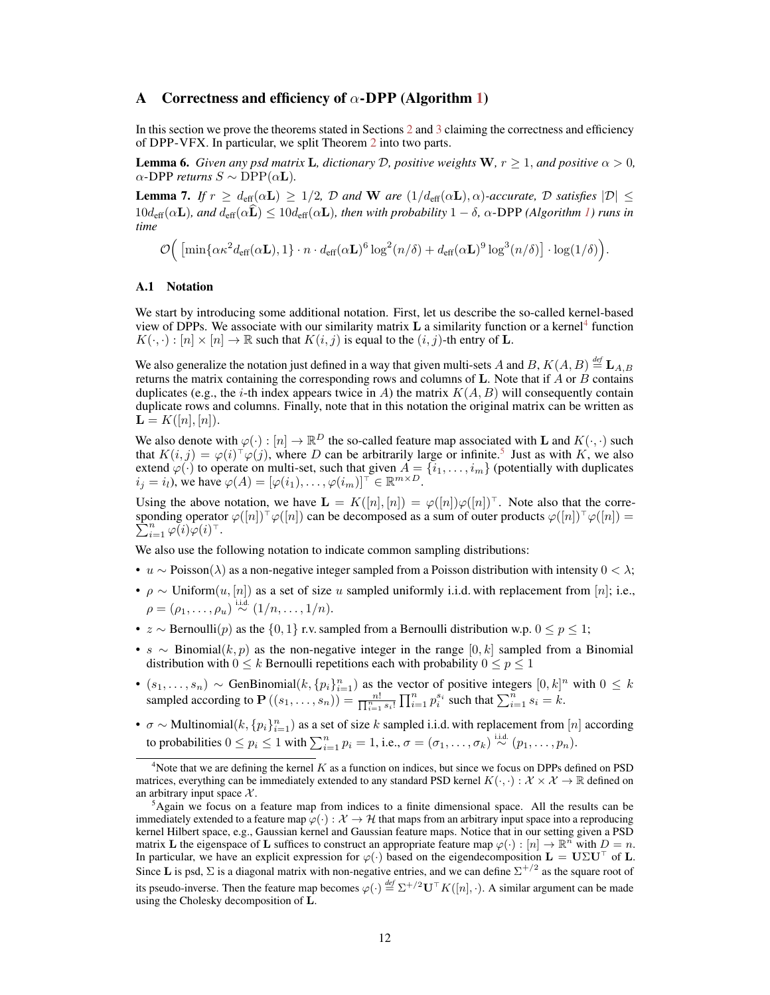#### A Correctness and efficiency of  $\alpha$ -DPP (Algorithm 1)

In this section we prove the theorems stated in Sections 2 and 3 claiming the correctness and efficiency of DPP-VFX. In particular, we split Theorem 2 into two parts.

**Lemma 6.** *Given any psd matrix* **L**, dictionary D, positive weights **W**,  $r \geq 1$ , and positive  $\alpha > 0$ ,  $\alpha$ -DPP *returns*  $S \sim \text{DPP}(\alpha L)$ .

**Lemma 7.** *If*  $r \geq d_{\text{eff}}(\alpha L) \geq 1/2$ ,  $\mathcal{D}$  *and* W *are*  $(1/d_{\text{eff}}(\alpha L), \alpha)$ *-accurate*,  $\mathcal{D}$  *satisfies*  $|\mathcal{D}| \leq$  $10d_{\text{eff}}(\alpha L)$ *, and*  $d_{\text{eff}}(\alpha \hat{\mathbf{L}}) \leq 10d_{\text{eff}}(\alpha L)$ *, then with probability*  $1 - \delta$ *,*  $\alpha$ -DPP (Algorithm 1) runs in *time*

$$
\mathcal{O}\Big( \left[\min\{\alpha\kappa^2d_{\textrm{eff}}(\alpha \mathbf{L}),1\}\cdot n\cdot d_{\textrm{eff}}(\alpha \mathbf{L})^6\log^2(n/\delta)+d_{\textrm{eff}}(\alpha \mathbf{L})^9\log^3(n/\delta)\right]\cdot \log(1/\delta)\Big).
$$

#### A.1 Notation

We start by introducing some additional notation. First, let us describe the so-called kernel-based view of DPPs. We associate with our similarity matrix  $L$  a similarity function or a kernel<sup>4</sup> function  $K(\cdot, \cdot): [n] \times [n] \to \mathbb{R}$  such that  $K(i, j)$  is equal to the  $(i, j)$ -th entry of **L**.

We also generalize the notation just defined in a way that given multi-sets A and B,  $K(A, B) \stackrel{\text{def}}{=} {\bf L}_{A,B}$ returns the matrix containing the corresponding rows and columns of L. Note that if  $\ddot{A}$  or  $\ddot{B}$  contains duplicates (e.g., the *i*-th index appears twice in A) the matrix  $K(A, B)$  will consequently contain duplicate rows and columns. Finally, note that in this notation the original matrix can be written as  ${\bf L} = K([n], [n]).$ 

We also denote with  $\varphi(\cdot): [n] \to \mathbb{R}^D$  the so-called feature map associated with **L** and  $K(\cdot, \cdot)$  such that  $K(i, j) = \varphi(i)^\top \varphi(j)$ , where D can be arbitrarily large or infinite.<sup>5</sup> Just as with K, we also extend  $\varphi(\cdot)$  to operate on multi-set, such that given  $A = \{i_1, \ldots, i_m\}$  (potentially with duplicates  $i_j = i_l$ , we have  $\varphi(A) = [\varphi(i_1), \dots, \varphi(i_m)]^{\top} \in \mathbb{R}^{m \times D}$ .

Using the above notation, we have  $\mathbf{L} = K([n], [n]) = \varphi([n])\varphi([n])^{\top}$ . Note also that the corresponding operator  $\varphi([n])\tau\varphi([n])$  can be decomposed as a sum of outer products  $\varphi([n])\tau\varphi([n]) =$  $\sum_{i=1}^n \varphi(i) \varphi(i)^\top.$ 

We also use the following notation to indicate common sampling distributions:

- u  $\sim$  Poisson( $\lambda$ ) as a non-negative integer sampled from a Poisson distribution with intensity  $0 < \lambda$ ;
- $\rho \sim$  Uniform $(u, [n])$  as a set of size u sampled uniformly i.i.d. with replacement from [n]; i.e.,  $\rho=(\rho_1,\ldots,\rho_u)\stackrel{\mathrm{i.i.d.}}{\sim}(1/n,\ldots,1/n).$
- z ∼ Bernoulli(p) as the  $\{0, 1\}$  r.v. sampled from a Bernoulli distribution w.p.  $0 \le p \le 1$ ;
- s ∼ Binomial $(k, p)$  as the non-negative integer in the range  $[0, k]$  sampled from a Binomial distribution with  $0 \leq k$  Bernoulli repetitions each with probability  $0 \leq p \leq 1$
- $(s_1, \ldots, s_n) \sim \text{GenBinomial}(k, \{p_i\}_{i=1}^n)$  as the vector of positive integers  $[0, k]^n$  with  $0 \leq k$ sampled according to  $\mathbf{P}((s_1,\ldots,s_n)) = \frac{n!}{\prod_{i=1}^n s_i!} \prod_{i=1}^n p_i^{s_i}$  such that  $\sum_{i=1}^n s_i = k$ .
- $\sigma \sim$  Multinomial $(k, \{p_i\}_{i=1}^n)$  as a set of size k sampled i.i.d. with replacement from  $[n]$  according to probabilities  $0 \le p_i \le 1$  with  $\sum_{i=1}^n p_i = 1$ , i.e.,  $\sigma = (\sigma_1, \ldots, \sigma_k) \stackrel{\text{i.i.d.}}{\sim} (p_1, \ldots, p_n)$ .

 $4$ Note that we are defining the kernel  $K$  as a function on indices, but since we focus on DPPs defined on PSD matrices, everything can be immediately extended to any standard PSD kernel  $K(\cdot, \cdot) : \mathcal{X} \times \mathcal{X} \to \mathbb{R}$  defined on an arbitrary input space  $X$ .

 ${}^{5}$ Again we focus on a feature map from indices to a finite dimensional space. All the results can be immediately extended to a feature map  $\varphi(\cdot): \mathcal{X} \to \mathcal{H}$  that maps from an arbitrary input space into a reproducing kernel Hilbert space, e.g., Gaussian kernel and Gaussian feature maps. Notice that in our setting given a PSD matrix **L** the eigenspace of **L** suffices to construct an appropriate feature map  $\varphi(\cdot) : [n] \to \mathbb{R}^n$  with  $D = n$ . In particular, we have an explicit expression for  $\varphi(\cdot)$  based on the eigendecomposition  $L = U\Sigma U^{\top}$  of L. Since **L** is psd,  $\Sigma$  is a diagonal matrix with non-negative entries, and we can define  $\Sigma^{+/2}$  as the square root of its pseudo-inverse. Then the feature map becomes  $\varphi(\cdot) \stackrel{def}{=} \Sigma^{+/2} \mathbf{U}^\top K([n], \cdot)$ . A similar argument can be made using the Cholesky decomposition of L.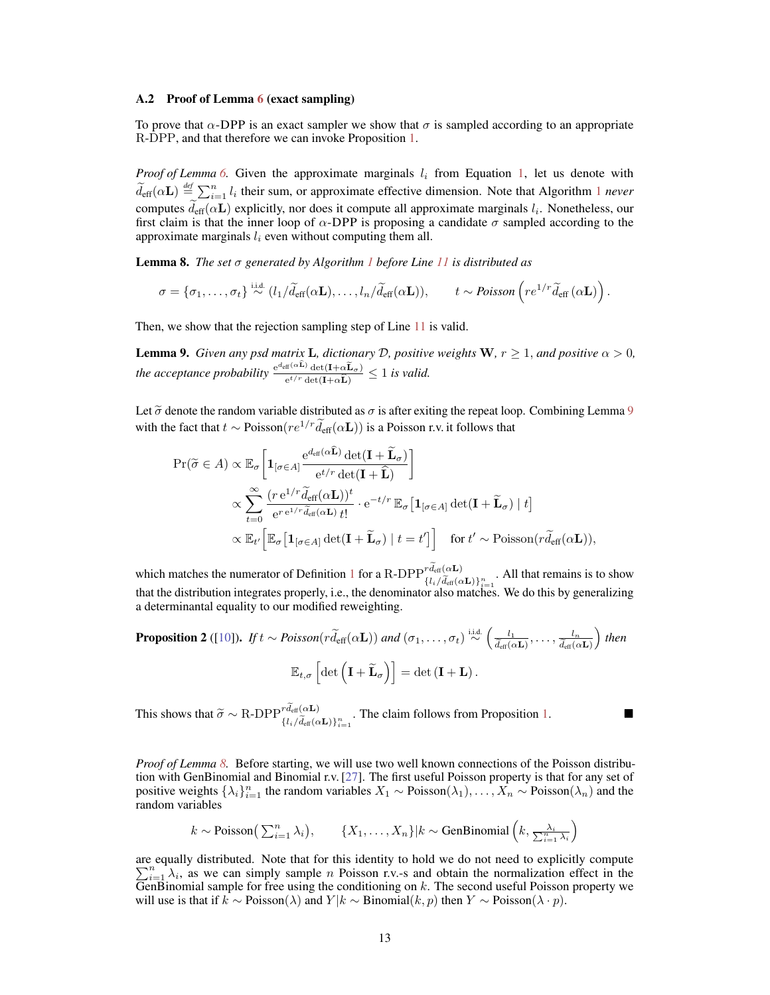#### A.2 Proof of Lemma 6 (exact sampling)

To prove that  $\alpha$ -DPP is an exact sampler we show that  $\sigma$  is sampled according to an appropriate R-DPP, and that therefore we can invoke Proposition 1.

*Proof of Lemma* 6. Given the approximate marginals  $l_i$  from Equation 1, let us denote with  $\tilde{d}_{\text{eff}}(\alpha L) \stackrel{\text{def}}{=} \sum_{i=1}^{n} l_i$  their sum, or approximate effective dimension. Note that Algorithm 1 *never* computes  $d_{\text{eff}}(\alpha L)$  explicitly, nor does it compute all approximate marginals  $l_i$ . Nonetheless, our first claim is that the inner loop of  $\alpha$ -DPP is proposing a candidate  $\sigma$  sampled according to the approximate marginals  $l_i$  even without computing them all.

Lemma 8. *The set* σ *generated by Algorithm 1 before Line 11 is distributed as*

$$
\sigma = \{\sigma_1, \ldots, \sigma_t\} \stackrel{\text{i.i.d.}}{\sim} (l_1/\widetilde{d}_{\text{eff}}(\alpha \mathbf{L}), \ldots, l_n/\widetilde{d}_{\text{eff}}(\alpha \mathbf{L})), \qquad t \sim \text{Poisson}\left(re^{1/r}\widetilde{d}_{\text{eff}}(\alpha \mathbf{L})\right).
$$

Then, we show that the rejection sampling step of Line 11 is valid.

**Lemma 9.** *Given any psd matrix* **L**, dictionary D, positive weights **W**,  $r \geq 1$ , and positive  $\alpha > 0$ , *the acceptance probability*  $\frac{e^{d_{\text{eff}}(\alpha L)} \det(I + \alpha \tilde{L}_{\sigma})}{e^{t/r} \det(I + \alpha \tilde{L})} \leq 1$  *is valid.* 

Let  $\tilde{\sigma}$  denote the random variable distributed as  $\sigma$  is after exiting the repeat loop. Combining Lemma 9 with the fact that  $t \sim \text{Poisson}(re^{1/r}d_{\text{eff}}(\alpha L))$  is a Poisson r.v. it follows that

$$
\Pr(\widetilde{\sigma} \in A) \propto \mathbb{E}_{\sigma} \left[ \mathbf{1}_{[\sigma \in A]} \frac{e^{d_{\text{eff}}(\alpha \mathbf{L})} \det(\mathbf{I} + \widetilde{\mathbf{L}}_{\sigma})}{e^{t/r} \det(\mathbf{I} + \widehat{\mathbf{L}})} \right]
$$
\n
$$
\propto \sum_{t=0}^{\infty} \frac{(r e^{1/r} \widetilde{d}_{\text{eff}}(\alpha \mathbf{L}))^t}{e^{r e^{1/r} \widetilde{d}_{\text{eff}}(\alpha \mathbf{L}) t!} \cdot e^{-t/r} \mathbb{E}_{\sigma} \left[ \mathbf{1}_{[\sigma \in A]} \det(\mathbf{I} + \widetilde{\mathbf{L}}_{\sigma}) \mid t \right]}
$$
\n
$$
\propto \mathbb{E}_{t'} \left[ \mathbb{E}_{\sigma} \left[ \mathbf{1}_{[\sigma \in A]} \det(\mathbf{I} + \widetilde{\mathbf{L}}_{\sigma}) \mid t = t' \right] \right] \quad \text{for } t' \sim \text{Poisson}(r \widetilde{d}_{\text{eff}}(\alpha \mathbf{L})),
$$

which matches the numerator of Definition 1 for a R-DPP  ${}^{rd_{\text{eff}}(\alpha L)}_{{l_i}/\tilde{d}_{\text{eff}}(\alpha L)}\}_{i=1}^n$ . All that remains is to show that the distribution integrates properly, i.e., the denominator also matches. We do this by generalizing a determinantal equality to our modified reweighting.

**Proposition 2** ([10]). *If* 
$$
t \sim Poisson(r\tilde{d}_{eff}(\alpha L))
$$
 *and*  $(\sigma_1, ..., \sigma_t) \stackrel{\text{i.i.d.}}{\sim} \left(\frac{l_1}{\tilde{d}_{eff}(\alpha L)}, ..., \frac{l_n}{\tilde{d}_{eff}(\alpha L)}\right)$  *then*  

$$
\mathbb{E}_{t,\sigma}\left[\det\left(\mathbf{I}+\widetilde{\mathbf{L}}_{\sigma}\right)\right] = \det\left(\mathbf{I}+\mathbf{L}\right).
$$

This shows that  $\widetilde{\sigma} \sim R$ -DPP ${}^{rd_{\text{eff}}(\alpha L)}_{\{l_i/\widetilde{d}_{\text{eff}}(\alpha L)\}_{i=1}^n}$ . The claim follows from Proposition 1.

*Proof of Lemma 8.* Before starting, we will use two well known connections of the Poisson distribution with GenBinomial and Binomial r.v. [27]. The first useful Poisson property is that for any set of positive weights  $\{\lambda_i\}_{i=1}^n$  the random variables  $X_1 \sim \text{Poisson}(\lambda_1), \ldots, X_n \sim \text{Poisson}(\lambda_n)$  and the random variables

$$
k \sim \text{Poisson}\left(\sum_{i=1}^n \lambda_i\right), \qquad \{X_1, \ldots, X_n\} | k \sim \text{GenBinomial}\left(k, \frac{\lambda_i}{\sum_{i=1}^n \lambda_i}\right)
$$

are equally distributed. Note that for this identity to hold we do not need to explicitly compute  $\sum_{i=1}^{n} \lambda_i$ , as we can simply sample *n* Poisson r.v.-s and obtain the normalization effect in the  $\overline{G}$ enBinomial sample for free using the conditioning on k. The second useful Poisson property we will use is that if  $k \sim \text{Poisson}(\lambda)$  and  $Y|k \sim \text{Binomial}(k, p)$  then  $Y \sim \text{Poisson}(\lambda \cdot p)$ .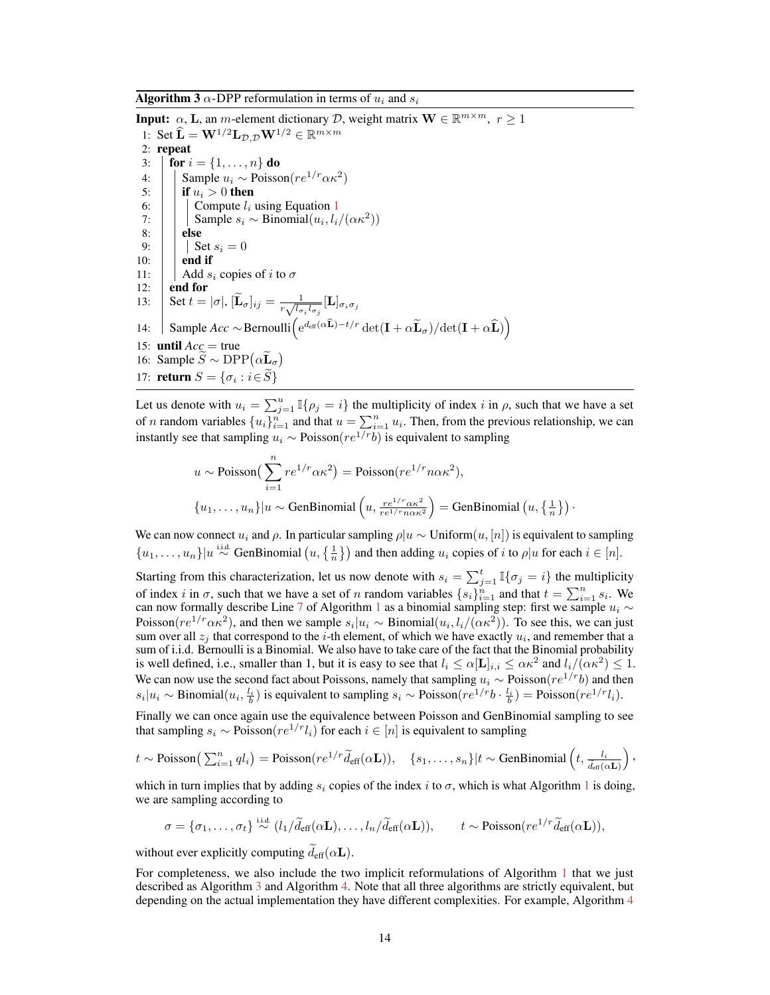**Algorithm 3**  $\alpha$ -DPP reformulation in terms of  $u_i$  and  $s_i$ 

**Input:**  $\alpha$ , **L**, an *m*-element dictionary *D*, weight matrix  $\mathbf{W} \in \mathbb{R}^{m \times m}$ ,  $r \ge 1$ 1: Set  $\widehat{\mathbf{L}} = \mathbf{W}^{1/2} \mathbf{L}_{\mathcal{D}, \mathcal{D}} \mathbf{W}^{1/2} \in \mathbb{R}^{m \times m}$ 2: repeat 3: **for**  $i = \{1, ..., n\}$  do 4: Sample  $u_i$  ∼ Poisson( $re^{1/r} \alpha \kappa^2$ ) 5: **if**  $u_i > 0$  then<br>6: **compute**  $l_i$ 6:  $\Big|\Big|\Big|$  Compute  $l_i$  using Equation 1<br>7: Sample  $s_i \sim \text{Binomial}(u_i, l_i)$ 7:  $\|\cdot\|$  Sample  $s_i \sim \text{Binomial}(u_i, l_i/(\alpha \kappa^2))$ 8: | else 9:  $\begin{array}{|c|c|} \hline 9: & \mathbf{Set} s_i = 0 \\ \hline 10: & \mathbf{end} \text{ if} \end{array}$ end if 11:  $\begin{array}{|c|c|} \hline \end{array}$  Add  $s_i$  copies of i to  $\sigma$ <br>12: **end for** end for 13: Set  $t = |\sigma|$ ,  $[\widetilde{\mathbf{L}}_{\sigma}]_{ij} = \frac{1}{r \sqrt{l_{\sigma}}}$  $\frac{1}{r\sqrt{l_{\sigma_i}l_{\sigma_j}}}[\mathbf{L}]_{\sigma_i\sigma_j}$ 14: Sample  $Acc \sim \text{Bernoulli}\left(e^{d_{\text{eff}}(\alpha \widehat{\mathbf{L}}) - t/r} \det(\mathbf{I} + \alpha \widetilde{\mathbf{L}}_{\sigma}) / \det(\mathbf{I} + \alpha \widehat{\mathbf{L}})\right)$ 15: **until**  $Acc = true$ 16: Sample  $\overline{S} \sim \text{DPP}(\alpha \overline{\mathbf{L}}_{\sigma})$ 17: **return**  $S = \{\sigma_i : i \in S\}$ 

Let us denote with  $u_i = \sum_{j=1}^u \mathbb{I}\{\rho_j = i\}$  the multiplicity of index i in  $\rho$ , such that we have a set of *n* random variables  $\{u_i\}_{i=1}^n$  and that  $u = \sum_{i=1}^n u_i$ . Then, from the previous relationship, we can instantly see that sampling  $u_i \sim \text{Poisson}(re^{1/r}b)$  is equivalent to sampling

$$
u \sim \text{Poisson}\left(\sum_{i=1}^{n} re^{1/r} \alpha \kappa^2\right) = \text{Poisson}(re^{1/r} n \alpha \kappa^2),
$$
  

$$
\{u_1, \dots, u_n\}|u \sim \text{GenBinomial}\left(u, \frac{re^{1/r} \alpha \kappa^2}{re^{1/r} n \alpha \kappa^2}\right) = \text{GenBinomial}\left(u, \left\{\frac{1}{n}\right\}\right).
$$

We can now connect  $u_i$  and  $\rho$ . In particular sampling  $\rho|u \sim \text{Uniform}(u, [n])$  is equivalent to sampling  $\{u_1,\ldots,u_n\}|u \stackrel{\text{i.i.d.}}{\sim} \text{GenBinomial}\left(u,\left\{\frac{1}{n}\right\}\right)$  and then adding  $u_i$  copies of i to  $\rho|u$  for each  $i \in [n]$ .

Starting from this characterization, let us now denote with  $s_i = \sum_{j=1}^t \mathbb{I}\{\sigma_j = i\}$  the multiplicity of index i in  $\sigma$ , such that we have a set of n random variables  $\{s_i\}_{i=1}^n$  and that  $t = \sum_{i=1}^n s_i$ . We can now formally describe Line 7 of Algorithm 1 as a binomial sampling step: first we sample  $u_i \sim$ Poisson( $re^{1/r}\alpha\kappa^2$ ), and then we sample  $s_i|u_i \sim \text{Binomial}(u_i, l_i/(\alpha\kappa^2))$ . To see this, we can just sum over all  $z_j$  that correspond to the *i*-th element, of which we have exactly  $u_i$ , and remember that a sum of i.i.d. Bernoulli is a Binomial. We also have to take care of the fact that the Binomial probability is well defined, i.e., smaller than 1, but it is easy to see that  $l_i \leq \alpha [\mathbf{L}]_{i,i} \leq \alpha \kappa^2$  and  $l_i/(\alpha \kappa^2) \leq 1$ . We can now use the second fact about Poissons, namely that sampling  $u_i \sim \text{Poisson}(re^{1/r}b)$  and then  $s_i|u_i \sim \text{Binomial}(u_i, \frac{l_i}{b})$  is equivalent to sampling  $s_i \sim \text{Poisson}(re^{1/r}b \cdot \frac{l_i}{b}) = \text{Poisson}(re^{1/r}l_i)$ .

Finally we can once again use the equivalence between Poisson and GenBinomial sampling to see that sampling  $s_i \sim \text{Poisson}(re^{1/r} l_i)$  for each  $i \in [n]$  is equivalent to sampling

$$
t \sim \text{Poisson}\left(\sum_{i=1}^n q l_i\right) = \text{Poisson}(re^{1/r} \widetilde{d}_{\text{eff}}(\alpha \mathbf{L})), \quad \{s_1, \ldots, s_n\} | t \sim \text{GenBinomial}\left(t, \frac{l_i}{\widetilde{d}_{\text{eff}}(\alpha \mathbf{L})}\right),
$$

which in turn implies that by adding  $s_i$  copies of the index i to  $\sigma$ , which is what Algorithm 1 is doing, we are sampling according to

$$
\sigma = {\sigma_1, \ldots, \sigma_t} \stackrel{\text{i.i.d.}}{\sim} (l_1/\widetilde{d}_{\text{eff}}(\alpha \mathbf{L}), \ldots, l_n/\widetilde{d}_{\text{eff}}(\alpha \mathbf{L})), \qquad t \sim \text{Poisson}(re^{1/r}\widetilde{d}_{\text{eff}}(\alpha \mathbf{L})),
$$

without ever explicitly computing  $d_{\text{eff}}(\alpha L)$ .

For completeness, we also include the two implicit reformulations of Algorithm 1 that we just described as Algorithm 3 and Algorithm 4. Note that all three algorithms are strictly equivalent, but depending on the actual implementation they have different complexities. For example, Algorithm 4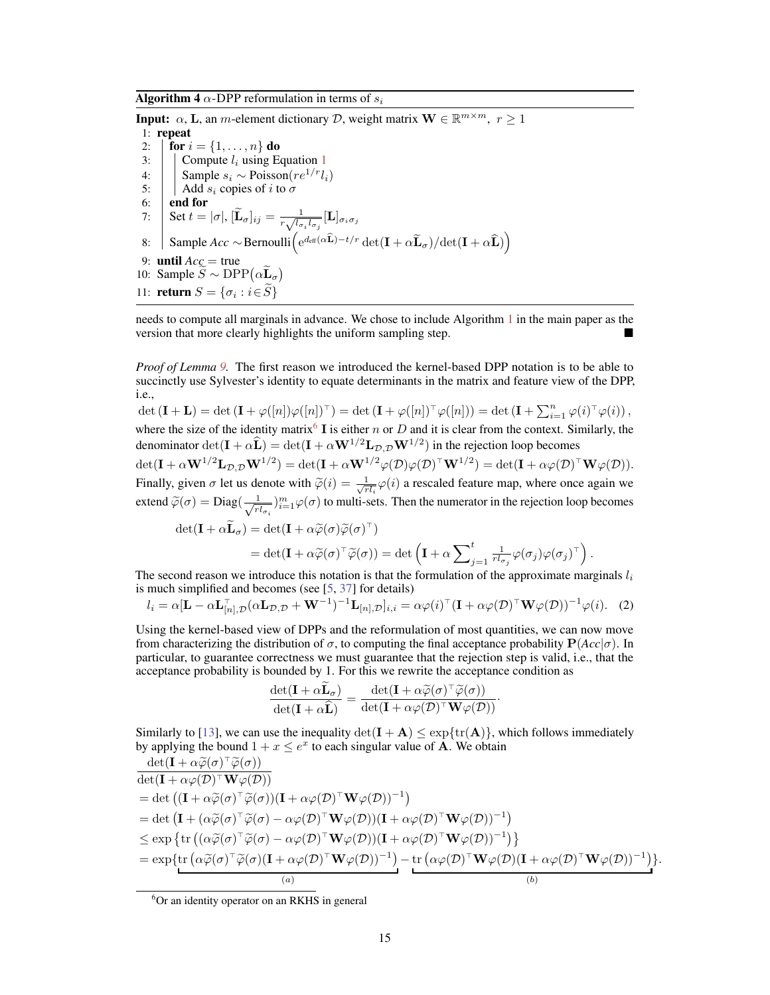**Algorithm 4**  $\alpha$ -DPP reformulation in terms of  $s_i$ 

**Input:**  $\alpha$ , **L**, an *m*-element dictionary *D*, weight matrix  $\mathbf{W} \in \mathbb{R}^{m \times m}$ ,  $r \ge 1$ 1: repeat 2: **for**  $i = \{1, ..., n\}$  do 3:  $\vert$  Compute  $l_i$  using Equation 1 4:  $\left|\right|$  Sample  $s_i \sim \text{Poisson}(re^{1/r}l_i)$ <br>5:  $\left| \right|$  Add  $s_i$  copies of i to  $\sigma$  $\vert$  Add  $s_i$  copies of i to  $\sigma$  $6:$  end for 7: Set  $t = |\sigma|$ ,  $[\widetilde{\mathbf{L}}_{\sigma}]_{ij} = \frac{1}{r \sqrt{l_{\sigma}}}$  $\frac{1}{r\sqrt{l_{\sigma_i}l_{\sigma_j}}}[\mathbf{L}]_{\sigma_i\sigma_j}$ 8: Sample *Acc* ∼Bernoulli $\left( e^{d_{\text{eff}}(\alpha \widehat{\mathbf{L}}) - t/r} \det(\mathbf{I} + \alpha \widetilde{\mathbf{L}}_{\sigma}) / \det(\mathbf{I} + \alpha \widehat{\mathbf{L}}) \right)$ 9: **until**  $Acc = true$ 10: Sample  $\overline{S} \sim \text{DPP}(\alpha \overline{\mathbf{L}}_{\sigma})$ 11: **return**  $S = \{\sigma_i : i \in S\}$ 

needs to compute all marginals in advance. We chose to include Algorithm 1 in the main paper as the version that more clearly highlights the uniform sampling step.

*Proof of Lemma 9.* The first reason we introduced the kernel-based DPP notation is to be able to succinctly use Sylvester's identity to equate determinants in the matrix and feature view of the DPP, i.e.,

 $\det(\mathbf{I} + \mathbf{L}) = \det(\mathbf{I} + \varphi([n])\varphi([n])^{\top}) = \det(\mathbf{I} + \varphi([n])^{\top}\varphi([n])) = \det(\mathbf{I} + \sum_{i=1}^{n} \varphi(i)^{\top}\varphi(i)),$ where the size of the identity matrix<sup>6</sup> I is either n or D and it is clear from the context. Similarly, the denominator  $\det(\mathbf{I} + \alpha \widehat{\mathbf{L}}) = \det(\mathbf{I} + \alpha \mathbf{W}^{1/2} \mathbf{L}_{\mathcal{D},\mathcal{D}} \mathbf{W}^{1/2})$  in the rejection loop becomes

 $\det(\mathbf{I}+\alpha\mathbf{W}^{1/2}\mathbf{L}_{\mathcal{D},\mathcal{D}}\mathbf{W}^{1/2})=\det(\mathbf{I}+\alpha\mathbf{W}^{1/2}\varphi(\mathcal{D})\varphi(\mathcal{D})^\top\mathbf{W}^{1/2})=\det(\mathbf{I}+\alpha\varphi(\mathcal{D})^\top\mathbf{W}\varphi(\mathcal{D})).$ Finally, given  $\sigma$  let us denote with  $\tilde{\varphi}(i) = \frac{1}{\sqrt{r}}$  $\frac{1}{r_l}$   $\varphi$ (*i*) a rescaled feature map, where once again we extend  $\widetilde{\varphi}(\sigma) = \text{Diag}(\frac{1}{\sqrt{r}})$  $\frac{1}{r l_{\sigma i}}$  ) $_{i=1}^{m} \varphi(\sigma)$  to multi-sets. Then the numerator in the rejection loop becomes

$$
\det(\mathbf{I} + \alpha \widetilde{\mathbf{L}}_{\sigma}) = \det(\mathbf{I} + \alpha \widetilde{\varphi}(\sigma) \widetilde{\varphi}(\sigma)^{\top})
$$
  
= 
$$
\det(\mathbf{I} + \alpha \widetilde{\varphi}(\sigma)^{\top} \widetilde{\varphi}(\sigma)) = \det\left(\mathbf{I} + \alpha \sum_{j=1}^{t} \frac{1}{rl_{\sigma_j}} \varphi(\sigma_j) \varphi(\sigma_j)^{\top}\right).
$$

The second reason we introduce this notation is that the formulation of the approximate marginals  $l_i$ is much simplified and becomes (see [5, 37] for details)

$$
l_i = \alpha [\mathbf{L} - \alpha \mathbf{L}_{[n], \mathcal{D}}^{\top} (\alpha \mathbf{L}_{\mathcal{D}, \mathcal{D}} + \mathbf{W}^{-1})^{-1} \mathbf{L}_{[n], \mathcal{D}}]_{i,i} = \alpha \varphi(i)^{\top} (\mathbf{I} + \alpha \varphi(\mathcal{D})^{\top} \mathbf{W} \varphi(\mathcal{D}))^{-1} \varphi(i). \tag{2}
$$

Using the kernel-based view of DPPs and the reformulation of most quantities, we can now move from characterizing the distribution of σ, to computing the final acceptance probability P(*Acc*|σ). In particular, to guarantee correctness we must guarantee that the rejection step is valid, i.e., that the acceptance probability is bounded by 1. For this we rewrite the acceptance condition as

$$
\frac{\det(\mathbf{I} + \alpha \mathbf{L}_{\sigma})}{\det(\mathbf{I} + \alpha \widehat{\mathbf{L}})} = \frac{\det(\mathbf{I} + \alpha \widetilde{\varphi}(\sigma)^{\top} \widetilde{\varphi}(\sigma))}{\det(\mathbf{I} + \alpha \varphi(\mathcal{D})^{\top} \mathbf{W} \varphi(\mathcal{D}))}.
$$

Similarly to [13], we can use the inequality  $\det(\mathbf{I} + \mathbf{A}) \leq \exp\{\text{tr}(\mathbf{A})\}\)$ , which follows immediately by applying the bound  $1 + x \le e^x$  to each singular value of **A**. We obtain

$$
\frac{\det(\mathbf{I} + \alpha\widetilde{\varphi}(\sigma)^{\top}\widetilde{\varphi}(\sigma))}{\det(\mathbf{I} + \alpha\varphi(\mathcal{D})^{\top}\mathbf{W}\varphi(\mathcal{D}))}
$$
\n
$$
= \det((\mathbf{I} + \alpha\widetilde{\varphi}(\sigma)^{\top}\widetilde{\varphi}(\sigma))(\mathbf{I} + \alpha\varphi(\mathcal{D})^{\top}\mathbf{W}\varphi(\mathcal{D}))^{-1})
$$
\n
$$
= \det(\mathbf{I} + (\alpha\widetilde{\varphi}(\sigma)^{\top}\widetilde{\varphi}(\sigma) - \alpha\varphi(\mathcal{D})^{\top}\mathbf{W}\varphi(\mathcal{D}))( \mathbf{I} + \alpha\varphi(\mathcal{D})^{\top}\mathbf{W}\varphi(\mathcal{D}))^{-1})
$$
\n
$$
\leq \exp\left\{\text{tr}\left((\alpha\widetilde{\varphi}(\sigma)^{\top}\widetilde{\varphi}(\sigma) - \alpha\varphi(\mathcal{D})^{\top}\mathbf{W}\varphi(\mathcal{D}))(\mathbf{I} + \alpha\varphi(\mathcal{D})^{\top}\mathbf{W}\varphi(\mathcal{D}))^{-1}\right)\right\}
$$
\n
$$
= \exp\{\text{tr}\left(\alpha\widetilde{\varphi}(\sigma)^{\top}\widetilde{\varphi}(\sigma)(\mathbf{I} + \alpha\varphi(\mathcal{D})^{\top}\mathbf{W}\varphi(\mathcal{D}))^{-1}) - \text{tr}\left(\alpha\varphi(\mathcal{D})^{\top}\mathbf{W}\varphi(\mathcal{D})(\mathbf{I} + \alpha\varphi(\mathcal{D})^{\top}\mathbf{W}\varphi(\mathcal{D}))^{-1}\right)\right\}.
$$

 ${}^{6}$ Or an identity operator on an RKHS in general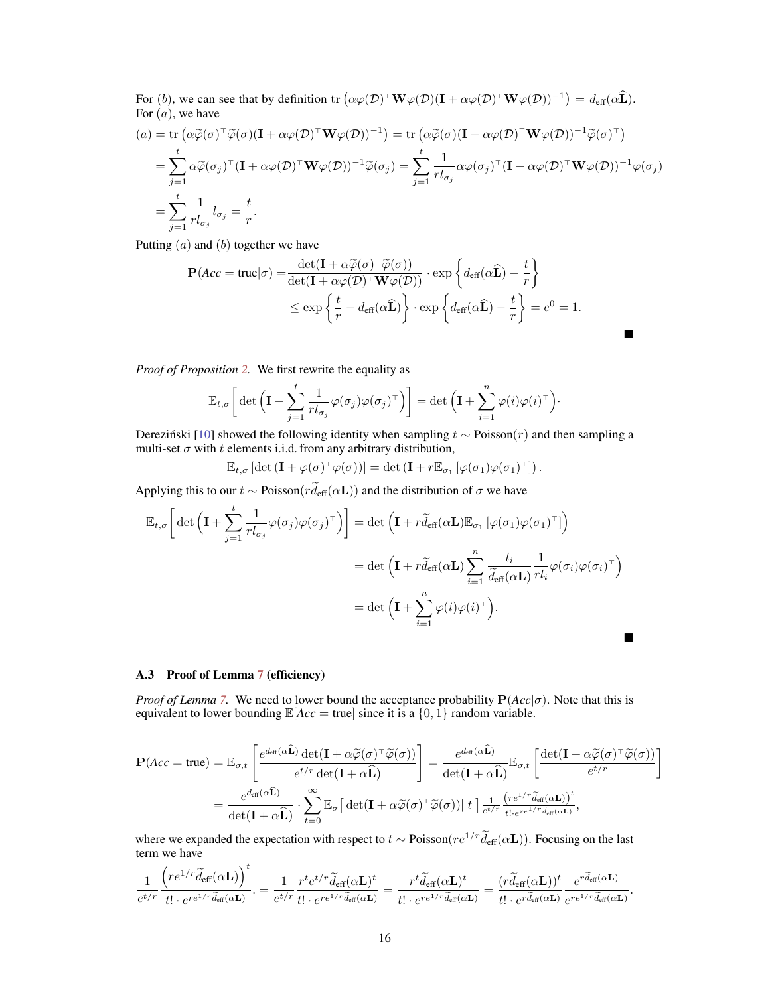For (b), we can see that by definition tr  $(\alpha \varphi(D)^{\top} \mathbf{W} \varphi(D)(\mathbf{I} + \alpha \varphi(D)^{\top} \mathbf{W} \varphi(D))^{-1}) = d_{\text{eff}}(\alpha \widehat{\mathbf{L}}).$ For  $(a)$ , we have

$$
(a) = \text{tr} \left( \alpha \widetilde{\varphi}(\sigma)^{\top} \widetilde{\varphi}(\sigma) (\mathbf{I} + \alpha \varphi(\mathcal{D})^{\top} \mathbf{W} \varphi(\mathcal{D}))^{-1} \right) = \text{tr} \left( \alpha \widetilde{\varphi}(\sigma) (\mathbf{I} + \alpha \varphi(\mathcal{D})^{\top} \mathbf{W} \varphi(\mathcal{D}))^{-1} \widetilde{\varphi}(\sigma)^{\top} \right)
$$
  
\n
$$
= \sum_{j=1}^{t} \alpha \widetilde{\varphi}(\sigma_j)^{\top} (\mathbf{I} + \alpha \varphi(\mathcal{D})^{\top} \mathbf{W} \varphi(\mathcal{D}))^{-1} \widetilde{\varphi}(\sigma_j) = \sum_{j=1}^{t} \frac{1}{r l_{\sigma_j}} \alpha \varphi(\sigma_j)^{\top} (\mathbf{I} + \alpha \varphi(\mathcal{D})^{\top} \mathbf{W} \varphi(\mathcal{D}))^{-1} \varphi(\sigma_j)
$$
  
\n
$$
= \sum_{j=1}^{t} \frac{1}{r l_{\sigma_j}} l_{\sigma_j} = \frac{t}{r}.
$$

Putting  $(a)$  and  $(b)$  together we have

$$
\mathbf{P}(Acc = \text{true}|\sigma) = \frac{\det(\mathbf{I} + \alpha \widetilde{\varphi}(\sigma)^{\top} \widetilde{\varphi}(\sigma))}{\det(\mathbf{I} + \alpha \varphi(\mathcal{D})^{\top} \mathbf{W} \varphi(\mathcal{D}))} \cdot \exp\left\{ d_{\text{eff}}(\alpha \widehat{\mathbf{L}}) - \frac{t}{r} \right\}
$$
  

$$
\leq \exp\left\{ \frac{t}{r} - d_{\text{eff}}(\alpha \widehat{\mathbf{L}}) \right\} \cdot \exp\left\{ d_{\text{eff}}(\alpha \widehat{\mathbf{L}}) - \frac{t}{r} \right\} = e^0 = 1.
$$

*Proof of Proposition 2.* We first rewrite the equality as

$$
\mathbb{E}_{t,\sigma}\bigg[\det\Big(\mathbf{I}+\sum_{j=1}^t\frac{1}{rl_{\sigma_j}}\varphi(\sigma_j)\varphi(\sigma_j)^{\top}\Big)\bigg]=\det\Big(\mathbf{I}+\sum_{i=1}^n\varphi(i)\varphi(i)^{\top}\Big)\cdot
$$

Derezinski [10] showed the following identity when sampling  $t \sim \text{Poisson}(r)$  and then sampling a multi-set  $\sigma$  with  $t$  elements i.i.d. from any arbitrary distribution,

$$
\mathbb{E}_{t,\sigma} \left[ \det \left( \mathbf{I} + \varphi(\sigma)^{\top} \varphi(\sigma) \right) \right] = \det \left( \mathbf{I} + r \mathbb{E}_{\sigma_1} \left[ \varphi(\sigma_1) \varphi(\sigma_1)^{\top} \right] \right).
$$

Applying this to our  $t \sim \text{Poisson}(r\tilde{d}_{\text{eff}}(\alpha L))$  and the distribution of  $\sigma$  we have

$$
\mathbb{E}_{t,\sigma} \bigg[ \det \Big( \mathbf{I} + \sum_{j=1}^t \frac{1}{r l_{\sigma_j}} \varphi(\sigma_j) \varphi(\sigma_j)^\top \Big) \bigg] = \det \Big( \mathbf{I} + r \widetilde{d}_{\text{eff}}(\alpha \mathbf{L}) \mathbb{E}_{\sigma_1} \left[ \varphi(\sigma_1) \varphi(\sigma_1)^\top \right] \Big) \n= \det \Big( \mathbf{I} + r \widetilde{d}_{\text{eff}}(\alpha \mathbf{L}) \sum_{i=1}^n \frac{l_i}{\widetilde{d}_{\text{eff}}(\alpha \mathbf{L})} \frac{1}{r l_i} \varphi(\sigma_i) \varphi(\sigma_i)^\top \Big) \n= \det \Big( \mathbf{I} + \sum_{i=1}^n \varphi(i) \varphi(i)^\top \Big).
$$

#### A.3 Proof of Lemma 7 (efficiency)

*Proof of Lemma* 7. We need to lower bound the acceptance probability  $P(Acc|\sigma)$ . Note that this is equivalent to lower bounding  $\mathbb{E}[Acc = true]$  since it is a  $\{0, 1\}$  random variable.

$$
\mathbf{P}(Acc = \text{true}) = \mathbb{E}_{\sigma, t} \left[ \frac{e^{d_{\text{eff}}(\alpha \widehat{\mathbf{L}})} \det(\mathbf{I} + \alpha \widetilde{\varphi}(\sigma)^{\top} \widetilde{\varphi}(\sigma))}{e^{t/r} \det(\mathbf{I} + \alpha \widehat{\mathbf{L}})} \right] = \frac{e^{d_{\text{eff}}(\alpha \widehat{\mathbf{L}})}}{\det(\mathbf{I} + \alpha \widehat{\mathbf{L}})} \mathbb{E}_{\sigma, t} \left[ \frac{\det(\mathbf{I} + \alpha \widetilde{\varphi}(\sigma)^{\top} \widetilde{\varphi}(\sigma))}{e^{t/r}} \right]
$$

$$
= \frac{e^{d_{\text{eff}}(\alpha \widehat{\mathbf{L}})}}{\det(\mathbf{I} + \alpha \widehat{\mathbf{L}})} \cdot \sum_{t=0}^{\infty} \mathbb{E}_{\sigma} \left[ \det(\mathbf{I} + \alpha \widetilde{\varphi}(\sigma)^{\top} \widetilde{\varphi}(\sigma)) \right] t \right] \frac{1}{e^{t/r}} \frac{(re^{1/r} \widetilde{d}_{\text{eff}}(\alpha \mathbf{L}))^t}{t! \cdot e^{re^{1/r} \widetilde{d}_{\text{eff}}(\alpha \mathbf{L})}},
$$

where we expanded the expectation with respect to  $t \sim \text{Poisson}(re^{1/r}\tilde{d}_{\text{eff}}(\alpha L))$ . Focusing on the last term we have

$$
\frac{1}{e^{t/r}}\frac{\left(re^{1/r}\widetilde{d}_{\text{eff}}(\alpha \mathbf{L})\right)^t}{t!\cdot e^{re^{1/r}\widetilde{d}_{\text{eff}}(\alpha \mathbf{L})}} = \frac{1}{e^{t/r}}\frac{r^te^{t/r}\widetilde{d}_{\text{eff}}(\alpha \mathbf{L})^t}{t!\cdot e^{re^{1/r}\widetilde{d}_{\text{eff}}(\alpha \mathbf{L})}} = \frac{r^t\widetilde{d}_{\text{eff}}(\alpha \mathbf{L})^t}{t!\cdot e^{re^{1/r}\widetilde{d}_{\text{eff}}(\alpha \mathbf{L})}} = \frac{(r\widetilde{d}_{\text{eff}}(\alpha \mathbf{L}))^t}{t!\cdot e^{r\widetilde{d}_{\text{eff}}(\alpha \mathbf{L})}}\frac{e^{r\widetilde{d}_{\text{eff}}(\alpha \mathbf{L})}}{e^{re^{1/r}\widetilde{d}_{\text{eff}}(\alpha \mathbf{L})}}.
$$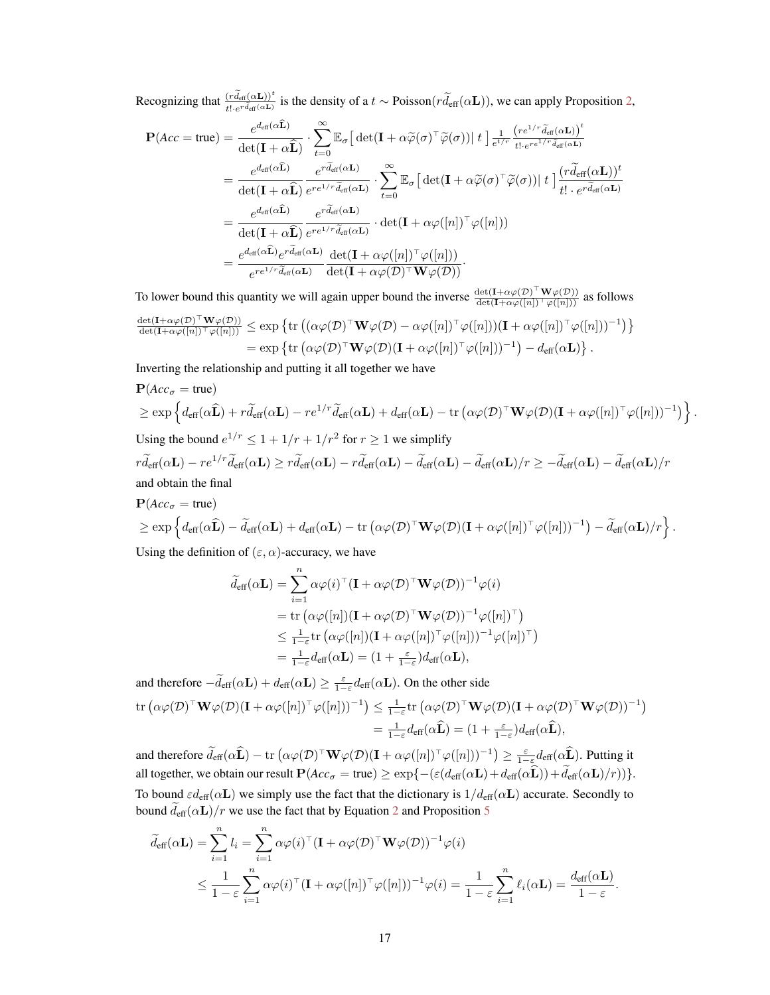Recognizing that  $\frac{(r\widetilde{d}_{\text{eff}}(\alpha L))^{t}}{t! \cdot e^{r\widetilde{d}_{\text{eff}}(\alpha L)}}$  is the density of a  $t \sim \text{Poisson}(r\widetilde{d}_{\text{eff}}(\alpha L))$ , we can apply Proposition 2,

$$
\mathbf{P}(Acc = true) = \frac{e^{d_{\text{eff}}(\alpha \hat{\mathbf{L}})}}{\det(\mathbf{I} + \alpha \hat{\mathbf{L}})} \cdot \sum_{t=0}^{\infty} \mathbb{E}_{\sigma} \left[ \det(\mathbf{I} + \alpha \widetilde{\varphi}(\sigma)^{\top} \widetilde{\varphi}(\sigma)) \right] t \right] \frac{1}{e^{t/\tau}} \frac{(re^{1/\tau} \widetilde{d}_{\text{eff}}(\alpha \mathbf{L}))^{t}}{t! \cdot e^{r e^{1/\tau} \widetilde{d}_{\text{eff}}(\alpha \mathbf{L})}} \n= \frac{e^{d_{\text{eff}}(\alpha \hat{\mathbf{L}})}}{\det(\mathbf{I} + \alpha \widehat{\mathbf{L}})} \frac{e^{r \widetilde{d}_{\text{eff}}(\alpha \mathbf{L})}}{e^{r e^{1/\tau} \widetilde{d}_{\text{eff}}(\alpha \mathbf{L})}} \cdot \sum_{t=0}^{\infty} \mathbb{E}_{\sigma} \left[ \det(\mathbf{I} + \alpha \widetilde{\varphi}(\sigma)^{\top} \widetilde{\varphi}(\sigma)) \right] t \right] \frac{(r \widetilde{d}_{\text{eff}}(\alpha \mathbf{L}))^{t}}{t! \cdot e^{r \widetilde{d}_{\text{eff}}(\alpha \mathbf{L})}} \n= \frac{e^{d_{\text{eff}}(\alpha \hat{\mathbf{L}})}}{\det(\mathbf{I} + \alpha \widehat{\mathbf{L}})} \frac{e^{r \widetilde{d}_{\text{eff}}(\alpha \mathbf{L})}}{e^{r e^{1/\tau} \widetilde{d}_{\text{eff}}(\alpha \mathbf{L})}} \cdot \det(\mathbf{I} + \alpha \varphi([n])^{\top} \varphi([n])) \n= \frac{e^{d_{\text{eff}}(\alpha \hat{\mathbf{L}})} e^{r \widetilde{d}_{\text{eff}}(\alpha \mathbf{L})}}{e^{r e^{1/\tau} \widetilde{d}_{\text{eff}}(\alpha \mathbf{L})}} \frac{\det(\mathbf{I} + \alpha \varphi([n])^{\top} \varphi([n]))}{\det(\mathbf{I} + \alpha \varphi(\mathcal{D})^{\top} \mathbf{W} \varphi(\mathcal{D}))}.
$$

To lower bound this quantity we will again upper bound the inverse  $\frac{\det(I + \alpha \varphi(D)^\top \mathbf{W} \varphi(D))}{\det(I + \alpha \varphi([n])^\top \varphi([n]))}$  as follows

$$
\frac{\det(\mathbf{I} + \alpha \varphi(\mathcal{D})^{\top} \mathbf{W} \varphi(\mathcal{D}))}{\det(\mathbf{I} + \alpha \varphi([n])^{\top} \varphi([n]))} \leq \exp \left\{ \operatorname{tr} \left( (\alpha \varphi(\mathcal{D})^{\top} \mathbf{W} \varphi(\mathcal{D}) - \alpha \varphi([n])^{\top} \varphi([n]))(\mathbf{I} + \alpha \varphi([n])^{\top} \varphi([n]))^{-1} \right) \right\} \n= \exp \left\{ \operatorname{tr} \left( \alpha \varphi(\mathcal{D})^{\top} \mathbf{W} \varphi(\mathcal{D}) (\mathbf{I} + \alpha \varphi([n])^{\top} \varphi([n]))^{-1} \right) - d_{\text{eff}}(\alpha \mathbf{L}) \right\}.
$$

Inverting the relationship and putting it all together we have

$$
\mathbf{P}(Acc_{\sigma} = \text{true})
$$
\n
$$
\geq \exp \left\{ d_{\text{eff}}(\alpha \hat{\mathbf{L}}) + r \widetilde{d}_{\text{eff}}(\alpha \mathbf{L}) - r e^{1/r} \widetilde{d}_{\text{eff}}(\alpha \mathbf{L}) + d_{\text{eff}}(\alpha \mathbf{L}) - \text{tr} \left( \alpha \varphi(\mathcal{D})^{\top} \mathbf{W} \varphi(\mathcal{D}) (\mathbf{I} + \alpha \varphi([n])^{\top} \varphi([n]))^{-1} \right) \right\}.
$$
\nUsing the bound  $e^{1/r} \leq 1 + 1/r + 1/r^2$  for  $r \geq 1$  we simplify

\n
$$
r \widetilde{d}_{\text{eff}}(\alpha \mathbf{L}) - r e^{1/r} \widetilde{d}_{\text{eff}}(\alpha \mathbf{L}) \geq r \widetilde{d}_{\text{eff}}(\alpha \mathbf{L}) - r \widetilde{d}_{\text{eff}}(\alpha \mathbf{L}) - \widetilde{d}_{\text{eff}}(\alpha \mathbf{L}) - \widetilde{d}_{\text{eff}}(\alpha \mathbf{L})/r \geq - \widetilde{d}_{\text{eff}}(\alpha \mathbf{L}) - \widetilde{d}_{\text{eff}}(\alpha \mathbf{L})/r
$$
\nand obtain the final

$$
\mathbf{P}(Acc_{\sigma} = \text{true})
$$
  
\n
$$
\geq \exp \left\{ d_{\text{eff}}(\alpha \widehat{\mathbf{L}}) - \widetilde{d}_{\text{eff}}(\alpha \mathbf{L}) + d_{\text{eff}}(\alpha \mathbf{L}) - \text{tr} \left( \alpha \varphi(\mathcal{D})^{\top} \mathbf{W} \varphi(\mathcal{D}) (\mathbf{I} + \alpha \varphi([n])^{\top} \varphi([n]))^{-1} \right) - \widetilde{d}_{\text{eff}}(\alpha \mathbf{L})/r \right\}.
$$

Using the definition of  $(\varepsilon, \alpha)$ -accuracy, we have

$$
\widetilde{d}_{\text{eff}}(\alpha \mathbf{L}) = \sum_{i=1}^{n} \alpha \varphi(i)^{\top} (\mathbf{I} + \alpha \varphi(\mathcal{D})^{\top} \mathbf{W} \varphi(\mathcal{D}))^{-1} \varphi(i)
$$
\n
$$
= \text{tr} \left( \alpha \varphi([n])(\mathbf{I} + \alpha \varphi(\mathcal{D})^{\top} \mathbf{W} \varphi(\mathcal{D}))^{-1} \varphi([n])^{\top} \right)
$$
\n
$$
\leq \frac{1}{1 - \varepsilon} \text{tr} \left( \alpha \varphi([n])(\mathbf{I} + \alpha \varphi([n])^{\top} \varphi([n]))^{-1} \varphi([n])^{\top} \right)
$$
\n
$$
= \frac{1}{1 - \varepsilon} d_{\text{eff}}(\alpha \mathbf{L}) = (1 + \frac{\varepsilon}{1 - \varepsilon}) d_{\text{eff}}(\alpha \mathbf{L}),
$$

and therefore  $-\tilde{d}_{\text{eff}}(\alpha \mathbf{L}) + d_{\text{eff}}(\alpha \mathbf{L}) \ge \frac{\varepsilon}{1-\varepsilon} d_{\text{eff}}(\alpha \mathbf{L})$ . On the other side  $\mathrm{tr} \left( \alpha \varphi (\mathcal{D})^\top \mathbf{W} \varphi (\mathcal{D}) (\mathbf{I} + \alpha \varphi([n])^\top \varphi([n]))^{-1} \right) \leq \frac{1}{1-\varepsilon} \mathrm{tr} \left( \alpha \varphi (\mathcal{D})^\top \mathbf{W} \varphi (\mathcal{D}) (\mathbf{I} + \alpha \varphi(\mathcal{D})^\top \mathbf{W} \varphi (\mathcal{D}))^{-1} \right)$ 

$$
\begin{aligned} \n\Delta \varphi(D) \quad \mathbf{W} \varphi(D) (\mathbf{I} + \alpha \varphi([n]) \varphi([n])) \quad & \int \geq \frac{1}{1 - \varepsilon} \mathbf{U} \left( \alpha \varphi(D) \quad \mathbf{W} \varphi(D) (\mathbf{I} + \alpha \varphi(D) \quad \mathbf{W} \varphi(D)) \right) \\ \n&= \frac{1}{1 - \varepsilon} d_{\text{eff}}(\alpha \widehat{\mathbf{L}}) = \left( 1 + \frac{\varepsilon}{1 - \varepsilon} \right) d_{\text{eff}}(\alpha \widehat{\mathbf{L}}), \n\end{aligned}
$$

and therefore  $\widetilde{d}_{\text{eff}}(\alpha \widehat{\mathbf{L}}) - \text{tr}\left(\alpha \varphi(\mathcal{D})^{\top} \mathbf{W} \varphi(\mathcal{D})(\mathbf{I} + \alpha \varphi([n])^{\top} \varphi([n]))^{-1}\right) \geq \frac{\varepsilon}{1-\varepsilon} d_{\text{eff}}(\alpha \widehat{\mathbf{L}}).$  Putting it all together, we obtain our result  $\mathbf{P}(Acc_{\sigma} = \text{true}) \ge \exp\{- (\varepsilon (d_{\text{eff}}(\alpha \mathbf{L}) + d_{\text{eff}}(\alpha \widehat{\mathbf{L}})) + \widetilde{d}_{\text{eff}}(\alpha \mathbf{L})/r) )\}.$ To bound  $\varepsilon d_{\text{eff}}(\alpha L)$  we simply use the fact that the dictionary is  $1/d_{\text{eff}}(\alpha L)$  accurate. Secondly to bound  $\tilde{d}_{\text{eff}}(\alpha \mathbf{L})/r$  we use the fact that by Equation 2 and Proposition 5

$$
\widetilde{d}_{\text{eff}}(\alpha \mathbf{L}) = \sum_{i=1}^{n} l_i = \sum_{i=1}^{n} \alpha \varphi(i)^{\top} (\mathbf{I} + \alpha \varphi(\mathcal{D})^{\top} \mathbf{W} \varphi(\mathcal{D}))^{-1} \varphi(i)
$$
\n
$$
\leq \frac{1}{1-\varepsilon} \sum_{i=1}^{n} \alpha \varphi(i)^{\top} (\mathbf{I} + \alpha \varphi([n])^{\top} \varphi([n]))^{-1} \varphi(i) = \frac{1}{1-\varepsilon} \sum_{i=1}^{n} \ell_i(\alpha \mathbf{L}) = \frac{d_{\text{eff}}(\alpha \mathbf{L})}{1-\varepsilon}.
$$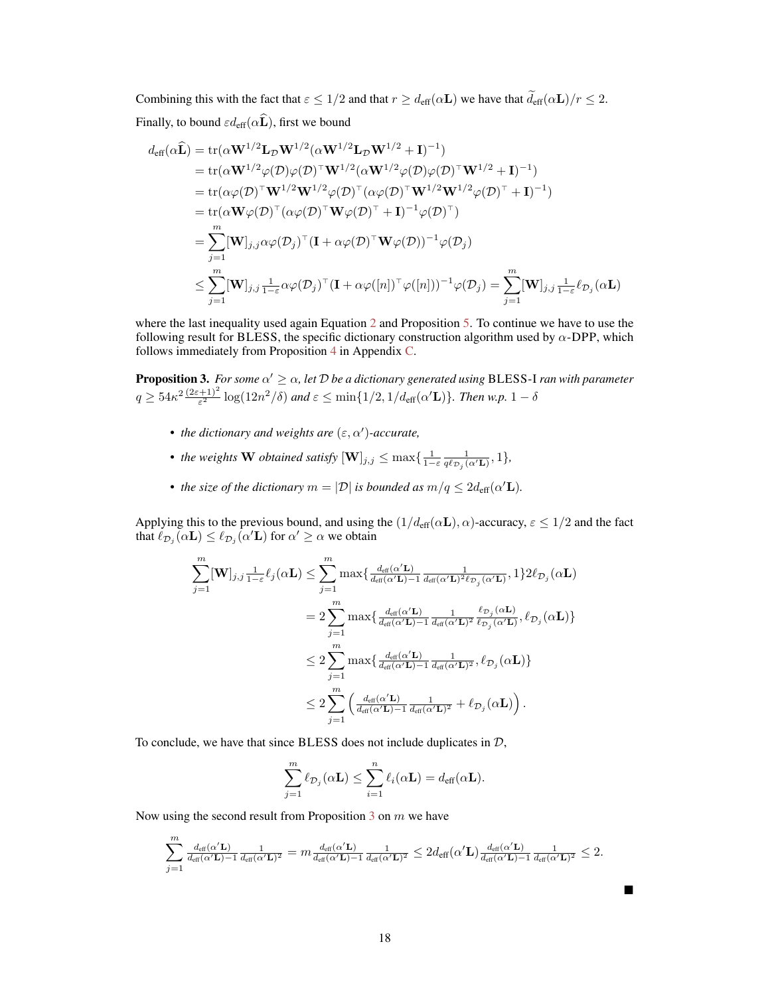Combining this with the fact that  $\varepsilon \leq 1/2$  and that  $r \geq d_{\text{eff}}(\alpha \mathbf{L})$  we have that  $\tilde{d}_{\text{eff}}(\alpha \mathbf{L})/r \leq 2$ .

Finally, to bound  $\varepsilon d_{\text{eff}}(\alpha \widehat{\mathbf{L}})$ , first we bound

$$
d_{\text{eff}}(\alpha \widehat{\mathbf{L}}) = \text{tr}(\alpha \mathbf{W}^{1/2} \mathbf{L}_{\mathcal{D}} \mathbf{W}^{1/2} (\alpha \mathbf{W}^{1/2} \mathbf{L}_{\mathcal{D}} \mathbf{W}^{1/2} + \mathbf{I})^{-1})
$$
  
\n
$$
= \text{tr}(\alpha \mathbf{W}^{1/2} \varphi(\mathcal{D}) \varphi(\mathcal{D})^{\top} \mathbf{W}^{1/2} (\alpha \mathbf{W}^{1/2} \varphi(\mathcal{D}) \varphi(\mathcal{D})^{\top} \mathbf{W}^{1/2} + \mathbf{I})^{-1})
$$
  
\n
$$
= \text{tr}(\alpha \varphi(\mathcal{D})^{\top} \mathbf{W}^{1/2} \mathbf{W}^{1/2} \varphi(\mathcal{D})^{\top} (\alpha \varphi(\mathcal{D})^{\top} \mathbf{W}^{1/2} \mathbf{W}^{1/2} \varphi(\mathcal{D})^{\top} + \mathbf{I})^{-1})
$$
  
\n
$$
= \text{tr}(\alpha \mathbf{W} \varphi(\mathcal{D})^{\top} (\alpha \varphi(\mathcal{D})^{\top} \mathbf{W} \varphi(\mathcal{D})^{\top} + \mathbf{I})^{-1} \varphi(\mathcal{D})^{\top})
$$
  
\n
$$
= \sum_{j=1}^{m} [\mathbf{W}]_{j,j} \alpha \varphi(\mathcal{D}_j)^{\top} (\mathbf{I} + \alpha \varphi(\mathcal{D})^{\top} \mathbf{W} \varphi(\mathcal{D}))^{-1} \varphi(\mathcal{D}_j)
$$
  
\n
$$
\leq \sum_{j=1}^{m} [\mathbf{W}]_{j,j} \frac{1}{1-\varepsilon} \alpha \varphi(\mathcal{D}_j)^{\top} (\mathbf{I} + \alpha \varphi([n])^{\top} \varphi([n]))^{-1} \varphi(\mathcal{D}_j) = \sum_{j=1}^{m} [\mathbf{W}]_{j,j} \frac{1}{1-\varepsilon} \ell_{\mathcal{D}_j} (\alpha \mathbf{L})
$$

where the last inequality used again Equation 2 and Proposition 5. To continue we have to use the following result for BLESS, the specific dictionary construction algorithm used by  $\alpha$ -DPP, which follows immediately from Proposition 4 in Appendix C.

**Proposition 3.** For some  $\alpha' \geq \alpha$ , let  $\mathcal{D}$  be a dictionary generated using BLESS-I ran with parameter  $q\geq 54\kappa^2\frac{(2\varepsilon+1)^2}{\varepsilon^2}\log(12n^2/\delta)$  and  $\varepsilon\leq\min\{1/2,1/d_{\text{eff}}(\alpha'\mathbf{L})\}.$  Then w.p.  $1-\delta$ 

- *the dictionary and weights are*  $(\varepsilon, \alpha')$ -*accurate*,
- *the weights* **W** *obtained satisfy*  $[\mathbf{W}]_{j,j} \leq \max\{\frac{1}{1-\varepsilon} \frac{1}{q\ell_{\mathcal{D}_j}(\alpha'\mathbf{L})},1\}$ *,*
- *the size of the dictionary*  $m = |\mathcal{D}|$  *is bounded as*  $m/q \leq 2d_{\text{eff}}(\alpha' \mathbf{L})$ *.*

Applying this to the previous bound, and using the  $(1/d_{\text{eff}}(\alpha L), \alpha)$ -accuracy,  $\varepsilon \leq 1/2$  and the fact that  $\ell_{\mathcal{D}_j}(\alpha \mathbf{L}) \leq \ell_{\mathcal{D}_j}(\alpha' \mathbf{L})$  for  $\alpha' \geq \alpha$  we obtain

$$
\sum_{j=1}^{m} [\mathbf{W}]_{j,j} \frac{1}{1-\varepsilon} \ell_j(\alpha \mathbf{L}) \leq \sum_{j=1}^{m} \max \{ \frac{d_{\text{eff}}(\alpha' \mathbf{L})}{d_{\text{eff}}(\alpha' \mathbf{L})-1} \frac{1}{d_{\text{eff}}(\alpha' \mathbf{L})^2 \ell_{\mathcal{D}_j}(\alpha' \mathbf{L})}, 1 \} 2 \ell_{\mathcal{D}_j}(\alpha \mathbf{L})
$$
  

$$
= 2 \sum_{j=1}^{m} \max \{ \frac{d_{\text{eff}}(\alpha' \mathbf{L})}{d_{\text{eff}}(\alpha' \mathbf{L})-1} \frac{1}{d_{\text{eff}}(\alpha' \mathbf{L})^2} \frac{\ell_{\mathcal{D}_j}(\alpha \mathbf{L})}{\ell_{\mathcal{D}_j}(\alpha' \mathbf{L})}, \ell_{\mathcal{D}_j}(\alpha \mathbf{L}) \}
$$
  

$$
\leq 2 \sum_{j=1}^{m} \max \{ \frac{d_{\text{eff}}(\alpha' \mathbf{L})}{d_{\text{eff}}(\alpha' \mathbf{L})-1} \frac{1}{d_{\text{eff}}(\alpha' \mathbf{L})^2}, \ell_{\mathcal{D}_j}(\alpha \mathbf{L}) \}
$$
  

$$
\leq 2 \sum_{j=1}^{m} \left( \frac{d_{\text{eff}}(\alpha' \mathbf{L})}{d_{\text{eff}}(\alpha' \mathbf{L})-1} \frac{1}{d_{\text{eff}}(\alpha' \mathbf{L})^2} + \ell_{\mathcal{D}_j}(\alpha \mathbf{L}) \right).
$$

To conclude, we have that since BLESS does not include duplicates in  $D$ ,

$$
\sum_{j=1}^{m} \ell_{\mathcal{D}_j}(\alpha \mathbf{L}) \leq \sum_{i=1}^{n} \ell_i(\alpha \mathbf{L}) = d_{\text{eff}}(\alpha \mathbf{L}).
$$

Now using the second result from Proposition  $3$  on  $m$  we have

$$
\sum_{j=1}^m \tfrac{d_{\textup{eff}}(\alpha' \mathbf{L})}{d_{\textup{eff}}(\alpha' \mathbf{L})-1} \tfrac{1}{d_{\textup{eff}}(\alpha' \mathbf{L})^2} = m \tfrac{d_{\textup{eff}}(\alpha' \mathbf{L})}{d_{\textup{eff}}(\alpha' \mathbf{L})-1} \tfrac{1}{d_{\textup{eff}}(\alpha' \mathbf{L})^2} \leq 2d_{\textup{eff}}(\alpha' \mathbf{L}) \tfrac{d_{\textup{eff}}(\alpha' \mathbf{L})}{d_{\textup{eff}}(\alpha' \mathbf{L})-1} \tfrac{1}{d_{\textup{eff}}(\alpha' \mathbf{L})^2} \leq 2.
$$

 $\blacksquare$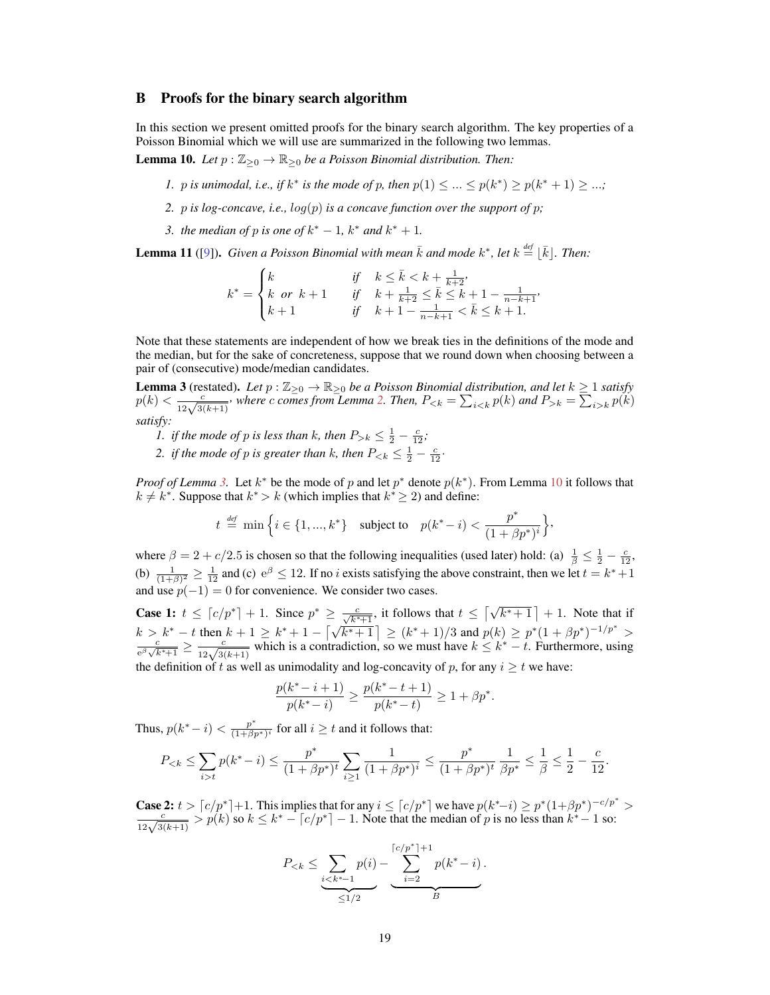#### B Proofs for the binary search algorithm

In this section we present omitted proofs for the binary search algorithm. The key properties of a Poisson Binomial which we will use are summarized in the following two lemmas.

**Lemma 10.** *Let*  $p : \mathbb{Z}_{\geq 0} \to \mathbb{R}_{\geq 0}$  *be a Poisson Binomial distribution. Then:* 

- *1. p is unimodal, i.e., if*  $k^*$  *is the mode of p, then*  $p(1) \leq ... \leq p(k^*) \geq p(k^* + 1) \geq ...$ ;
- *2.* p *is log-concave, i.e.,*  $log(p)$  *<i>is a concave function over the support of p*;
- *3. the median of p is one of*  $k^* 1$ *,*  $k^*$  *and*  $k^* + 1$ *.*

**Lemma 11** ([9]). Given a Poisson Binomial with mean  $\bar{k}$  and mode  $k^*$ , let  $k \stackrel{\text{def}}{=} [\bar{k}]$ . Then:

$$
k^* = \begin{cases} k & \text{if} \quad k \le \bar{k} < k + \frac{1}{k+2}, \\ k \text{ or } k+1 & \text{if} \quad k + \frac{1}{k+2} \le \bar{k} \le k+1 - \frac{1}{n-k+1}, \\ k+1 & \text{if} \quad k+1 - \frac{1}{n-k+1} < \bar{k} \le k+1. \end{cases}
$$

Note that these statements are independent of how we break ties in the definitions of the mode and the median, but for the sake of concreteness, suppose that we round down when choosing between a pair of (consecutive) mode/median candidates.

**Lemma 3** (restated). Let  $p : \mathbb{Z}_{\geq 0} \to \mathbb{R}_{\geq 0}$  be a Poisson Binomial distribution, and let  $k \geq 1$  satisfy  $p(k) < \frac{c}{12\sqrt{3(k+1)}}$ , where c comes from Lemma 2. Then,  $P_{\leq k} = \sum_{i \leq k} p(k)$  and  $P_{\geq k} = \sum_{i \geq k} p(k)$ *satisfy:*

- *1. if the mode of p is less than k, then*  $P_{>k} \leq \frac{1}{2} \frac{c}{12}$ ;
- 2. *if the mode of p is greater than k, then*  $P_{\leq k} \leq \frac{1}{2} \frac{c}{12}$ .

*Proof of Lemma* 3. Let  $k^*$  be the mode of p and let  $p^*$  denote  $p(k^*)$ . From Lemma 10 it follows that  $k \neq k^*$ . Suppose that  $k^* > k$  (which implies that  $k^* \geq 2$ ) and define:

$$
t \stackrel{\text{\tiny def}}{=} \min \Big\{ i \in \{1,...,k^*\} \quad \text{subject to} \quad p(k^*-i) < \frac{p^*}{(1+\beta p^*)^i} \Big\},
$$

where  $\beta = 2 + c/2.5$  is chosen so that the following inequalities (used later) hold: (a)  $\frac{1}{\beta} \leq \frac{1}{2} - \frac{c}{12}$ , (b)  $\frac{1}{(1+\beta)^2} \ge \frac{1}{12}$  and (c)  $e^{\beta} \le 12$ . If no *i* exists satisfying the above constraint, then we let  $t = k^* + 1$ and use  $p(-1) = 0$  for convenience. We consider two cases.

**Case 1:**  $t \leq \lfloor c/p^* \rfloor + 1$ . Since  $p^* \geq \frac{c}{\sqrt{k^*+1}}$ , it follows that  $t \leq \lfloor \sqrt{k^*+1} \rfloor + 1$ . Note that if  $k > k^* - t$  then  $k + 1 \ge k^* + 1 - \left[\sqrt{k^* + 1}\right] \ge (k^* + 1)/3$  and  $p(k) \ge p^*(1 + \beta p^*)^{-1/p^*} >$  $\frac{c}{e^{\beta}\sqrt{k^*+1}} \ge \frac{c}{12\sqrt{3(k+1)}}$  which is a contradiction, so we must have  $k \le k^* - t$ . Furthermore, using the definition of t as well as unimodality and log-concavity of p, for any  $i \geq t$  we have:

$$
\frac{p(k^*-i+1)}{p(k^*-i)} \ge \frac{p(k^*-t+1)}{p(k^*-t)} \ge 1 + \beta p^*.
$$

Thus,  $p(k^*-i) < \frac{p^*}{(1+\beta)^2}$  $\frac{p}{(1+\beta p^*)^i}$  for all  $i \geq t$  and it follows that:

$$
P_{t} p(k^*-i) \le \frac{p^*}{(1+\beta p^*)^t} \sum_{i\ge 1} \frac{1}{(1+\beta p^*)^i} \le \frac{p^*}{(1+\beta p^*)^t} \frac{1}{\beta p^*} \le \frac{1}{\beta} \le \frac{1}{2} - \frac{c}{12}.
$$

**Case 2:**  $t > \lceil c/p^* \rceil + 1$ . This implies that for any  $i \leq \lceil c/p^* \rceil$  we have  $p(k^*-i) \geq p^*(1+\beta p^*)^{-c/p^*} > \frac{c}{12\sqrt{3(k+1)}} > p(k)$  so  $k \leq k^* - \lceil c/p^* \rceil - 1$ . Note that the median of p is no less than  $k^*-1$  so:

$$
P_{
$$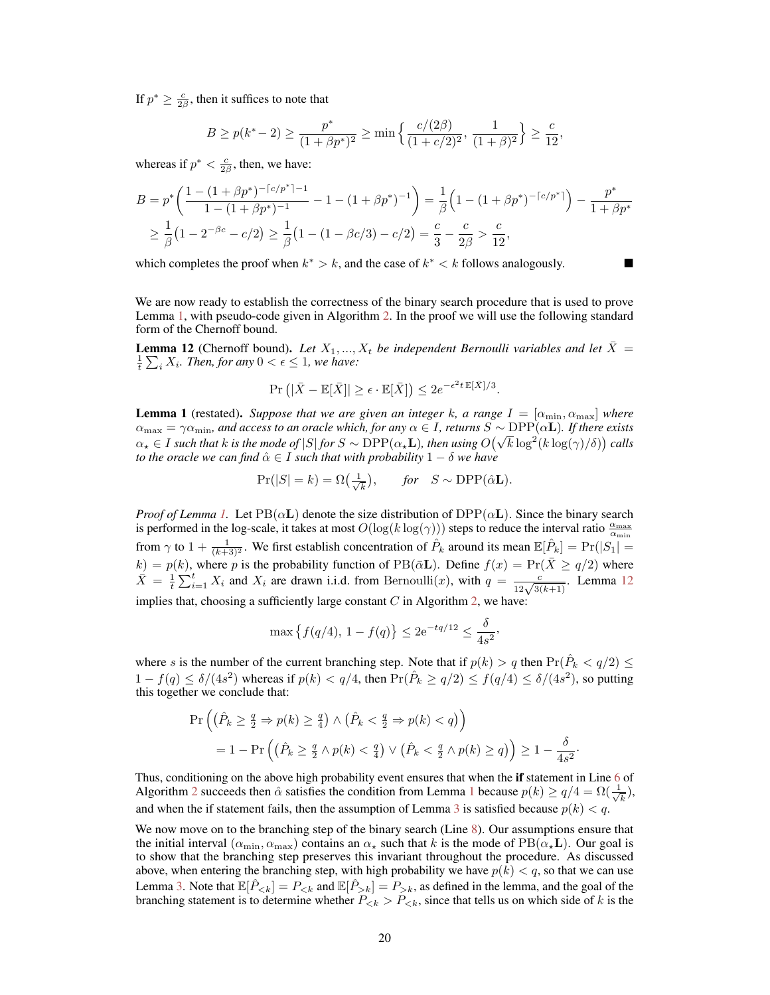If  $p^* \geq \frac{c}{2\beta}$ , then it suffices to note that

$$
B \ge p(k^*-2) \ge \frac{p^*}{(1+\beta p^*)^2} \ge \min\left\{\frac{c/(2\beta)}{(1+c/2)^2}, \frac{1}{(1+\beta)^2}\right\} \ge \frac{c}{12},
$$

whereas if  $p^* < \frac{c}{2\beta}$ , then, we have:

$$
B = p^* \left( \frac{1 - (1 + \beta p^*)^{-\lceil c/p^* \rceil - 1}}{1 - (1 + \beta p^*)^{-1}} - 1 - (1 + \beta p^*)^{-1} \right) = \frac{1}{\beta} \left( 1 - (1 + \beta p^*)^{-\lceil c/p^* \rceil} \right) - \frac{p^*}{1 + \beta p^*}
$$
  
\n
$$
\geq \frac{1}{\beta} \left( 1 - 2^{-\beta c} - c/2 \right) \geq \frac{1}{\beta} \left( 1 - (1 - \beta c/3) - c/2 \right) = \frac{c}{3} - \frac{c}{2\beta} > \frac{c}{12},
$$

which completes the proof when  $k^* > k$ , and the case of  $k^* < k$  follows analogously.

We are now ready to establish the correctness of the binary search procedure that is used to prove Lemma 1, with pseudo-code given in Algorithm 2. In the proof we will use the following standard form of the Chernoff bound.

**Lemma 12** (Chernoff bound). Let  $X_1, ..., X_t$  be independent Bernoulli variables and let  $\bar{X} =$  $\frac{1}{t} \sum_i X_i$ . Then, for any  $0 < \epsilon \leq 1$ , we have:

$$
\Pr\left(|\bar{X}-\mathbb{E}[\bar{X}]\right| \ge \epsilon \cdot \mathbb{E}[\bar{X}]\right) \le 2e^{-\epsilon^2 t \mathbb{E}[\bar{X}]/3}.
$$

**Lemma 1** (restated). *Suppose that we are given an integer k, a range*  $I = [\alpha_{\min}, \alpha_{\max}]$  *where*  $\alpha_{\max} = \gamma \alpha_{\min}$ , and access to an oracle which, for any  $\alpha \in I$ , returns  $S \sim \text{DPP}(\alpha L)$ . If there exists  $\alpha_{\max} = \gamma \alpha_{\min}$ , and access to an oracle which, for any  $\alpha \in I$ , returns  $S \sim \text{DFT}(\alpha L)$ , if there exists  $\alpha_{\star} \in I$  such that k is the mode of  $|S|$  for  $S \sim \text{DPP}(\alpha_{\star}L)$ , then using  $O(\sqrt{k} \log^2(k \log(\gamma)/\delta))$  calls *to the oracle we can find*  $\hat{\alpha} \in I$  *such that with probability*  $1 - \delta$  *we have* 

$$
Pr(|S| = k) = \Omega\left(\frac{1}{\sqrt{k}}\right), \quad \text{for} \quad S \sim \text{DPP}(\hat{\alpha} \mathbf{L}).
$$

*Proof of Lemma 1.* Let  $PB(\alpha L)$  denote the size distribution of  $DPP(\alpha L)$ . Since the binary search is performed in the log-scale, it takes at most  $O(\log(k \log(\gamma)))$  steps to reduce the interval ratio  $\frac{\alpha_{\max}}{\alpha_{\min}}$ from  $\gamma$  to  $1 + \frac{1}{(k+3)^2}$ . We first establish concentration of  $\hat{P}_k$  around its mean  $\mathbb{E}[\hat{P}_k] = \Pr(|S_1| =$  $k) = p(k)$ , where p is the probability function of PB( $\overline{\alpha}$ L). Define  $f(x) = Pr(\overline{X} \geq q/2)$  where  $\bar{X} = \frac{1}{t} \sum_{i=1}^{t} X_i$  and  $X_i$  are drawn i.i.d. from Bernoulli $(x)$ , with  $q = \frac{c}{12\sqrt{3(k+1)}}$ . Lemma 12 implies that, choosing a sufficiently large constant  $C$  in Algorithm 2, we have:

$$
\max\left\{f(q/4),\,1-f(q)\right\} \le 2e^{-tq/12} \le \frac{\delta}{4s^2},
$$

where s is the number of the current branching step. Note that if  $p(k) > q$  then  $Pr(\hat{P}_k < q/2) \le$  $1 - f(q) \le \delta/(4s^2)$  whereas if  $p(k) < q/4$ , then  $\Pr(\hat{P}_k \ge q/2) \le f(q/4) \le \delta/(4s^2)$ , so putting this together we conclude that:

$$
\Pr\left(\left(\hat{P}_k \geq \frac{q}{2} \Rightarrow p(k) \geq \frac{q}{4}\right) \land \left(\hat{P}_k < \frac{q}{2} \Rightarrow p(k) < q\right)\right) \\
= 1 - \Pr\left(\left(\hat{P}_k \geq \frac{q}{2} \land p(k) < \frac{q}{4}\right) \lor \left(\hat{P}_k < \frac{q}{2} \land p(k) \geq q\right)\right) \geq 1 - \frac{\delta}{4s^2}
$$

·

Thus, conditioning on the above high probability event ensures that when the if statement in Line 6 of Algorithm 2 succeeds then  $\hat{\alpha}$  satisfies the condition from Lemma 1 because  $p(k) \ge q/4 = \Omega(\frac{1}{\sqrt{k}})$  $_{\overline{k}}),$ and when the if statement fails, then the assumption of Lemma 3 is satisfied because  $p(k) < q$ .

We now move on to the branching step of the binary search (Line 8). Our assumptions ensure that the initial interval ( $\alpha_{\min}, \alpha_{\max}$ ) contains an  $\alpha_{\star}$  such that k is the mode of PB( $\alpha_{\star}$ **L**). Our goal is to show that the branching step preserves this invariant throughout the procedure. As discussed above, when entering the branching step, with high probability we have  $p(k) < q$ , so that we can use Lemma 3. Note that  $\mathbb{E}[\hat{P}_{< k}] = P_{< k}$  and  $\mathbb{E}[\hat{P}_{> k}] = P_{> k}$ , as defined in the lemma, and the goal of the branching statement is to determine whether  $P_{ P_{, since that tells us on which side of k is the$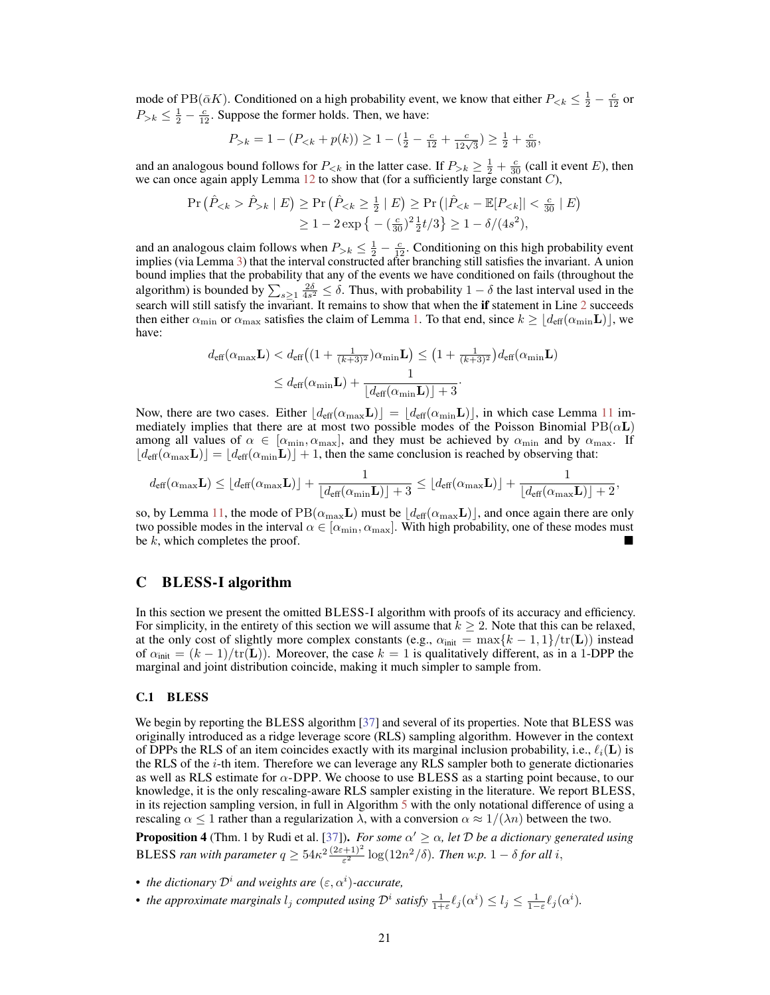mode of PB( $\bar{\alpha}K$ ). Conditioned on a high probability event, we know that either  $P_{\le k} \le \frac{1}{2} - \frac{c}{12}$  or  $P_{>k} \leq \frac{1}{2} - \frac{c}{12}$ . Suppose the former holds. Then, we have:

$$
P_{>k} = 1 - (P_{< k} + p(k)) \ge 1 - (\frac{1}{2} - \frac{c}{12} + \frac{c}{12\sqrt{3}}) \ge \frac{1}{2} + \frac{c}{30},
$$

and an analogous bound follows for  $P_{< k}$  in the latter case. If  $P_{> k} \ge \frac{1}{2} + \frac{c}{30}$  (call it event E), then we can once again apply Lemma  $12$  to show that (for a sufficiently large constant  $C$ ),

$$
\Pr\left(\hat{P}_{ \hat{P}_{>k} \mid E\right) \ge \Pr\left(\hat{P}_{
$$

and an analogous claim follows when  $P_{>k} \leq \frac{1}{2} - \frac{c}{12}$ . Conditioning on this high probability event implies (via Lemma 3) that the interval constructed after branching still satisfies the invariant. A union bound implies that the probability that any of the events we have conditioned on fails (throughout the algorithm) is bounded by  $\sum_{s\geq 1} \frac{2\delta}{4s^2} \leq \delta$ . Thus, with probability  $1-\delta$  the last interval used in the search will still satisfy the invariant. It remains to show that when the **if** statement in Line 2 succeeds then either  $\alpha_{\min}$  or  $\alpha_{\max}$  satisfies the claim of Lemma 1. To that end, since  $k \geq \lfloor d_{\text{eff}}(\alpha_{\min}L) \rfloor$ , we have:

$$
\begin{aligned} d_{\text{eff}}(\alpha_{\max}\mathbf{L}) &< d_{\text{eff}}\left((1+\tfrac{1}{(k+3)^2})\alpha_{\min}\mathbf{L}\right) \le \big(1+\tfrac{1}{(k+3)^2}\big)d_{\text{eff}}(\alpha_{\min}\mathbf{L}) \\ &\le d_{\text{eff}}(\alpha_{\min}\mathbf{L}) + \frac{1}{\lfloor d_{\text{eff}}(\alpha_{\min}\mathbf{L}) \rfloor + 3}. \end{aligned}
$$

Now, there are two cases. Either  $\left| d_{\text{eff}}(\alpha_{\text{max}}\mathbf{L}) \right| = \left| d_{\text{eff}}(\alpha_{\text{min}}\mathbf{L}) \right|$ , in which case Lemma 11 immediately implies that there are at most two possible modes of the Poisson Binomial  $PB(\alpha L)$ among all values of  $\alpha \in [\alpha_{\min}, \alpha_{\max}]$ , and they must be achieved by  $\alpha_{\min}$  and by  $\alpha_{\max}$ . If  $\lfloor d_{\text{eff}}(\alpha_{\text{max}}\mathbf{L})\rfloor = \lfloor d_{\text{eff}}(\alpha_{\text{min}}\mathbf{L})\rfloor + 1$ , then the same conclusion is reached by observing that:

$$
d_{\text{eff}}(\alpha_{\max} \mathbf{L}) \leq \lfloor d_{\text{eff}}(\alpha_{\max} \mathbf{L}) \rfloor + \frac{1}{\lfloor d_{\text{eff}}(\alpha_{\min} \mathbf{L}) \rfloor + 3} \leq \lfloor d_{\text{eff}}(\alpha_{\max} \mathbf{L}) \rfloor + \frac{1}{\lfloor d_{\text{eff}}(\alpha_{\max} \mathbf{L}) \rfloor + 2},
$$

so, by Lemma 11, the mode of  $PB(\alpha_{\text{max}}L)$  must be  $\lfloor d_{\text{eff}}(\alpha_{\text{max}}L) \rfloor$ , and once again there are only two possible modes in the interval  $\alpha \in [\alpha_{\min}, \alpha_{\max}]$ . With high probability, one of these modes must be  $k$ , which completes the proof.

#### C BLESS-I algorithm

In this section we present the omitted BLESS-I algorithm with proofs of its accuracy and efficiency. For simplicity, in the entirety of this section we will assume that  $k \geq 2$ . Note that this can be relaxed, at the only cost of slightly more complex constants (e.g.,  $\alpha_{init} = \max\{k - 1, 1\}/tr(L)$ ) instead of  $\alpha_{\text{init}} = (k-1)/\text{tr}(\mathbf{L})$ ). Moreover, the case  $k = 1$  is qualitatively different, as in a 1-DPP the marginal and joint distribution coincide, making it much simpler to sample from.

#### C.1 BLESS

We begin by reporting the BLESS algorithm [37] and several of its properties. Note that BLESS was originally introduced as a ridge leverage score (RLS) sampling algorithm. However in the context of DPPs the RLS of an item coincides exactly with its marginal inclusion probability, i.e.,  $\ell_i(\mathbf{L})$  is the RLS of the  $i$ -th item. Therefore we can leverage any RLS sampler both to generate dictionaries as well as RLS estimate for  $\alpha$ -DPP. We choose to use BLESS as a starting point because, to our knowledge, it is the only rescaling-aware RLS sampler existing in the literature. We report BLESS, in its rejection sampling version, in full in Algorithm 5 with the only notational difference of using a rescaling  $\alpha \leq 1$  rather than a regularization  $\lambda$ , with a conversion  $\alpha \approx 1/(\lambda n)$  between the two.

**Proposition 4** (Thm. 1 by Rudi et al. [37]). *For some*  $\alpha' \geq \alpha$ , *let* D *be a dictionary generated using* BLESS ran with parameter  $q \geq 54\kappa^2 \frac{(2\varepsilon+1)^2}{\varepsilon^2} \log(12n^2/\delta)$ . Then w.p.  $1-\delta$  for all i,

- *the dictionary*  $\mathcal{D}^i$  *and weights are*  $(\varepsilon, \alpha^i)$ *-accurate,*
- *the approximate marginals*  $l_j$  *computed using*  $\mathcal{D}^i$  *satisfy*  $\frac{1}{1+\varepsilon} \ell_j(\alpha^i) \leq l_j \leq \frac{1}{1-\varepsilon} \ell_j(\alpha^i)$ .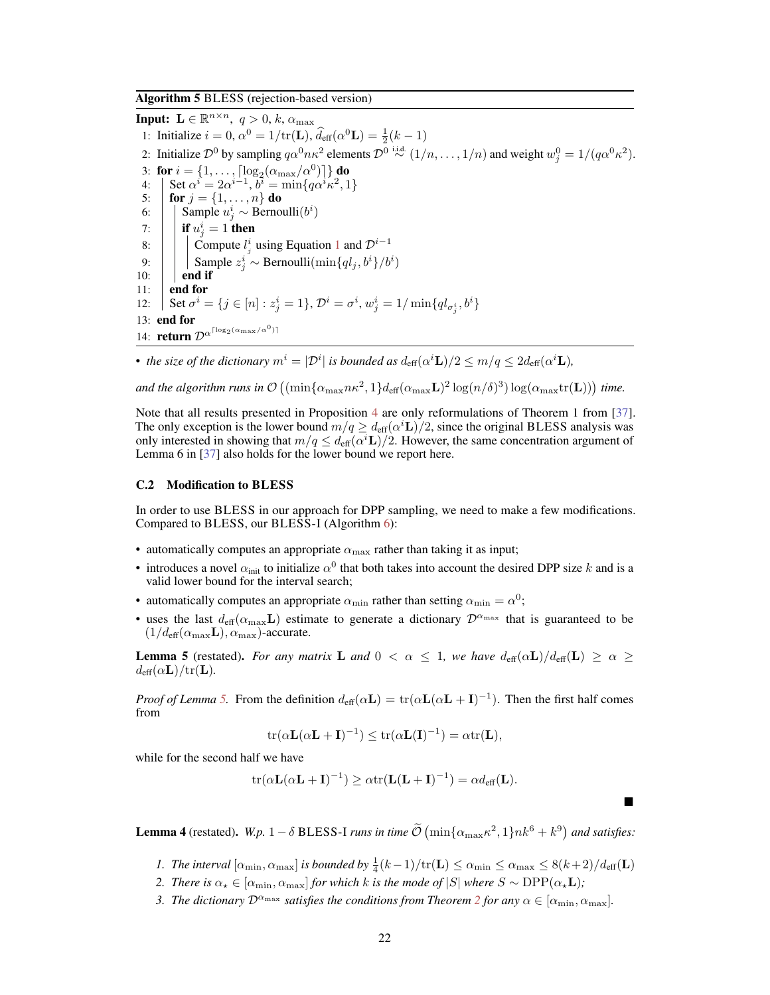Algorithm 5 BLESS (rejection-based version)

**Input:**  $\mathbf{L} \in \mathbb{R}^{n \times n}$ ,  $q > 0$ , k,  $\alpha_{\max}$ 1: Initialize  $i = 0$ ,  $\alpha^0 = 1/\text{tr}(\mathbf{L})$ ,  $\hat{d}_{\text{eff}}(\alpha^0 \mathbf{L}) = \frac{1}{2}(k-1)$ 2: Initialize  $\mathcal{D}^0$  by sampling  $q\alpha^0 n\kappa^2$  elements  $\mathcal{D}^0 \stackrel{\text{i.i.d.}}{\sim} (1/n, \dots, 1/n)$  and weight  $w_j^0 = 1/(q\alpha^0 \kappa^2)$ . 3: for  $i = \{1, \ldots, \lceil \log_2(\alpha_{\text{max}}/\alpha^0) \rceil\}$  do 4:  $\int \text{Set } \alpha^{i} = 2\alpha^{i-1}, \overline{b}^{i} = \min\{q\alpha^{i}\kappa^{2}, 1\}$ 5: **for**  $j = \{1, ..., n\}$  do 6: Sample  $u_j^i$  ∼ Bernoulli $(b^i)$ 7:  $\begin{array}{|c|c|} \hline \end{array}$  if  $u_j^i = 1$  then 8:  $\begin{array}{|c|c|} \hline \end{array}$  Compute  $l_j^i$  using Equation 1 and  $\mathcal{D}^{i-1}$ 9:  $| \cdot |$  Sample  $z_j^i \sim \text{Bernoulli}(\min\{ql_j, b^i\}/b^i)$  $10:$  | end if 11:  $\vert$  end for 12:  $\int \text{Set } \sigma^i = \{j \in [n] : z^i_j = 1\}, \mathcal{D}^i = \sigma^i, w^i_j = 1/\min\{ql_{\sigma^i_j}, b^i\}$ 13: end for 14: **return**  $\mathcal{D}^{\alpha^{\lceil \log_2(\alpha_{\max}/\alpha^0) \rceil}}$ 

• the size of the dictionary  $m^i = |\mathcal{D}^i|$  is bounded as  $d_{\text{eff}}(\alpha^i \mathbf{L})/2 \leq m/q \leq 2d_{\text{eff}}(\alpha^i \mathbf{L})$ ,

and the algorithm runs in  $\mathcal{O}\left((\min\{\alpha_{\max}n\kappa^2,1\}d_{\text{eff}}(\alpha_{\max}\mathbf{L})^2\log(n/\delta)^3)\log(\alpha_{\max}\text{tr}(\mathbf{L}))\right)$  time.

Note that all results presented in Proposition 4 are only reformulations of Theorem 1 from [37]. The only exception is the lower bound  $m/q \geq d_{\text{eff}}(\alpha^i \mathbf{L})/2$ , since the original BLESS analysis was only interested in showing that  $m/q \leq d_{\text{eff}}(\alpha^i \mathbf{L})/2$ . However, the same concentration argument of Lemma 6 in [37] also holds for the lower bound we report here.

#### C.2 Modification to BLESS

In order to use BLESS in our approach for DPP sampling, we need to make a few modifications. Compared to BLESS, our BLESS-I (Algorithm 6):

- automatically computes an appropriate  $\alpha_{\text{max}}$  rather than taking it as input;
- introduces a novel  $\alpha_{\text{init}}$  to initialize  $\alpha^0$  that both takes into account the desired DPP size k and is a valid lower bound for the interval search;
- automatically computes an appropriate  $\alpha_{\min}$  rather than setting  $\alpha_{\min} = \alpha^0$ ;
- uses the last  $d_{\text{eff}}(\alpha_{\text{max}} L)$  estimate to generate a dictionary  $\mathcal{D}^{\alpha_{\text{max}}}$  that is guaranteed to be  $(1/d_{\text{eff}}(\alpha_{\text{max}}\mathbf{L}), \alpha_{\text{max}})$ -accurate.

**Lemma 5** (restated). *For any matrix* **L** and  $0 < \alpha \leq 1$ , we have  $d_{\text{eff}}(\alpha L)/d_{\text{eff}}(L) \geq \alpha \geq 1$  $d_{\text{eff}}(\alpha L)/\text{tr}(L)$ .

*Proof of Lemma 5.* From the definition  $d_{\text{eff}}(\alpha L) = \text{tr}(\alpha L(\alpha L + I)^{-1})$ . Then the first half comes from

$$
\operatorname{tr}(\alpha \mathbf{L}(\alpha \mathbf{L} + \mathbf{I})^{-1}) \le \operatorname{tr}(\alpha \mathbf{L}(\mathbf{I})^{-1}) = \alpha \operatorname{tr}(\mathbf{L}),
$$

while for the second half we have

$$
\operatorname{tr}(\alpha \mathbf{L}(\alpha \mathbf{L} + \mathbf{I})^{-1}) \geq \alpha \operatorname{tr}(\mathbf{L}(\mathbf{L} + \mathbf{I})^{-1}) = \alpha d_{\text{eff}}(\mathbf{L}).
$$

**Lemma 4** (restated).  $W.p. 1 - \delta$  BLESS-I *runs in time*  $\tilde{\mathcal{O}}\left(\min\{\alpha_{\max}\kappa^2, 1\}nk^6 + k^9\right)$  and satisfies:

*1. The interval*  $[\alpha_{\min}, \alpha_{\max}]$  *is bounded by*  $\frac{1}{4}(k-1)/\text{tr}(\mathbf{L}) \leq \alpha_{\min} \leq \alpha_{\max} \leq 8(k+2)/d_{\text{eff}}(\mathbf{L})$ 

 $\blacksquare$ 

- *2. There is*  $\alpha_{\star} \in [\alpha_{\min}, \alpha_{\max}]$  *for which k is the mode of*  $|S|$  *where*  $S \sim \text{DPP}(\alpha_{\star} \mathbf{L})$ *;*
- *3. The dictionary*  $\mathcal{D}^{\alpha_{\max}}$  *satisfies the conditions from Theorem 2 for any*  $\alpha \in [\alpha_{\min}, \alpha_{\max}]$ *.*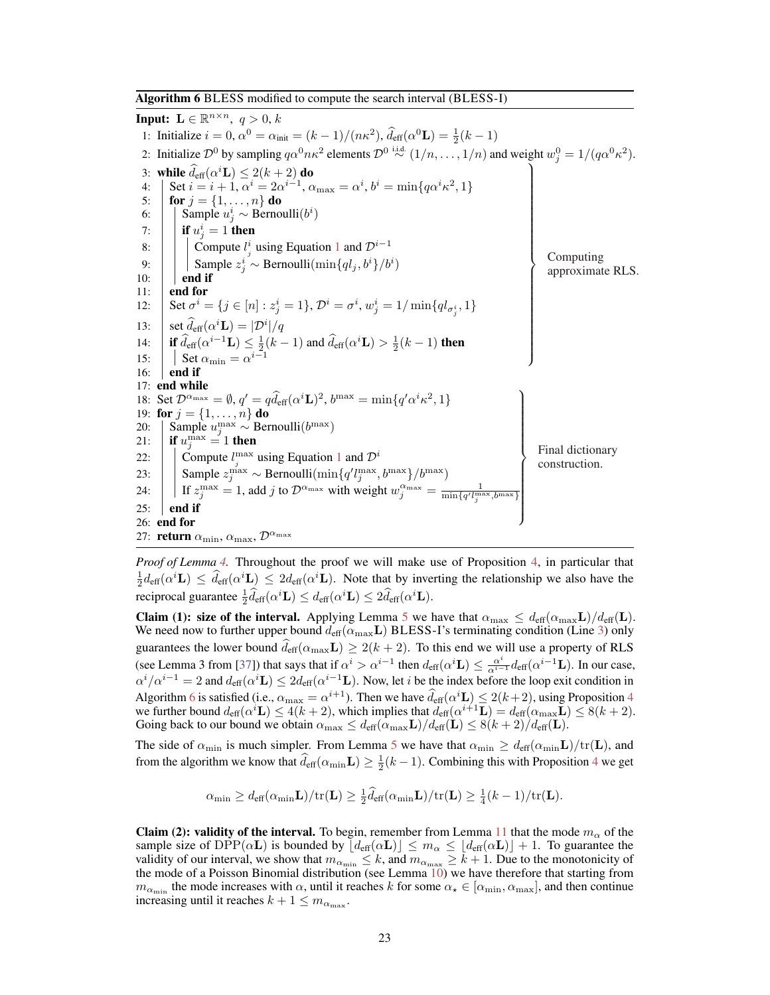Algorithm 6 BLESS modified to compute the search interval (BLESS-I)

**Input:**  $\mathbf{L} \in \mathbb{R}^{n \times n}$ ,  $q > 0$ , k 1: Initialize  $i = 0$ ,  $\alpha^0 = \alpha_{\text{init}} = (k - 1)/(n\kappa^2)$ ,  $\hat{d}_{\text{eff}}(\alpha^0 \mathbf{L}) = \frac{1}{2}(k - 1)$ 2: Initialize  $\mathcal{D}^0$  by sampling  $q\alpha^0 n\kappa^2$  elements  $\mathcal{D}^0 \stackrel{\text{i.i.d.}}{\sim} (1/n, \dots, 1/n)$  and weight  $w_j^0 = 1/(q\alpha^0 \kappa^2)$ . 3: while  $\widehat{d}_{\text{eff}}(\alpha^i \mathbf{L}) \leq 2(k+2)$  do 4:  $\int \text{Set } i = i + 1, \, \alpha^i = 2\alpha^{i-1}, \, \alpha_{\text{max}} = \alpha^i, \, b^i = \min\{q\alpha^i\kappa^2, 1\}$ 5: **for**  $j = \{1, ..., n\}$  do 6: Sample  $u_j^i$  ∼ Bernoulli $(b^i)$ 7:  $\begin{array}{|c|c|} \hline \end{array}$  if  $u_j^i = 1$  then 8:  $\bigcup$  Compute  $l_j^i$  using Equation 1 and  $\mathcal{D}^{i-1}$ 9:  $\begin{array}{c} | \\ | \text{Sample } z_j^i \sim \text{Bernoulli}(\min\{ql_j, b^i\}/b^i) \\ \text{and if} \end{array}$   $\begin{array}{c} \text{Conputing} \\ \text{approximate RLS.} \end{array}$  $\mathcal{L}$  $\begin{array}{c} \hline \end{array}$  $\left| \begin{array}{c} \hline \ \hline \ \hline \ \hline \end{array} \right|$ Computing 11:  $\vert$  end for 12:  $\Big| \text{ Set } \sigma^i = \{j \in [n]: z^i_j = 1\}, \mathcal{D}^i = \sigma^i, w^i_j = 1/\min\{ql_{\sigma^i_j}, 1\}$ 13:  $\int \det d\theta \, d\theta$  ${}^i {\bf L}) = |{\cal D}^i|/q$ 14:  $\left| \mathbf{if} \, \widehat{d}_{\text{eff}}(\alpha^{i-1} \mathbf{L}) \leq \frac{1}{2}(k-1) \text{ and } \widehat{d}_{\text{eff}}(\alpha^i \mathbf{L}) > \frac{1}{2}(k-1) \text{ then} \right|$ 15:  $\vert$  Set  $\alpha_{\min} = \alpha^{i-1}$ 16:  $\vert$  end if 17: end while 18: Set  $\mathcal{D}^{\alpha_{\text{max}}} = \emptyset$ ,  $q' = q\hat{d}_{\text{eff}}(\alpha^{i}\mathbf{L})^2$ ,  $b^{\text{max}} = \min\{q'\alpha^{i}\kappa^2, 1\}$ 19: for  $j = \{1, ..., n\}$  do 20: Sample  $u_j^{\max} \sim \text{Bernoulli}(b^{\max})$ 21: **if**  $u_i^{\max} = 1$  then  $\sum_{j}^{\max} = 1$  then 22:  $\int$  Compute  $l_j^{\max}$  using Equation 1 and  $\mathcal{D}^i$  $\mathcal{L}$  $\overline{\phantom{a}}$  $\begin{bmatrix} \vdots \\ \vdots \\ \vdots \\ \vdots \end{bmatrix}$ Final dictionary construction. 23: Sample  $z_j^{\max} \sim \text{Bernoulli}(\min\{q'l_j^{\max}, b^{\max}\}/b^{\max})$ 24:  $\left| \int \int f z_j^{\text{max}} = 1$ , add j to  $\mathcal{D}^{\alpha_{\text{max}}}$  with weight  $w_j^{\alpha_{\text{max}}} = \frac{1}{\min\{q' l_j^{\text{max}}\}}$  $,b^{\max}$ }  $25:$  end if 26: end for 27: return  $\alpha_{\min}, \alpha_{\max}, \mathcal{D}^{\alpha_{\max}}$ 

*Proof of Lemma 4.* Throughout the proof we will make use of Proposition 4, in particular that  $\frac{1}{2} d_{\text{eff}}(\alpha^i \mathbf{L}) \leq \hat{d}_{\text{eff}}(\alpha^i \mathbf{L}) \leq 2 d_{\text{eff}}(\alpha^i \mathbf{L})$ . Note that by inverting the relationship we also have the reciprocal guarantee  $\frac{1}{2} \widehat{d}_{\text{eff}}(\alpha^i \mathbf{L}) \leq d_{\text{eff}}(\alpha^i \mathbf{L}) \leq 2 \widehat{d}_{\text{eff}}(\alpha^i \mathbf{L}).$ 

Claim (1): size of the interval. Applying Lemma 5 we have that  $\alpha_{\text{max}} \leq d_{\text{eff}}(\alpha_{\text{max}}L)/d_{\text{eff}}(L)$ . We need now to further upper bound  $d_{\text{eff}}(\alpha_{\text{max}}\mathbf{L})$  BLESS-I's terminating condition (Line 3) only guarantees the lower bound  $d_{\text{eff}}(\alpha_{\text{max}}\mathbf{L}) \geq 2(k+2)$ . To this end we will use a property of RLS (see Lemma 3 from [37]) that says that if  $\alpha^i > \alpha^{i-1}$  then  $d_{\text{eff}}(\alpha^i \mathbf{L}) \leq \frac{\alpha^i}{\alpha^{i-1}} d_{\text{eff}}(\alpha^{i-1} \mathbf{L})$ . In our case,  $\alpha^i/\alpha^{i-1} = 2$  and  $d_{\text{eff}}(\alpha^i \mathbf{L}) \leq 2d_{\text{eff}}(\alpha^{i-1} \mathbf{L})$ . Now, let *i* be the index before the loop exit condition in Algorithm 6 is satisfied (i.e.,  $\alpha_{\text{max}} = \alpha^{i+1}$ ). Then we have  $\hat{d}_{\text{eff}}(\alpha^i \mathbf{L}) \leq 2(k+2)$ , using Proposition 4 we further bound  $d_{\text{eff}}(\alpha^i \mathbf{L}) \leq 4(k+2)$ , which implies that  $d_{\text{eff}}(\alpha^{i+1} \mathbf{L}) = d_{\text{eff}}(\alpha_{\text{max}} \mathbf{L}) \leq 8(k+2)$ . Going back to our bound we obtain  $\alpha_{\max} \leq d_{\text{eff}}(\alpha_{\max} \mathbf{L})/d_{\text{eff}}(\mathbf{L}) \leq 8(k+2)/d_{\text{eff}}(\mathbf{L}).$ 

The side of  $\alpha_{\min}$  is much simpler. From Lemma 5 we have that  $\alpha_{\min} \geq d_{\text{eff}}(\alpha_{\min}L)/\text{tr}(L)$ , and from the algorithm we know that  $\hat{d}_{\text{eff}}(\alpha_{\min} \mathbf{L}) \geq \frac{1}{2}(k-1)$ . Combining this with Proposition 4 we get

$$
\alpha_{\min} \geq d_{\text{eff}}(\alpha_{\min} \mathbf{L})/\text{tr}(\mathbf{L}) \geq \frac{1}{2}\widehat{d}_{\text{eff}}(\alpha_{\min} \mathbf{L})/\text{tr}(\mathbf{L}) \geq \frac{1}{4}(k-1)/\text{tr}(\mathbf{L}).
$$

**Claim (2): validity of the interval.** To begin, remember from Lemma 11 that the mode  $m_{\alpha}$  of the sample size of DPP( $\alpha$ **L**) is bounded by  $\lfloor d_{\text{eff}}(\alpha \mathbf{L}) \rfloor \le m_\alpha \le \lfloor d_{\text{eff}}(\alpha \mathbf{L}) \rfloor + 1$ . To guarantee the validity of our interval, we show that  $m_{\alpha_{\min}} \leq k$ , and  $m_{\alpha_{\max}} \geq k + 1$ . Due to the monotonicity of the mode of a Poisson Binomial distribution (see Lemma 10) we have therefore that starting from  $m_{\alpha_{\min}}$  the mode increases with  $\alpha$ , until it reaches k for some  $\alpha_{\star} \in [\alpha_{\min}, \alpha_{\max}]$ , and then continue increasing until it reaches  $k + 1 \le m_{\alpha_{\text{max}}}$ .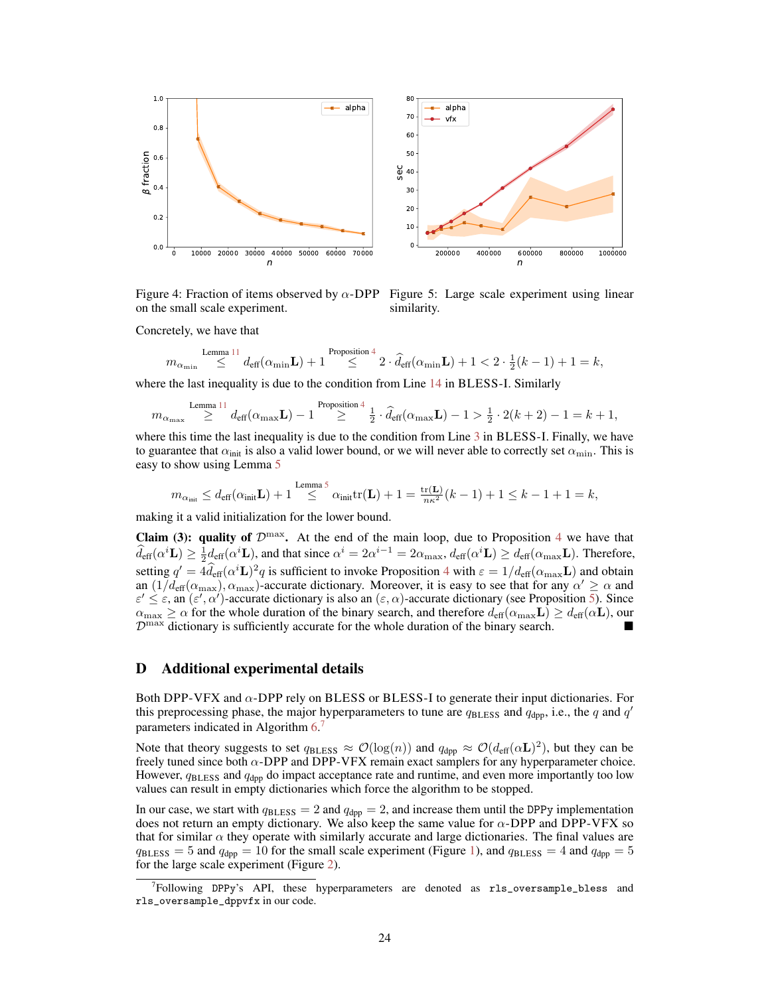

on the small scale experiment.

Figure 4: Fraction of items observed by  $\alpha$ -DPP Figure 5: Large scale experiment using linear similarity.

Concretely, we have that

$$
m_{\alpha_{\min}} \stackrel{\text{Lemma 11}}{\leq} d_{\text{eff}}(\alpha_{\min} \mathbf{L}) + 1 \stackrel{\text{Proposition 4}}{\leq} 2 \cdot \widehat{d}_{\text{eff}}(\alpha_{\min} \mathbf{L}) + 1 < 2 \cdot \frac{1}{2}(k-1) + 1 = k,
$$

where the last inequality is due to the condition from Line 14 in BLESS-I. Similarly

$$
m_{\alpha_{\max}} \overset{\text{Lemma 11}}{\geq} d_{\text{eff}}(\alpha_{\max} \mathbf{L}) - 1 \overset{\text{Proposition 4}}{\geq} \frac{1}{2} \cdot \widehat{d}_{\text{eff}}(\alpha_{\max} \mathbf{L}) - 1 > \frac{1}{2} \cdot 2(k+2) - 1 = k+1,
$$

where this time the last inequality is due to the condition from Line 3 in BLESS-I. Finally, we have to guarantee that  $\alpha_{\text{init}}$  is also a valid lower bound, or we will never able to correctly set  $\alpha_{\text{min}}$ . This is easy to show using Lemma 5

$$
m_{\alpha_{\text{init}}} \leq d_{\text{eff}}(\alpha_{\text{init}} \mathbf{L}) + 1 \stackrel{\text{Lemma 5}}{\leq} \alpha_{\text{init}} \text{tr}(\mathbf{L}) + 1 = \frac{\text{tr}(\mathbf{L})}{n\kappa^2} (k-1) + 1 \leq k - 1 + 1 = k,
$$

making it a valid initialization for the lower bound.

Claim (3): quality of  $\mathcal{D}^{\max}$ . At the end of the main loop, due to Proposition 4 we have that  $\widehat{d}_{\text{eff}}(\alpha^i \mathbf{L}) \ge \frac{1}{2} d_{\text{eff}}(\alpha^i \mathbf{L})$ , and that since  $\alpha^i = 2\alpha^{i-1} = 2\alpha_{\text{max}}$ ,  $d_{\text{eff}}(\alpha^i \mathbf{L}) \ge d_{\text{eff}}(\alpha_{\text{max}} \mathbf{L})$ . Therefore, setting  $q' = 4\hat{d}_{\text{eff}}(\alpha^i \mathbf{L})^2 q$  is sufficient to invoke Proposition 4 with  $\varepsilon = 1/d_{\text{eff}}(\alpha_{\text{max}}\mathbf{L})$  and obtain an  $(1/d_{\text{eff}}(\alpha_{\text{max}}), \alpha_{\text{max}})$ -accurate dictionary. Moreover, it is easy to see that for any  $\alpha' \ge \alpha$  and  $\varepsilon' \leq \varepsilon$ , an  $(\varepsilon', \alpha')$ -accurate dictionary is also an  $(\varepsilon, \alpha)$ -accurate dictionary (see Proposition 5). Since  $\alpha_{\text{max}} \geq \alpha$  for the whole duration of the binary search, and therefore  $d_{\text{eff}}(\alpha_{\text{max}}\mathbf{L}) \geq d_{\text{eff}}(\alpha \mathbf{L})$ , our  $\mathcal{D}^{\text{max}}$  dictionary is sufficiently accurate for the whole duration of the binary search.

#### D Additional experimental details

Both DPP-VFX and α-DPP rely on BLESS or BLESS-I to generate their input dictionaries. For this preprocessing phase, the major hyperparameters to tune are  $q_{\text{BLESS}}$  and  $q_{\text{dpp}}$ , i.e., the q and  $q'$ parameters indicated in Algorithm 6.7

Note that theory suggests to set  $q_{\text{BLESS}} \approx \mathcal{O}(\log(n))$  and  $q_{\text{dpp}} \approx \mathcal{O}(d_{\text{eff}}(\alpha \mathbf{L})^2)$ , but they can be freely tuned since both  $\alpha$ -DPP and DPP-VFX remain exact samplers for any hyperparameter choice. However,  $q_{\text{BLESS}}$  and  $q_{\text{dpp}}$  do impact acceptance rate and runtime, and even more importantly too low values can result in empty dictionaries which force the algorithm to be stopped.

In our case, we start with  $q_{\text{BLESS}} = 2$  and  $q_{\text{dpp}} = 2$ , and increase them until the DPPy implementation does not return an empty dictionary. We also keep the same value for  $\alpha$ -DPP and DPP-VFX so that for similar  $\alpha$  they operate with similarly accurate and large dictionaries. The final values are  $q_{\text{BLESS}} = 5$  and  $q_{\text{dpp}} = 10$  for the small scale experiment (Figure 1), and  $q_{\text{BLESS}} = 4$  and  $q_{\text{dpp}} = 5$ for the large scale experiment (Figure 2).

<sup>7</sup> Following DPPy's API, these hyperparameters are denoted as rls\_oversample\_bless and rls\_oversample\_dppvfx in our code.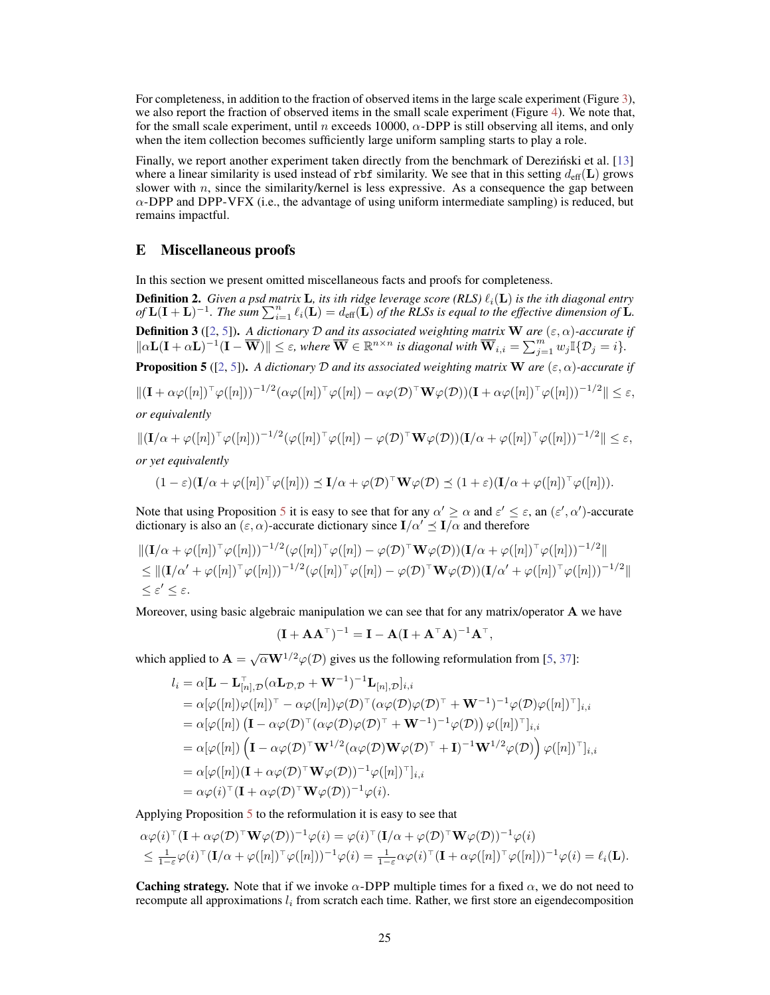For completeness, in addition to the fraction of observed items in the large scale experiment (Figure 3), we also report the fraction of observed items in the small scale experiment (Figure 4). We note that, for the small scale experiment, until n exceeds 10000,  $\alpha$ -DPP is still observing all items, and only when the item collection becomes sufficiently large uniform sampling starts to play a role.

Finally, we report another experiment taken directly from the benchmark of Derezinski et al.  $[13]$ where a linear similarity is used instead of rbf similarity. We see that in this setting  $d_{\text{eff}}(L)$  grows slower with  $n$ , since the similarity/kernel is less expressive. As a consequence the gap between  $\alpha$ -DPP and DPP-VFX (i.e., the advantage of using uniform intermediate sampling) is reduced, but remains impactful.

#### E Miscellaneous proofs

In this section we present omitted miscellaneous facts and proofs for completeness.

**Definition 2.** *Given a psd matrix* **L**, *its ith ridge leverage score (RLS)*  $\ell_i(\mathbf{L})$  *is the ith diagonal entry*  $of L(I+L)^{-1}$ . The sum  $\sum_{i=1}^{n} \ell_i(L) = d_{\text{eff}}(L)$  *of the RLSs is equal to the effective dimension of* L. Definition 3 ([2, 5]). *A dictionary* D *and its associated weighting matrix* W *are* (ε, α)*-accurate if*  $\|\alpha\mathbf{L}(\mathbf{I} + \alpha\mathbf{L})^{-1}(\mathbf{I} - \overline{\mathbf{W}})\| \leq \varepsilon$ , where  $\overline{\mathbf{W}} \in \mathbb{R}^{n \times n}$  is diagonal with  $\overline{\mathbf{W}}_{i,i} = \sum_{j=1}^{m} w_j \mathbb{I}\{\mathcal{D}_j = i\}$ .

**Proposition 5** ([2, 5]). *A dictionary* D *and its associated weighting matrix* W *are* ( $\varepsilon$ ,  $\alpha$ )-accurate if

$$
\|(\mathbf{I} + \alpha \varphi([n])^{\top} \varphi([n]))^{-1/2} (\alpha \varphi([n])^{\top} \varphi([n]) - \alpha \varphi(\mathcal{D})^{\top} \mathbf{W} \varphi(\mathcal{D})) (\mathbf{I} + \alpha \varphi([n])^{\top} \varphi([n]))^{-1/2} \| \le \varepsilon,
$$

*or equivalently*

$$
\|(\mathbf{I}/\alpha+\varphi([n])^\top\varphi([n]))^{-1/2}(\varphi([n])^\top\varphi([n])-\varphi(\mathcal{D})^\top\mathbf{W}\varphi(\mathcal{D}))(\mathbf{I}/\alpha+\varphi([n])^\top\varphi([n]))^{-1/2}\| \leq \varepsilon,
$$

*or yet equivalently*

$$
(1-\varepsilon)(\mathbf{I}/\alpha+\varphi([n])^{\top}\varphi([n])) \preceq \mathbf{I}/\alpha+\varphi(\mathcal{D})^{\top}\mathbf{W}\varphi(\mathcal{D}) \preceq (1+\varepsilon)(\mathbf{I}/\alpha+\varphi([n])^{\top}\varphi([n])).
$$

Note that using Proposition 5 it is easy to see that for any  $\alpha' \geq \alpha$  and  $\varepsilon' \leq \varepsilon$ , an  $(\varepsilon', \alpha')$ -accurate dictionary is also an  $(\varepsilon, \alpha)$ -accurate dictionary since  $I/\alpha' \preceq I/\alpha$  and therefore

$$
\begin{aligned} &\| (\mathbf{I}/\alpha + \varphi([n])^{\top} \varphi([n]))^{-1/2} (\varphi([n])^{\top} \varphi([n]) - \varphi(\mathcal{D})^{\top} \mathbf{W} \varphi(\mathcal{D})) (\mathbf{I}/\alpha + \varphi([n])^{\top} \varphi([n]))^{-1/2} \| \\ &\leq \| (\mathbf{I}/\alpha' + \varphi([n])^{\top} \varphi([n]))^{-1/2} (\varphi([n])^{\top} \varphi([n]) - \varphi(\mathcal{D})^{\top} \mathbf{W} \varphi(\mathcal{D})) (\mathbf{I}/\alpha' + \varphi([n])^{\top} \varphi([n]))^{-1/2} \| \\ &\leq \varepsilon' \leq \varepsilon. \end{aligned}
$$

Moreover, using basic algebraic manipulation we can see that for any matrix/operator  $\bf{A}$  we have

$$
(\mathbf{I} + \mathbf{A} \mathbf{A}^{\top})^{-1} = \mathbf{I} - \mathbf{A} (\mathbf{I} + \mathbf{A}^{\top} \mathbf{A})^{-1} \mathbf{A}^{\top},
$$

which applied to  $\mathbf{A} = \sqrt{\alpha} \mathbf{W}^{1/2} \varphi(\mathcal{D})$  gives us the following reformulation from [5, 37]:

$$
l_i = \alpha [\mathbf{L} - \mathbf{L}_{[n],\mathcal{D}}^{-1} (\alpha \mathbf{L}_{\mathcal{D},\mathcal{D}} + \mathbf{W}^{-1})^{-1} \mathbf{L}_{[n],\mathcal{D}}]_{i,i}
$$
  
\n
$$
= \alpha [\varphi([n]) \varphi([n])^{\top} - \alpha \varphi([n]) \varphi(\mathcal{D})^{\top} (\alpha \varphi(\mathcal{D}) \varphi(\mathcal{D})^{\top} + \mathbf{W}^{-1})^{-1} \varphi(\mathcal{D}) \varphi([n])^{\top}]_{i,i}
$$
  
\n
$$
= \alpha [\varphi([n]) (\mathbf{I} - \alpha \varphi(\mathcal{D})^{\top} (\alpha \varphi(\mathcal{D}) \varphi(\mathcal{D})^{\top} + \mathbf{W}^{-1})^{-1} \varphi(\mathcal{D})) \varphi([n])^{\top}]_{i,i}
$$
  
\n
$$
= \alpha [\varphi([n]) (\mathbf{I} - \alpha \varphi(\mathcal{D})^{\top} \mathbf{W}^{1/2} (\alpha \varphi(\mathcal{D}) \mathbf{W} \varphi(\mathcal{D})^{\top} + \mathbf{I})^{-1} \mathbf{W}^{1/2} \varphi(\mathcal{D})) \varphi([n])^{\top}]_{i,i}
$$
  
\n
$$
= \alpha [\varphi([n])(\mathbf{I} + \alpha \varphi(\mathcal{D})^{\top} \mathbf{W} \varphi(\mathcal{D}))^{-1} \varphi([n])^{\top}]_{i,i}
$$
  
\n
$$
= \alpha \varphi(i)^{\top} (\mathbf{I} + \alpha \varphi(\mathcal{D})^{\top} \mathbf{W} \varphi(\mathcal{D}))^{-1} \varphi(i).
$$

Applying Proposition 5 to the reformulation it is easy to see that

$$
\alpha \varphi(i)^{\top} (\mathbf{I} + \alpha \varphi(\mathcal{D})^{\top} \mathbf{W} \varphi(\mathcal{D}))^{-1} \varphi(i) = \varphi(i)^{\top} (\mathbf{I}/\alpha + \varphi(\mathcal{D})^{\top} \mathbf{W} \varphi(\mathcal{D}))^{-1} \varphi(i)
$$
  
\n
$$
\leq \frac{1}{1-\varepsilon} \varphi(i)^{\top} (\mathbf{I}/\alpha + \varphi([n])^{\top} \varphi([n]))^{-1} \varphi(i) = \frac{1}{1-\varepsilon} \alpha \varphi(i)^{\top} (\mathbf{I} + \alpha \varphi([n])^{\top} \varphi([n]))^{-1} \varphi(i) = \ell_i(\mathbf{L}).
$$

**Caching strategy.** Note that if we invoke  $\alpha$ -DPP multiple times for a fixed  $\alpha$ , we do not need to recompute all approximations  $l_i$  from scratch each time. Rather, we first store an eigendecomposition